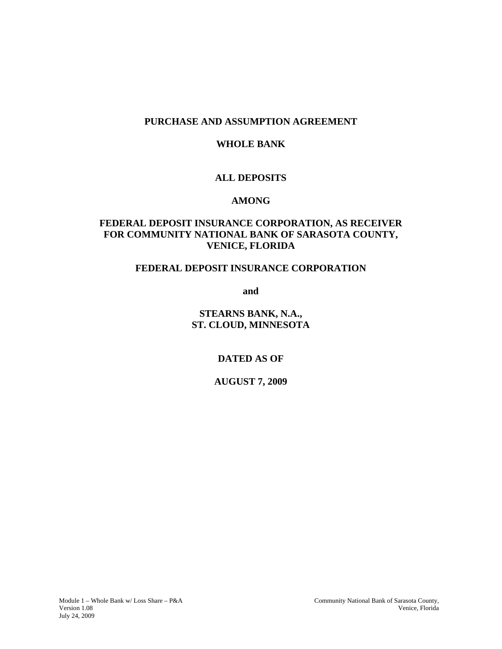#### **PURCHASE AND ASSUMPTION AGREEMENT**

#### **WHOLE BANK**

#### **ALL DEPOSITS**

#### **AMONG**

#### **FEDERAL DEPOSIT INSURANCE CORPORATION, AS RECEIVER FOR COMMUNITY NATIONAL BANK OF SARASOTA COUNTY, VENICE, FLORIDA**

#### **FEDERAL DEPOSIT INSURANCE CORPORATION**

**and** 

 **STEARNS BANK, N.A., ST. CLOUD, MINNESOTA** 

**DATED AS OF**

**AUGUST 7, 2009**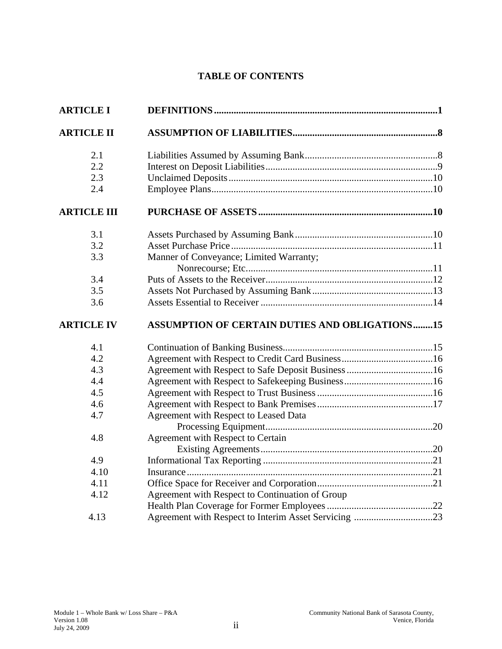## **TABLE OF CONTENTS**

| <b>ARTICLE I</b>   |                                                       |  |
|--------------------|-------------------------------------------------------|--|
| <b>ARTICLE II</b>  |                                                       |  |
| 2.1                |                                                       |  |
| 2.2                |                                                       |  |
| 2.3                |                                                       |  |
| 2.4                |                                                       |  |
| <b>ARTICLE III</b> |                                                       |  |
| 3.1                |                                                       |  |
| 3.2                |                                                       |  |
| 3.3                | Manner of Conveyance; Limited Warranty;               |  |
|                    |                                                       |  |
| 3.4                |                                                       |  |
| 3.5                |                                                       |  |
| 3.6                |                                                       |  |
| <b>ARTICLE IV</b>  | <b>ASSUMPTION OF CERTAIN DUTIES AND OBLIGATIONS15</b> |  |
| 4.1                |                                                       |  |
| 4.2                |                                                       |  |
|                    |                                                       |  |
| 4.3                |                                                       |  |
| 4.4                |                                                       |  |
| 4.5                |                                                       |  |
| 4.6                |                                                       |  |
| 4.7                | Agreement with Respect to Leased Data                 |  |
|                    |                                                       |  |
| 4.8                | Agreement with Respect to Certain                     |  |
|                    |                                                       |  |
| 4.9                |                                                       |  |
| 4.10               |                                                       |  |
| 4.11               |                                                       |  |
| 4.12               | Agreement with Respect to Continuation of Group       |  |
|                    |                                                       |  |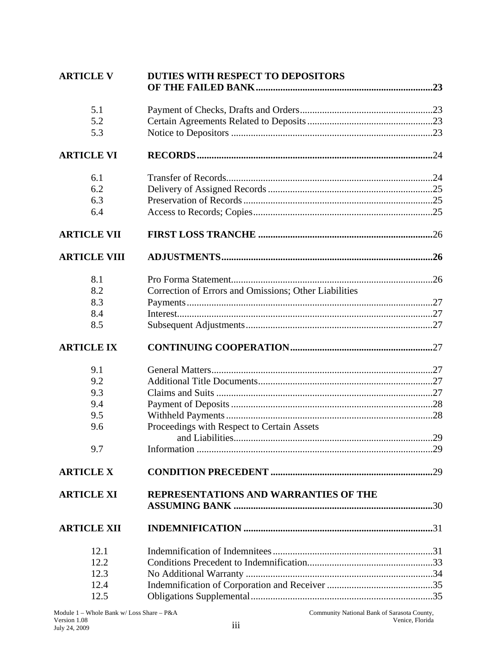| <b>ARTICLE V</b>    | DUTIES WITH RESPECT TO DEPOSITORS                     |  |  |
|---------------------|-------------------------------------------------------|--|--|
|                     |                                                       |  |  |
| 5.1                 |                                                       |  |  |
| 5.2                 |                                                       |  |  |
| 5.3                 |                                                       |  |  |
|                     |                                                       |  |  |
| <b>ARTICLE VI</b>   |                                                       |  |  |
| 6.1                 |                                                       |  |  |
| 6.2                 |                                                       |  |  |
| 6.3                 |                                                       |  |  |
| 6.4                 |                                                       |  |  |
| <b>ARTICLE VII</b>  |                                                       |  |  |
| <b>ARTICLE VIII</b> |                                                       |  |  |
|                     |                                                       |  |  |
| 8.1<br>8.2          |                                                       |  |  |
| 8.3                 | Correction of Errors and Omissions; Other Liabilities |  |  |
| 8.4                 |                                                       |  |  |
| 8.5                 |                                                       |  |  |
|                     |                                                       |  |  |
| <b>ARTICLE IX</b>   |                                                       |  |  |
| 9.1                 |                                                       |  |  |
| 9.2                 |                                                       |  |  |
| 9.3                 |                                                       |  |  |
| 9.4                 |                                                       |  |  |
| 9.5                 |                                                       |  |  |
| 9.6                 | Proceedings with Respect to Certain Assets            |  |  |
|                     |                                                       |  |  |
| 9.7                 |                                                       |  |  |
| <b>ARTICLE X</b>    |                                                       |  |  |
| <b>ARTICLE XI</b>   | REPRESENTATIONS AND WARRANTIES OF THE                 |  |  |
| <b>ARTICLE XII</b>  |                                                       |  |  |
| 12.1                |                                                       |  |  |
| 12.2                |                                                       |  |  |
| 12.3                |                                                       |  |  |
| 12.4                |                                                       |  |  |
| 12.5                |                                                       |  |  |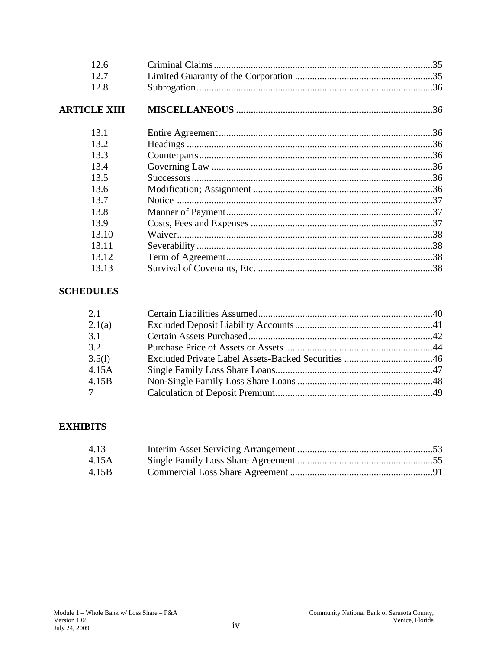| 12.6                |  |
|---------------------|--|
| 12.7                |  |
| 12.8                |  |
| <b>ARTICLE XIII</b> |  |
| 13.1                |  |
| 13.2                |  |
| 13.3                |  |
| 13.4                |  |
| 13.5                |  |
| 13.6                |  |
| 13.7                |  |
| 13.8                |  |
| 13.9                |  |
| 13.10               |  |
| 13.11               |  |
| 13.12               |  |
| 13.13               |  |
|                     |  |

## **SCHEDULES**

# **EXHIBITS**

| 4.13  |  |
|-------|--|
| 4.15A |  |
| 4.15B |  |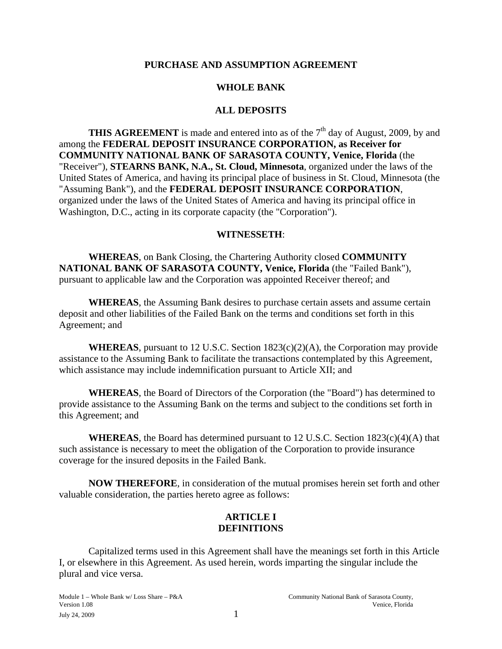#### **PURCHASE AND ASSUMPTION AGREEMENT**

#### **WHOLE BANK**

#### **ALL DEPOSITS**

**THIS AGREEMENT** is made and entered into as of the  $7<sup>th</sup>$  day of August, 2009, by and among the **FEDERAL DEPOSIT INSURANCE CORPORATION, as Receiver for COMMUNITY NATIONAL BANK OF SARASOTA COUNTY, Venice, Florida** (the "Receiver"), **STEARNS BANK, N.A., St. Cloud, Minnesota**, organized under the laws of the United States of America, and having its principal place of business in St. Cloud, Minnesota (the "Assuming Bank"), and the **FEDERAL DEPOSIT INSURANCE CORPORATION**, organized under the laws of the United States of America and having its principal office in Washington, D.C., acting in its corporate capacity (the "Corporation").

#### **WITNESSETH**:

**WHEREAS**, on Bank Closing, the Chartering Authority closed **COMMUNITY NATIONAL BANK OF SARASOTA COUNTY, Venice, Florida** (the "Failed Bank"), pursuant to applicable law and the Corporation was appointed Receiver thereof; and

 **WHEREAS**, the Assuming Bank desires to purchase certain assets and assume certain deposit and other liabilities of the Failed Bank on the terms and conditions set forth in this Agreement; and

**WHEREAS**, pursuant to 12 U.S.C. Section 1823(c)(2)(A), the Corporation may provide assistance to the Assuming Bank to facilitate the transactions contemplated by this Agreement, which assistance may include indemnification pursuant to Article XII; and

**WHEREAS**, the Board of Directors of the Corporation (the "Board") has determined to provide assistance to the Assuming Bank on the terms and subject to the conditions set forth in this Agreement; and

**WHEREAS**, the Board has determined pursuant to 12 U.S.C. Section 1823(c)(4)(A) that such assistance is necessary to meet the obligation of the Corporation to provide insurance coverage for the insured deposits in the Failed Bank.

 **NOW THEREFORE**, in consideration of the mutual promises herein set forth and other valuable consideration, the parties hereto agree as follows:

#### **ARTICLE I DEFINITIONS**

<span id="page-4-0"></span>Capitalized terms used in this Agreement shall have the meanings set forth in this Article I, or elsewhere in this Agreement. As used herein, words imparting the singular include the plural and vice versa.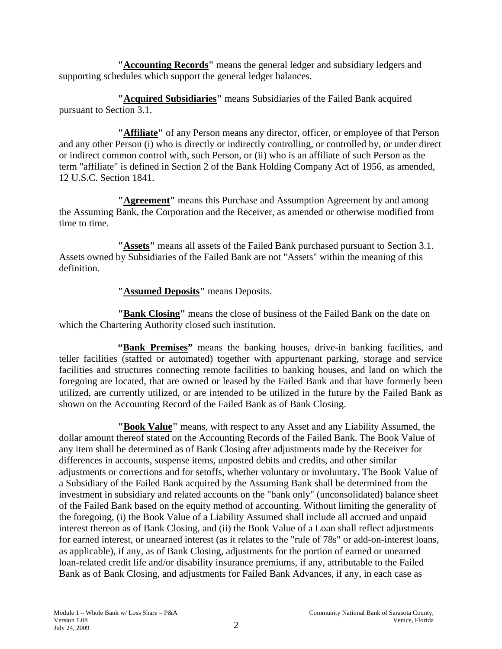<span id="page-5-0"></span> **"Accounting Records"** means the general ledger and subsidiary ledgers and supporting schedules which support the general ledger balances.

**"Acquired Subsidiaries"** means Subsidiaries of the Failed Bank acquired pursuant to Section 3.1.

**"Affiliate"** of any Person means any director, officer, or employee of that Person and any other Person (i) who is directly or indirectly controlling, or controlled by, or under direct or indirect common control with, such Person, or (ii) who is an affiliate of such Person as the term "affiliate" is defined in Section 2 of the Bank Holding Company Act of 1956, as amended, 12 U.S.C. Section 1841.

**"Agreement"** means this Purchase and Assumption Agreement by and among the Assuming Bank, the Corporation and the Receiver, as amended or otherwise modified from time to time.

**"Assets"** means all assets of the Failed Bank purchased pursuant to Section 3.1. Assets owned by Subsidiaries of the Failed Bank are not "Assets" within the meaning of this definition.

**"Assumed Deposits"** means Deposits.

**"Bank Closing"** means the close of business of the Failed Bank on the date on which the Chartering Authority closed such institution.

**"Bank Premises"** means the banking houses, drive-in banking facilities, and teller facilities (staffed or automated) together with appurtenant parking, storage and service facilities and structures connecting remote facilities to banking houses, and land on which the foregoing are located, that are owned or leased by the Failed Bank and that have formerly been utilized, are currently utilized, or are intended to be utilized in the future by the Failed Bank as shown on the Accounting Record of the Failed Bank as of Bank Closing.

**"Book Value"** means, with respect to any Asset and any Liability Assumed, the dollar amount thereof stated on the Accounting Records of the Failed Bank. The Book Value of any item shall be determined as of Bank Closing after adjustments made by the Receiver for differences in accounts, suspense items, unposted debits and credits, and other similar adjustments or corrections and for setoffs, whether voluntary or involuntary. The Book Value of a Subsidiary of the Failed Bank acquired by the Assuming Bank shall be determined from the investment in subsidiary and related accounts on the "bank only" (unconsolidated) balance sheet of the Failed Bank based on the equity method of accounting. Without limiting the generality of the foregoing, (i) the Book Value of a Liability Assumed shall include all accrued and unpaid interest thereon as of Bank Closing, and (ii) the Book Value of a Loan shall reflect adjustments for earned interest, or unearned interest (as it relates to the "rule of 78s" or add-on-interest loans, as applicable), if any, as of Bank Closing, adjustments for the portion of earned or unearned loan-related credit life and/or disability insurance premiums, if any, attributable to the Failed Bank as of Bank Closing, and adjustments for Failed Bank Advances, if any, in each case as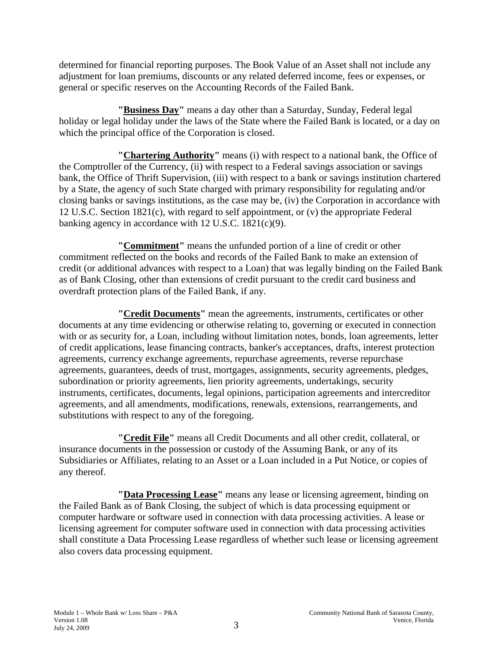<span id="page-6-0"></span>determined for financial reporting purposes. The Book Value of an Asset shall not include any adjustment for loan premiums, discounts or any related deferred income, fees or expenses, or general or specific reserves on the Accounting Records of the Failed Bank.

**"Business Day"** means a day other than a Saturday, Sunday, Federal legal holiday or legal holiday under the laws of the State where the Failed Bank is located, or a day on which the principal office of the Corporation is closed.

**"Chartering Authority"** means (i) with respect to a national bank, the Office of the Comptroller of the Currency, (ii) with respect to a Federal savings association or savings bank, the Office of Thrift Supervision, (iii) with respect to a bank or savings institution chartered by a State, the agency of such State charged with primary responsibility for regulating and/or closing banks or savings institutions, as the case may be, (iv) the Corporation in accordance with 12 U.S.C. Section 1821(c), with regard to self appointment, or (v) the appropriate Federal banking agency in accordance with 12 U.S.C. 1821(c)(9).

**"Commitment"** means the unfunded portion of a line of credit or other commitment reflected on the books and records of the Failed Bank to make an extension of credit (or additional advances with respect to a Loan) that was legally binding on the Failed Bank as of Bank Closing, other than extensions of credit pursuant to the credit card business and overdraft protection plans of the Failed Bank, if any.

**"Credit Documents"** mean the agreements, instruments, certificates or other documents at any time evidencing or otherwise relating to, governing or executed in connection with or as security for, a Loan, including without limitation notes, bonds, loan agreements, letter of credit applications, lease financing contracts, banker's acceptances, drafts, interest protection agreements, currency exchange agreements, repurchase agreements, reverse repurchase agreements, guarantees, deeds of trust, mortgages, assignments, security agreements, pledges, subordination or priority agreements, lien priority agreements, undertakings, security instruments, certificates, documents, legal opinions, participation agreements and intercreditor agreements, and all amendments, modifications, renewals, extensions, rearrangements, and substitutions with respect to any of the foregoing.

**"Credit File"** means all Credit Documents and all other credit, collateral, or insurance documents in the possession or custody of the Assuming Bank, or any of its Subsidiaries or Affiliates, relating to an Asset or a Loan included in a Put Notice, or copies of any thereof.

**"Data Processing Lease"** means any lease or licensing agreement, binding on the Failed Bank as of Bank Closing, the subject of which is data processing equipment or computer hardware or software used in connection with data processing activities. A lease or licensing agreement for computer software used in connection with data processing activities shall constitute a Data Processing Lease regardless of whether such lease or licensing agreement also covers data processing equipment.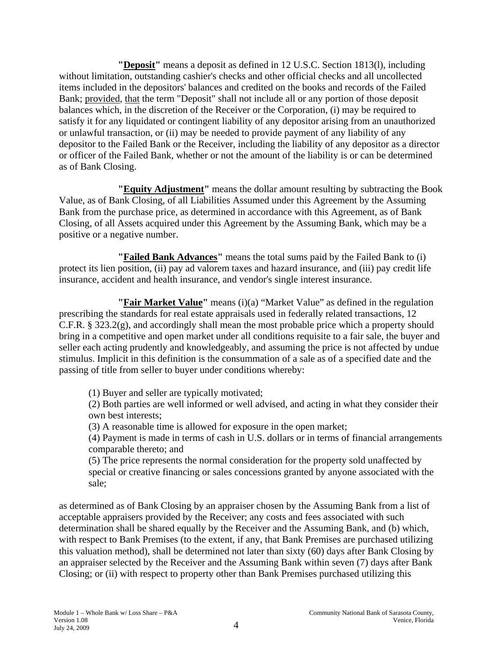**"Deposit"** means a deposit as defined in 12 U.S.C. Section 1813(l), including without limitation, outstanding cashier's checks and other official checks and all uncollected items included in the depositors' balances and credited on the books and records of the Failed Bank; provided, that the term "Deposit" shall not include all or any portion of those deposit balances which, in the discretion of the Receiver or the Corporation, (i) may be required to satisfy it for any liquidated or contingent liability of any depositor arising from an unauthorized or unlawful transaction, or (ii) may be needed to provide payment of any liability of any depositor to the Failed Bank or the Receiver, including the liability of any depositor as a director or officer of the Failed Bank, whether or not the amount of the liability is or can be determined as of Bank Closing.

**"Equity Adjustment"** means the dollar amount resulting by subtracting the Book Value, as of Bank Closing, of all Liabilities Assumed under this Agreement by the Assuming Bank from the purchase price, as determined in accordance with this Agreement, as of Bank Closing, of all Assets acquired under this Agreement by the Assuming Bank, which may be a positive or a negative number.

**"Failed Bank Advances"** means the total sums paid by the Failed Bank to (i) protect its lien position, (ii) pay ad valorem taxes and hazard insurance, and (iii) pay credit life insurance, accident and health insurance, and vendor's single interest insurance.

**"Fair Market Value"** means (i)(a) "Market Value" as defined in the regulation prescribing the standards for real estate appraisals used in federally related transactions, 12 C.F.R. § 323.2(g), and accordingly shall mean the most probable price which a property should bring in a competitive and open market under all conditions requisite to a fair sale, the buyer and seller each acting prudently and knowledgeably, and assuming the price is not affected by undue stimulus. Implicit in this definition is the consummation of a sale as of a specified date and the passing of title from seller to buyer under conditions whereby:

(1) Buyer and seller are typically motivated;

(2) Both parties are well informed or well advised, and acting in what they consider their own best interests;

(3) A reasonable time is allowed for exposure in the open market;

(4) Payment is made in terms of cash in U.S. dollars or in terms of financial arrangements comparable thereto; and

(5) The price represents the normal consideration for the property sold unaffected by special or creative financing or sales concessions granted by anyone associated with the sale;

as determined as of Bank Closing by an appraiser chosen by the Assuming Bank from a list of acceptable appraisers provided by the Receiver; any costs and fees associated with such determination shall be shared equally by the Receiver and the Assuming Bank, and (b) which, with respect to Bank Premises (to the extent, if any, that Bank Premises are purchased utilizing this valuation method), shall be determined not later than sixty (60) days after Bank Closing by an appraiser selected by the Receiver and the Assuming Bank within seven (7) days after Bank Closing; or (ii) with respect to property other than Bank Premises purchased utilizing this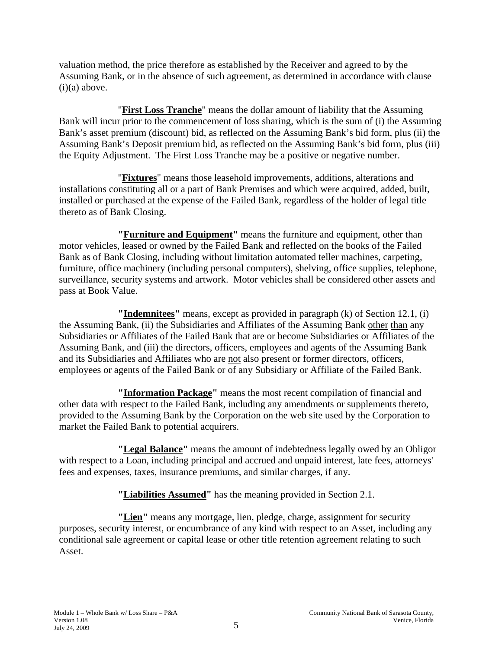valuation method, the price therefore as established by the Receiver and agreed to by the Assuming Bank, or in the absence of such agreement, as determined in accordance with clause  $(i)(a)$  above.

"**First Loss Tranche**" means the dollar amount of liability that the Assuming Bank will incur prior to the commencement of loss sharing, which is the sum of (i) the Assuming Bank's asset premium (discount) bid, as reflected on the Assuming Bank's bid form, plus (ii) the Assuming Bank's Deposit premium bid, as reflected on the Assuming Bank's bid form, plus (iii) the Equity Adjustment. The First Loss Tranche may be a positive or negative number.

"**Fixtures**" means those leasehold improvements, additions, alterations and installations constituting all or a part of Bank Premises and which were acquired, added, built, installed or purchased at the expense of the Failed Bank, regardless of the holder of legal title thereto as of Bank Closing.

**"Furniture and Equipment"** means the furniture and equipment, other than motor vehicles, leased or owned by the Failed Bank and reflected on the books of the Failed Bank as of Bank Closing, including without limitation automated teller machines, carpeting, furniture, office machinery (including personal computers), shelving, office supplies, telephone, surveillance, security systems and artwork. Motor vehicles shall be considered other assets and pass at Book Value.

**"Indemnitees"** means, except as provided in paragraph (k) of Section 12.1, (i) the Assuming Bank, (ii) the Subsidiaries and Affiliates of the Assuming Bank other than any Subsidiaries or Affiliates of the Failed Bank that are or become Subsidiaries or Affiliates of the Assuming Bank, and (iii) the directors, officers, employees and agents of the Assuming Bank and its Subsidiaries and Affiliates who are not also present or former directors, officers, employees or agents of the Failed Bank or of any Subsidiary or Affiliate of the Failed Bank.

**"Information Package"** means the most recent compilation of financial and other data with respect to the Failed Bank, including any amendments or supplements thereto, provided to the Assuming Bank by the Corporation on the web site used by the Corporation to market the Failed Bank to potential acquirers.

**"Legal Balance"** means the amount of indebtedness legally owed by an Obligor with respect to a Loan, including principal and accrued and unpaid interest, late fees, attorneys' fees and expenses, taxes, insurance premiums, and similar charges, if any.

**"Liabilities Assumed"** has the meaning provided in Section 2.1.

**"Lien"** means any mortgage, lien, pledge, charge, assignment for security purposes, security interest, or encumbrance of any kind with respect to an Asset, including any conditional sale agreement or capital lease or other title retention agreement relating to such Asset.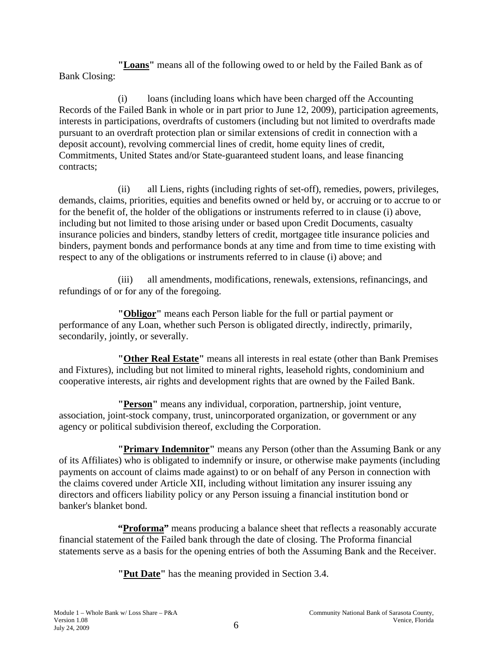**"Loans"** means all of the following owed to or held by the Failed Bank as of Bank Closing:

(i) loans (including loans which have been charged off the Accounting Records of the Failed Bank in whole or in part prior to June 12, 2009), participation agreements, interests in participations, overdrafts of customers (including but not limited to overdrafts made pursuant to an overdraft protection plan or similar extensions of credit in connection with a deposit account), revolving commercial lines of credit, home equity lines of credit, Commitments, United States and/or State-guaranteed student loans, and lease financing contracts;

(ii) all Liens, rights (including rights of set-off), remedies, powers, privileges, demands, claims, priorities, equities and benefits owned or held by, or accruing or to accrue to or for the benefit of, the holder of the obligations or instruments referred to in clause (i) above, including but not limited to those arising under or based upon Credit Documents, casualty insurance policies and binders, standby letters of credit, mortgagee title insurance policies and binders, payment bonds and performance bonds at any time and from time to time existing with respect to any of the obligations or instruments referred to in clause (i) above; and

(iii) all amendments, modifications, renewals, extensions, refinancings, and refundings of or for any of the foregoing.

**"Obligor"** means each Person liable for the full or partial payment or performance of any Loan, whether such Person is obligated directly, indirectly, primarily, secondarily, jointly, or severally.

**"Other Real Estate"** means all interests in real estate (other than Bank Premises and Fixtures), including but not limited to mineral rights, leasehold rights, condominium and cooperative interests, air rights and development rights that are owned by the Failed Bank.

**"Person"** means any individual, corporation, partnership, joint venture, association, joint-stock company, trust, unincorporated organization, or government or any agency or political subdivision thereof, excluding the Corporation.

**"Primary Indemnitor"** means any Person (other than the Assuming Bank or any of its Affiliates) who is obligated to indemnify or insure, or otherwise make payments (including payments on account of claims made against) to or on behalf of any Person in connection with the claims covered under Article XII, including without limitation any insurer issuing any directors and officers liability policy or any Person issuing a financial institution bond or banker's blanket bond.

**"Proforma"** means producing a balance sheet that reflects a reasonably accurate financial statement of the Failed bank through the date of closing. The Proforma financial statements serve as a basis for the opening entries of both the Assuming Bank and the Receiver.

**"Put Date"** has the meaning provided in Section 3.4.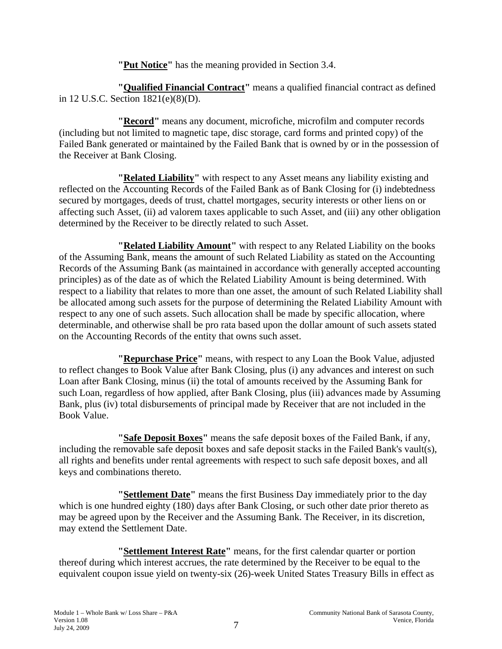**"Put Notice"** has the meaning provided in Section 3.4.

**"Qualified Financial Contract"** means a qualified financial contract as defined in 12 U.S.C. Section 1821(e)(8)(D).

**"Record"** means any document, microfiche, microfilm and computer records (including but not limited to magnetic tape, disc storage, card forms and printed copy) of the Failed Bank generated or maintained by the Failed Bank that is owned by or in the possession of the Receiver at Bank Closing.

**"Related Liability"** with respect to any Asset means any liability existing and reflected on the Accounting Records of the Failed Bank as of Bank Closing for (i) indebtedness secured by mortgages, deeds of trust, chattel mortgages, security interests or other liens on or affecting such Asset, (ii) ad valorem taxes applicable to such Asset, and (iii) any other obligation determined by the Receiver to be directly related to such Asset.

**"Related Liability Amount"** with respect to any Related Liability on the books of the Assuming Bank, means the amount of such Related Liability as stated on the Accounting Records of the Assuming Bank (as maintained in accordance with generally accepted accounting principles) as of the date as of which the Related Liability Amount is being determined. With respect to a liability that relates to more than one asset, the amount of such Related Liability shall be allocated among such assets for the purpose of determining the Related Liability Amount with respect to any one of such assets. Such allocation shall be made by specific allocation, where determinable, and otherwise shall be pro rata based upon the dollar amount of such assets stated on the Accounting Records of the entity that owns such asset.

 **"Repurchase Price"** means, with respect to any Loan the Book Value, adjusted to reflect changes to Book Value after Bank Closing, plus (i) any advances and interest on such Loan after Bank Closing, minus (ii) the total of amounts received by the Assuming Bank for such Loan, regardless of how applied, after Bank Closing, plus (iii) advances made by Assuming Bank, plus (iv) total disbursements of principal made by Receiver that are not included in the Book Value.

**"Safe Deposit Boxes"** means the safe deposit boxes of the Failed Bank, if any, including the removable safe deposit boxes and safe deposit stacks in the Failed Bank's vault(s), all rights and benefits under rental agreements with respect to such safe deposit boxes, and all keys and combinations thereto.

**"Settlement Date"** means the first Business Day immediately prior to the day which is one hundred eighty (180) days after Bank Closing, or such other date prior thereto as may be agreed upon by the Receiver and the Assuming Bank. The Receiver, in its discretion, may extend the Settlement Date.

**"Settlement Interest Rate"** means, for the first calendar quarter or portion thereof during which interest accrues, the rate determined by the Receiver to be equal to the equivalent coupon issue yield on twenty-six (26)-week United States Treasury Bills in effect as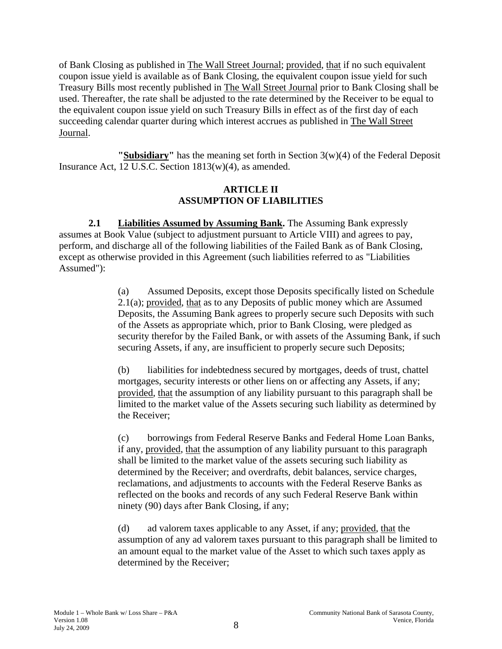of Bank Closing as published in The Wall Street Journal; provided, that if no such equivalent coupon issue yield is available as of Bank Closing, the equivalent coupon issue yield for such Treasury Bills most recently published in The Wall Street Journal prior to Bank Closing shall be used. Thereafter, the rate shall be adjusted to the rate determined by the Receiver to be equal to the equivalent coupon issue yield on such Treasury Bills in effect as of the first day of each succeeding calendar quarter during which interest accrues as published in The Wall Street Journal.

**"Subsidiary"** has the meaning set forth in Section 3(w)(4) of the Federal Deposit Insurance Act, 12 U.S.C. Section 1813(w)(4), as amended.

### **ARTICLE II ASSUMPTION OF LIABILITIES**

<span id="page-11-1"></span><span id="page-11-0"></span> **2.1 Liabilities Assumed by Assuming Bank.** The Assuming Bank expressly assumes at Book Value (subject to adjustment pursuant to Article VIII) and agrees to pay, perform, and discharge all of the following liabilities of the Failed Bank as of Bank Closing, except as otherwise provided in this Agreement (such liabilities referred to as "Liabilities Assumed"):

> (a) Assumed Deposits, except those Deposits specifically listed on Schedule 2.1(a); provided, that as to any Deposits of public money which are Assumed Deposits, the Assuming Bank agrees to properly secure such Deposits with such of the Assets as appropriate which, prior to Bank Closing, were pledged as security therefor by the Failed Bank, or with assets of the Assuming Bank, if such securing Assets, if any, are insufficient to properly secure such Deposits;

(b) liabilities for indebtedness secured by mortgages, deeds of trust, chattel mortgages, security interests or other liens on or affecting any Assets, if any; provided, that the assumption of any liability pursuant to this paragraph shall be limited to the market value of the Assets securing such liability as determined by the Receiver;

(c) borrowings from Federal Reserve Banks and Federal Home Loan Banks, if any, provided, that the assumption of any liability pursuant to this paragraph shall be limited to the market value of the assets securing such liability as determined by the Receiver; and overdrafts, debit balances, service charges, reclamations, and adjustments to accounts with the Federal Reserve Banks as reflected on the books and records of any such Federal Reserve Bank within ninety (90) days after Bank Closing, if any;

(d) ad valorem taxes applicable to any Asset, if any; provided, that the assumption of any ad valorem taxes pursuant to this paragraph shall be limited to an amount equal to the market value of the Asset to which such taxes apply as determined by the Receiver;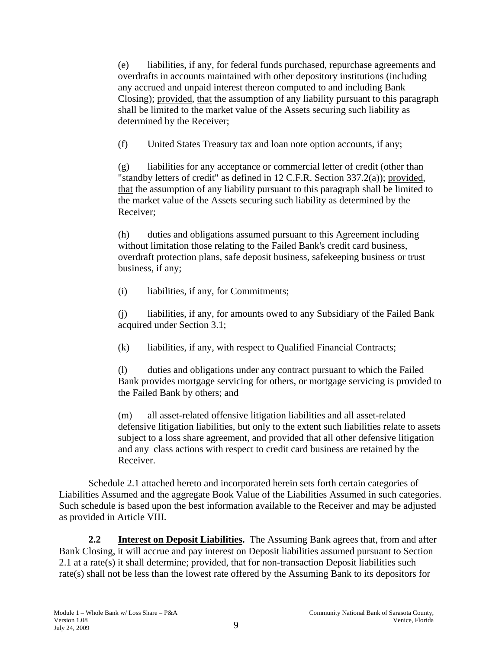(e) liabilities, if any, for federal funds purchased, repurchase agreements and overdrafts in accounts maintained with other depository institutions (including any accrued and unpaid interest thereon computed to and including Bank Closing); provided, that the assumption of any liability pursuant to this paragraph shall be limited to the market value of the Assets securing such liability as determined by the Receiver;

(f) United States Treasury tax and loan note option accounts, if any;

(g) liabilities for any acceptance or commercial letter of credit (other than "standby letters of credit" as defined in 12 C.F.R. Section 337.2(a)); provided, that the assumption of any liability pursuant to this paragraph shall be limited to the market value of the Assets securing such liability as determined by the Receiver;

(h) duties and obligations assumed pursuant to this Agreement including without limitation those relating to the Failed Bank's credit card business, overdraft protection plans, safe deposit business, safekeeping business or trust business, if any;

(i) liabilities, if any, for Commitments;

(j) liabilities, if any, for amounts owed to any Subsidiary of the Failed Bank acquired under Section 3.1;

(k) liabilities, if any, with respect to Qualified Financial Contracts;

(l) duties and obligations under any contract pursuant to which the Failed Bank provides mortgage servicing for others, or mortgage servicing is provided to the Failed Bank by others; and

(m) all asset-related offensive litigation liabilities and all asset-related defensive litigation liabilities, but only to the extent such liabilities relate to assets subject to a loss share agreement, and provided that all other defensive litigation and any class actions with respect to credit card business are retained by the Receiver.

Schedule 2.1 attached hereto and incorporated herein sets forth certain categories of Liabilities Assumed and the aggregate Book Value of the Liabilities Assumed in such categories. Such schedule is based upon the best information available to the Receiver and may be adjusted as provided in Article VIII.

<span id="page-12-0"></span>**2.2 Interest on Deposit Liabilities.** The Assuming Bank agrees that, from and after Bank Closing, it will accrue and pay interest on Deposit liabilities assumed pursuant to Section 2.1 at a rate(s) it shall determine; provided, that for non-transaction Deposit liabilities such rate(s) shall not be less than the lowest rate offered by the Assuming Bank to its depositors for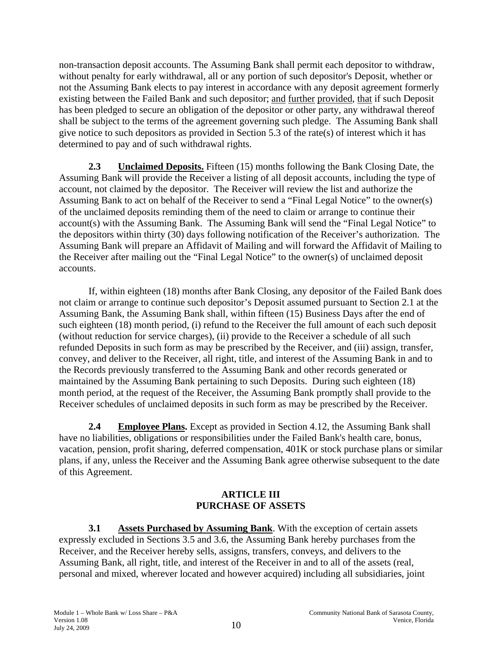non-transaction deposit accounts. The Assuming Bank shall permit each depositor to withdraw, without penalty for early withdrawal, all or any portion of such depositor's Deposit, whether or not the Assuming Bank elects to pay interest in accordance with any deposit agreement formerly existing between the Failed Bank and such depositor; and further provided, that if such Deposit has been pledged to secure an obligation of the depositor or other party, any withdrawal thereof shall be subject to the terms of the agreement governing such pledge. The Assuming Bank shall give notice to such depositors as provided in Section 5.3 of the rate(s) of interest which it has determined to pay and of such withdrawal rights.

<span id="page-13-0"></span>**2.3 Unclaimed Deposits.** Fifteen (15) months following the Bank Closing Date, the Assuming Bank will provide the Receiver a listing of all deposit accounts, including the type of account, not claimed by the depositor. The Receiver will review the list and authorize the Assuming Bank to act on behalf of the Receiver to send a "Final Legal Notice" to the owner(s) of the unclaimed deposits reminding them of the need to claim or arrange to continue their account(s) with the Assuming Bank. The Assuming Bank will send the "Final Legal Notice" to the depositors within thirty (30) days following notification of the Receiver's authorization. The Assuming Bank will prepare an Affidavit of Mailing and will forward the Affidavit of Mailing to the Receiver after mailing out the "Final Legal Notice" to the owner(s) of unclaimed deposit accounts.

If, within eighteen (18) months after Bank Closing, any depositor of the Failed Bank does not claim or arrange to continue such depositor's Deposit assumed pursuant to Section 2.1 at the Assuming Bank, the Assuming Bank shall, within fifteen (15) Business Days after the end of such eighteen (18) month period, (i) refund to the Receiver the full amount of each such deposit (without reduction for service charges), (ii) provide to the Receiver a schedule of all such refunded Deposits in such form as may be prescribed by the Receiver, and (iii) assign, transfer, convey, and deliver to the Receiver, all right, title, and interest of the Assuming Bank in and to the Records previously transferred to the Assuming Bank and other records generated or maintained by the Assuming Bank pertaining to such Deposits. During such eighteen (18) month period, at the request of the Receiver, the Assuming Bank promptly shall provide to the Receiver schedules of unclaimed deposits in such form as may be prescribed by the Receiver.

<span id="page-13-1"></span>**2.4 Employee Plans.** Except as provided in Section 4.12, the Assuming Bank shall have no liabilities, obligations or responsibilities under the Failed Bank's health care, bonus, vacation, pension, profit sharing, deferred compensation, 401K or stock purchase plans or similar plans, if any, unless the Receiver and the Assuming Bank agree otherwise subsequent to the date of this Agreement.

### **ARTICLE III PURCHASE OF ASSETS**

<span id="page-13-3"></span><span id="page-13-2"></span>**3.1** Assets Purchased by Assuming Bank. With the exception of certain assets expressly excluded in Sections 3.5 and 3.6, the Assuming Bank hereby purchases from the Receiver, and the Receiver hereby sells, assigns, transfers, conveys, and delivers to the Assuming Bank, all right, title, and interest of the Receiver in and to all of the assets (real, personal and mixed, wherever located and however acquired) including all subsidiaries, joint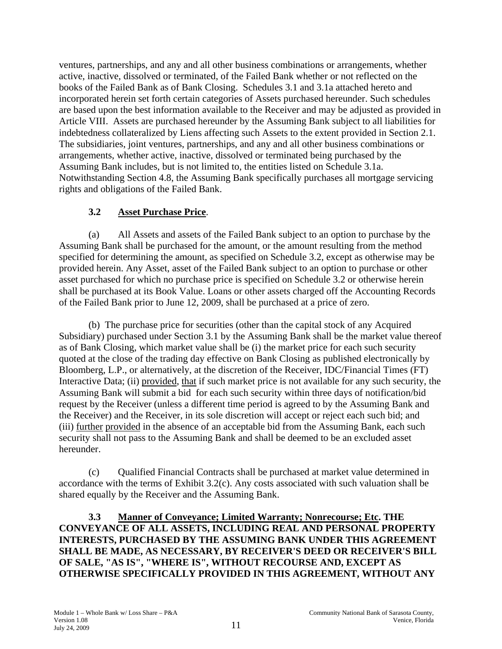Assuming Bank includes, but is not limited to, the entities listed on Schedule 3.1a. ventures, partnerships, and any and all other business combinations or arrangements, whether active, inactive, dissolved or terminated, of the Failed Bank whether or not reflected on the books of the Failed Bank as of Bank Closing. Schedules 3.1 and 3.1a attached hereto and incorporated herein set forth certain categories of Assets purchased hereunder. Such schedules are based upon the best information available to the Receiver and may be adjusted as provided in Article VIII. Assets are purchased hereunder by the Assuming Bank subject to all liabilities for indebtedness collateralized by Liens affecting such Assets to the extent provided in Section 2.1. The subsidiaries, joint ventures, partnerships, and any and all other business combinations or arrangements, whether active, inactive, dissolved or terminated being purchased by the Notwithstanding Section 4.8, the Assuming Bank specifically purchases all mortgage servicing rights and obligations of the Failed Bank.

# **3.2 Asset Purchase Price**.

<span id="page-14-0"></span>(a) All Assets and assets of the Failed Bank subject to an option to purchase by the Assuming Bank shall be purchased for the amount, or the amount resulting from the method specified for determining the amount, as specified on Schedule 3.2, except as otherwise may be provided herein. Any Asset, asset of the Failed Bank subject to an option to purchase or other asset purchased for which no purchase price is specified on Schedule 3.2 or otherwise herein shall be purchased at its Book Value. Loans or other assets charged off the Accounting Records of the Failed Bank prior to June 12, 2009, shall be purchased at a price of zero.

(b) The purchase price for securities (other than the capital stock of any Acquired Subsidiary) purchased under Section 3.1 by the Assuming Bank shall be the market value thereof as of Bank Closing, which market value shall be (i) the market price for each such security quoted at the close of the trading day effective on Bank Closing as published electronically by Bloomberg, L.P., or alternatively, at the discretion of the Receiver, IDC/Financial Times (FT) Interactive Data; (ii) provided, that if such market price is not available for any such security, the Assuming Bank will submit a bid for each such security within three days of notification/bid request by the Receiver (unless a different time period is agreed to by the Assuming Bank and the Receiver) and the Receiver, in its sole discretion will accept or reject each such bid; and (iii) further provided in the absence of an acceptable bid from the Assuming Bank, each such security shall not pass to the Assuming Bank and shall be deemed to be an excluded asset hereunder.

(c) Qualified Financial Contracts shall be purchased at market value determined in accordance with the terms of Exhibit 3.2(c). Any costs associated with such valuation shall be shared equally by the Receiver and the Assuming Bank.

<span id="page-14-1"></span> **3.3 Manner of Conveyance; Limited Warranty; Nonrecourse; Etc. THE CONVEYANCE OF ALL ASSETS, INCLUDING REAL AND PERSONAL PROPERTY INTERESTS, PURCHASED BY THE ASSUMING BANK UNDER THIS AGREEMENT SHALL BE MADE, AS NECESSARY, BY RECEIVER'S DEED OR RECEIVER'S BILL OF SALE, "AS IS", "WHERE IS", WITHOUT RECOURSE AND, EXCEPT AS OTHERWISE SPECIFICALLY PROVIDED IN THIS AGREEMENT, WITHOUT ANY**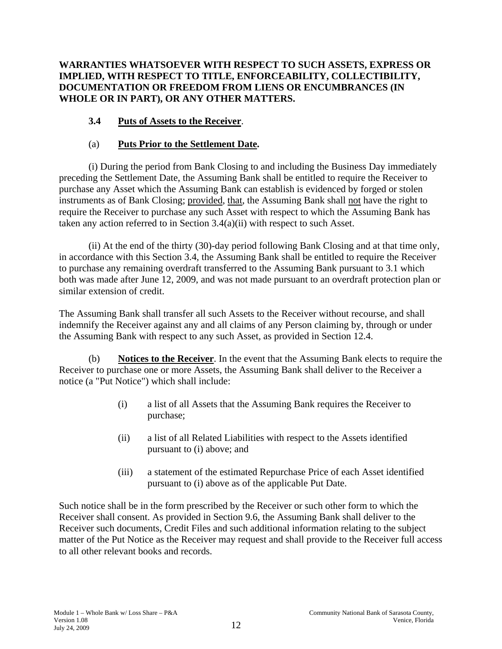### **WARRANTIES WHATSOEVER WITH RESPECT TO SUCH ASSETS, EXPRESS OR IMPLIED, WITH RESPECT TO TITLE, ENFORCEABILITY, COLLECTIBILITY, DOCUMENTATION OR FREEDOM FROM LIENS OR ENCUMBRANCES (IN WHOLE OR IN PART), OR ANY OTHER MATTERS.**

## **3.4 Puts of Assets to the Receiver**.

### (a) **Puts Prior to the Settlement Date.**

<span id="page-15-0"></span>(i) During the period from Bank Closing to and including the Business Day immediately preceding the Settlement Date, the Assuming Bank shall be entitled to require the Receiver to purchase any Asset which the Assuming Bank can establish is evidenced by forged or stolen instruments as of Bank Closing; provided, that, the Assuming Bank shall not have the right to require the Receiver to purchase any such Asset with respect to which the Assuming Bank has taken any action referred to in Section 3.4(a)(ii) with respect to such Asset.

(ii) At the end of the thirty (30)-day period following Bank Closing and at that time only, in accordance with this Section 3.4, the Assuming Bank shall be entitled to require the Receiver to purchase any remaining overdraft transferred to the Assuming Bank pursuant to 3.1 which both was made after June 12, 2009, and was not made pursuant to an overdraft protection plan or similar extension of credit.

The Assuming Bank shall transfer all such Assets to the Receiver without recourse, and shall indemnify the Receiver against any and all claims of any Person claiming by, through or under the Assuming Bank with respect to any such Asset, as provided in Section 12.4.

(b) **Notices to the Receiver**. In the event that the Assuming Bank elects to require the Receiver to purchase one or more Assets, the Assuming Bank shall deliver to the Receiver a notice (a "Put Notice") which shall include:

- (i) a list of all Assets that the Assuming Bank requires the Receiver to purchase;
- (ii) a list of all Related Liabilities with respect to the Assets identified pursuant to (i) above; and
- (iii) a statement of the estimated Repurchase Price of each Asset identified pursuant to (i) above as of the applicable Put Date.

Such notice shall be in the form prescribed by the Receiver or such other form to which the Receiver shall consent. As provided in Section 9.6, the Assuming Bank shall deliver to the Receiver such documents, Credit Files and such additional information relating to the subject matter of the Put Notice as the Receiver may request and shall provide to the Receiver full access to all other relevant books and records.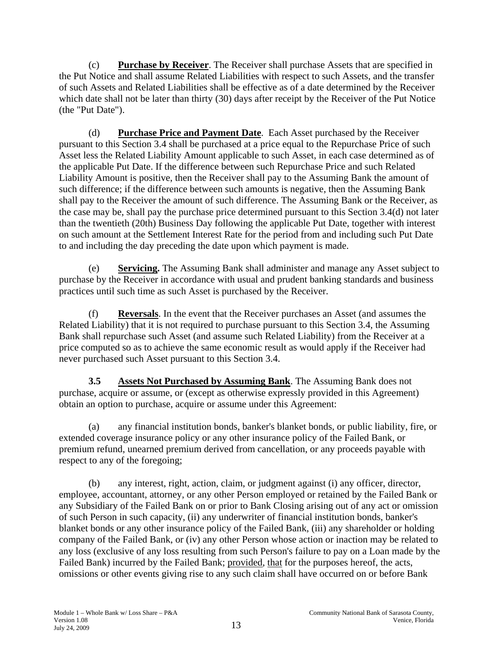(c) **Purchase by Receiver**. The Receiver shall purchase Assets that are specified in the Put Notice and shall assume Related Liabilities with respect to such Assets, and the transfer of such Assets and Related Liabilities shall be effective as of a date determined by the Receiver which date shall not be later than thirty (30) days after receipt by the Receiver of the Put Notice (the "Put Date").

(d) **Purchase Price and Payment Date**. Each Asset purchased by the Receiver pursuant to this Section 3.4 shall be purchased at a price equal to the Repurchase Price of such Asset less the Related Liability Amount applicable to such Asset, in each case determined as of the applicable Put Date. If the difference between such Repurchase Price and such Related Liability Amount is positive, then the Receiver shall pay to the Assuming Bank the amount of such difference; if the difference between such amounts is negative, then the Assuming Bank shall pay to the Receiver the amount of such difference. The Assuming Bank or the Receiver, as the case may be, shall pay the purchase price determined pursuant to this Section 3.4(d) not later than the twentieth (20th) Business Day following the applicable Put Date, together with interest on such amount at the Settlement Interest Rate for the period from and including such Put Date to and including the day preceding the date upon which payment is made.

(e) **Servicing.** The Assuming Bank shall administer and manage any Asset subject to purchase by the Receiver in accordance with usual and prudent banking standards and business practices until such time as such Asset is purchased by the Receiver.

(f) **Reversals**. In the event that the Receiver purchases an Asset (and assumes the Related Liability) that it is not required to purchase pursuant to this Section 3.4, the Assuming Bank shall repurchase such Asset (and assume such Related Liability) from the Receiver at a price computed so as to achieve the same economic result as would apply if the Receiver had never purchased such Asset pursuant to this Section 3.4.

<span id="page-16-0"></span>**3.5 Assets Not Purchased by Assuming Bank**. The Assuming Bank does not purchase, acquire or assume, or (except as otherwise expressly provided in this Agreement) obtain an option to purchase, acquire or assume under this Agreement:

(a) any financial institution bonds, banker's blanket bonds, or public liability, fire, or extended coverage insurance policy or any other insurance policy of the Failed Bank, or premium refund, unearned premium derived from cancellation, or any proceeds payable with respect to any of the foregoing;

(b) any interest, right, action, claim, or judgment against (i) any officer, director, employee, accountant, attorney, or any other Person employed or retained by the Failed Bank or any Subsidiary of the Failed Bank on or prior to Bank Closing arising out of any act or omission of such Person in such capacity, (ii) any underwriter of financial institution bonds, banker's blanket bonds or any other insurance policy of the Failed Bank, (iii) any shareholder or holding company of the Failed Bank, or (iv) any other Person whose action or inaction may be related to any loss (exclusive of any loss resulting from such Person's failure to pay on a Loan made by the Failed Bank) incurred by the Failed Bank; provided, that for the purposes hereof, the acts, omissions or other events giving rise to any such claim shall have occurred on or before Bank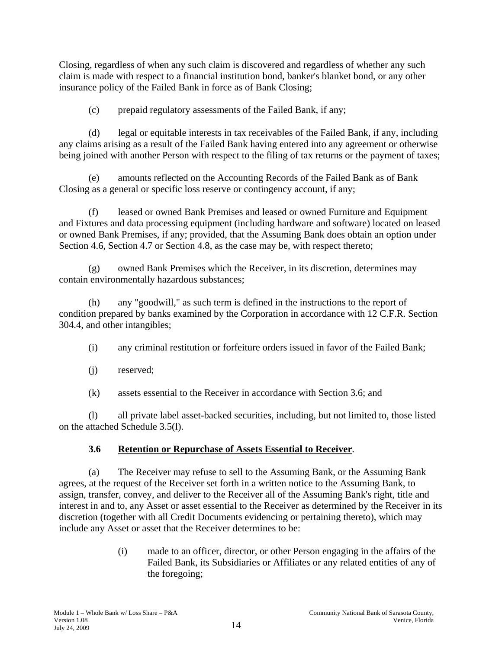Closing, regardless of when any such claim is discovered and regardless of whether any such claim is made with respect to a financial institution bond, banker's blanket bond, or any other insurance policy of the Failed Bank in force as of Bank Closing;

(c) prepaid regulatory assessments of the Failed Bank, if any;

(d) legal or equitable interests in tax receivables of the Failed Bank, if any, including any claims arising as a result of the Failed Bank having entered into any agreement or otherwise being joined with another Person with respect to the filing of tax returns or the payment of taxes;

(e) amounts reflected on the Accounting Records of the Failed Bank as of Bank Closing as a general or specific loss reserve or contingency account, if any;

(f) leased or owned Bank Premises and leased or owned Furniture and Equipment and Fixtures and data processing equipment (including hardware and software) located on leased or owned Bank Premises, if any; provided, that the Assuming Bank does obtain an option under Section 4.6, Section 4.7 or Section 4.8, as the case may be, with respect thereto;

(g) owned Bank Premises which the Receiver, in its discretion, determines may contain environmentally hazardous substances;

(h) any "goodwill," as such term is defined in the instructions to the report of condition prepared by banks examined by the Corporation in accordance with 12 C.F.R. Section 304.4, and other intangibles;

- (i) any criminal restitution or forfeiture orders issued in favor of the Failed Bank;
- (j) reserved;
- (k) assets essential to the Receiver in accordance with Section 3.6; and

(l) all private label asset-backed securities, including, but not limited to, those listed on the attached Schedule 3.5(l).

## **3.6 Retention or Repurchase of Assets Essential to Receiver**.

<span id="page-17-0"></span>(a) The Receiver may refuse to sell to the Assuming Bank, or the Assuming Bank agrees, at the request of the Receiver set forth in a written notice to the Assuming Bank, to assign, transfer, convey, and deliver to the Receiver all of the Assuming Bank's right, title and interest in and to, any Asset or asset essential to the Receiver as determined by the Receiver in its discretion (together with all Credit Documents evidencing or pertaining thereto), which may include any Asset or asset that the Receiver determines to be:

> (i) made to an officer, director, or other Person engaging in the affairs of the Failed Bank, its Subsidiaries or Affiliates or any related entities of any of the foregoing;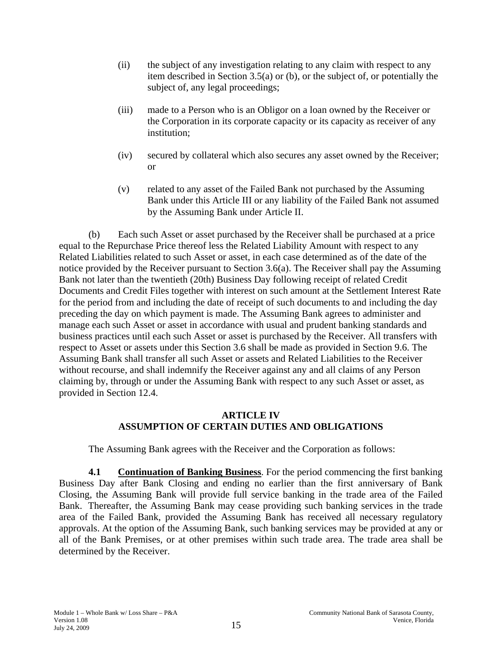- (ii) the subject of any investigation relating to any claim with respect to any item described in Section 3.5(a) or (b), or the subject of, or potentially the subject of, any legal proceedings;
- (iii) made to a Person who is an Obligor on a loan owned by the Receiver or the Corporation in its corporate capacity or its capacity as receiver of any institution;
- (iv) secured by collateral which also secures any asset owned by the Receiver; or
- (v) related to any asset of the Failed Bank not purchased by the Assuming Bank under this Article III or any liability of the Failed Bank not assumed by the Assuming Bank under Article II.

(b) Each such Asset or asset purchased by the Receiver shall be purchased at a price equal to the Repurchase Price thereof less the Related Liability Amount with respect to any Related Liabilities related to such Asset or asset, in each case determined as of the date of the notice provided by the Receiver pursuant to Section 3.6(a). The Receiver shall pay the Assuming Bank not later than the twentieth (20th) Business Day following receipt of related Credit Documents and Credit Files together with interest on such amount at the Settlement Interest Rate for the period from and including the date of receipt of such documents to and including the day preceding the day on which payment is made. The Assuming Bank agrees to administer and manage each such Asset or asset in accordance with usual and prudent banking standards and business practices until each such Asset or asset is purchased by the Receiver. All transfers with respect to Asset or assets under this Section 3.6 shall be made as provided in Section 9.6. The Assuming Bank shall transfer all such Asset or assets and Related Liabilities to the Receiver without recourse, and shall indemnify the Receiver against any and all claims of any Person claiming by, through or under the Assuming Bank with respect to any such Asset or asset, as provided in Section 12.4.

### **ARTICLE IV ASSUMPTION OF CERTAIN DUTIES AND OBLIGATIONS**

The Assuming Bank agrees with the Receiver and the Corporation as follows:

<span id="page-18-1"></span><span id="page-18-0"></span>**4.1** Continuation of Banking Business. For the period commencing the first banking Business Day after Bank Closing and ending no earlier than the first anniversary of Bank Closing, the Assuming Bank will provide full service banking in the trade area of the Failed Bank. Thereafter, the Assuming Bank may cease providing such banking services in the trade area of the Failed Bank, provided the Assuming Bank has received all necessary regulatory approvals. At the option of the Assuming Bank, such banking services may be provided at any or all of the Bank Premises, or at other premises within such trade area. The trade area shall be determined by the Receiver.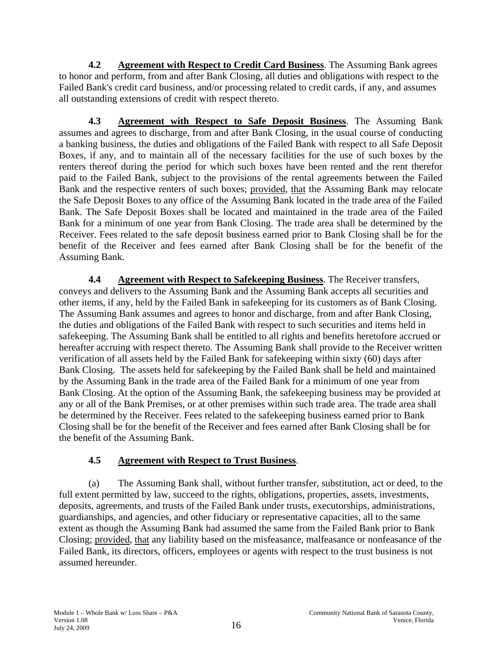**4.2 Agreement with Respect to Credit Card Business**. The Assuming Bank agrees to honor and perform, from and after Bank Closing, all duties and obligations with respect to the Failed Bank's credit card business, and/or processing related to credit cards, if any, and assumes all outstanding extensions of credit with respect thereto.

**4.3 Agreement with Respect to Safe Deposit Business**. The Assuming Bank assumes and agrees to discharge, from and after Bank Closing, in the usual course of conducting a banking business, the duties and obligations of the Failed Bank with respect to all Safe Deposit Boxes, if any, and to maintain all of the necessary facilities for the use of such boxes by the renters thereof during the period for which such boxes have been rented and the rent therefor paid to the Failed Bank, subject to the provisions of the rental agreements between the Failed Bank and the respective renters of such boxes; provided, that the Assuming Bank may relocate the Safe Deposit Boxes to any office of the Assuming Bank located in the trade area of the Failed Bank. The Safe Deposit Boxes shall be located and maintained in the trade area of the Failed Bank for a minimum of one year from Bank Closing. The trade area shall be determined by the Receiver. Fees related to the safe deposit business earned prior to Bank Closing shall be for the benefit of the Receiver and fees earned after Bank Closing shall be for the benefit of the Assuming Bank.

**4.4 Agreement with Respect to Safekeeping Business**. The Receiver transfers, conveys and delivers to the Assuming Bank and the Assuming Bank accepts all securities and other items, if any, held by the Failed Bank in safekeeping for its customers as of Bank Closing. The Assuming Bank assumes and agrees to honor and discharge, from and after Bank Closing, the duties and obligations of the Failed Bank with respect to such securities and items held in safekeeping. The Assuming Bank shall be entitled to all rights and benefits heretofore accrued or hereafter accruing with respect thereto. The Assuming Bank shall provide to the Receiver written verification of all assets held by the Failed Bank for safekeeping within sixty (60) days after Bank Closing. The assets held for safekeeping by the Failed Bank shall be held and maintained by the Assuming Bank in the trade area of the Failed Bank for a minimum of one year from Bank Closing. At the option of the Assuming Bank, the safekeeping business may be provided at any or all of the Bank Premises, or at other premises within such trade area. The trade area shall be determined by the Receiver. Fees related to the safekeeping business earned prior to Bank Closing shall be for the benefit of the Receiver and fees earned after Bank Closing shall be for the benefit of the Assuming Bank.

## **4.5 Agreement with Respect to Trust Business**.

<span id="page-19-0"></span>(a) The Assuming Bank shall, without further transfer, substitution, act or deed, to the full extent permitted by law, succeed to the rights, obligations, properties, assets, investments, deposits, agreements, and trusts of the Failed Bank under trusts, executorships, administrations, guardianships, and agencies, and other fiduciary or representative capacities, all to the same extent as though the Assuming Bank had assumed the same from the Failed Bank prior to Bank Closing; provided, that any liability based on the misfeasance, malfeasance or nonfeasance of the Failed Bank, its directors, officers, employees or agents with respect to the trust business is not assumed hereunder.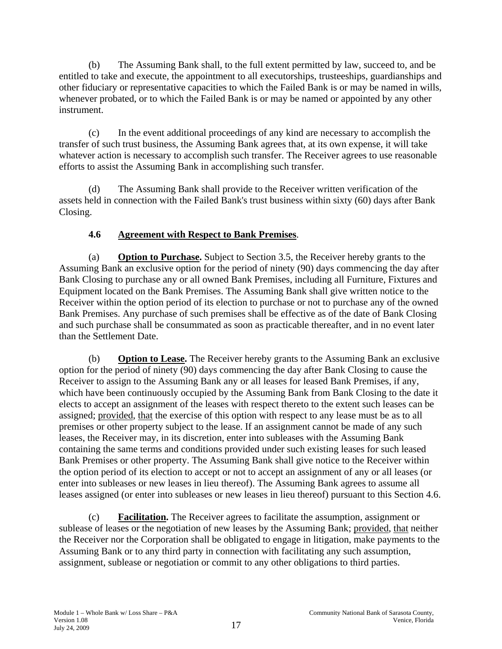(b) The Assuming Bank shall, to the full extent permitted by law, succeed to, and be entitled to take and execute, the appointment to all executorships, trusteeships, guardianships and other fiduciary or representative capacities to which the Failed Bank is or may be named in wills, whenever probated, or to which the Failed Bank is or may be named or appointed by any other instrument.

(c) In the event additional proceedings of any kind are necessary to accomplish the transfer of such trust business, the Assuming Bank agrees that, at its own expense, it will take whatever action is necessary to accomplish such transfer. The Receiver agrees to use reasonable efforts to assist the Assuming Bank in accomplishing such transfer.

(d) The Assuming Bank shall provide to the Receiver written verification of the assets held in connection with the Failed Bank's trust business within sixty (60) days after Bank Closing.

# **4.6 Agreement with Respect to Bank Premises**.

<span id="page-20-0"></span>(a) **Option to Purchase.** Subject to Section 3.5, the Receiver hereby grants to the Assuming Bank an exclusive option for the period of ninety (90) days commencing the day after Bank Closing to purchase any or all owned Bank Premises, including all Furniture, Fixtures and Equipment located on the Bank Premises. The Assuming Bank shall give written notice to the Receiver within the option period of its election to purchase or not to purchase any of the owned Bank Premises. Any purchase of such premises shall be effective as of the date of Bank Closing and such purchase shall be consummated as soon as practicable thereafter, and in no event later than the Settlement Date.

(b) **Option to Lease.** The Receiver hereby grants to the Assuming Bank an exclusive option for the period of ninety (90) days commencing the day after Bank Closing to cause the Receiver to assign to the Assuming Bank any or all leases for leased Bank Premises, if any, which have been continuously occupied by the Assuming Bank from Bank Closing to the date it elects to accept an assignment of the leases with respect thereto to the extent such leases can be assigned; provided, that the exercise of this option with respect to any lease must be as to all premises or other property subject to the lease. If an assignment cannot be made of any such leases, the Receiver may, in its discretion, enter into subleases with the Assuming Bank containing the same terms and conditions provided under such existing leases for such leased Bank Premises or other property. The Assuming Bank shall give notice to the Receiver within the option period of its election to accept or not to accept an assignment of any or all leases (or enter into subleases or new leases in lieu thereof). The Assuming Bank agrees to assume all leases assigned (or enter into subleases or new leases in lieu thereof) pursuant to this Section 4.6.

(c) **Facilitation.** The Receiver agrees to facilitate the assumption, assignment or sublease of leases or the negotiation of new leases by the Assuming Bank; provided, that neither the Receiver nor the Corporation shall be obligated to engage in litigation, make payments to the Assuming Bank or to any third party in connection with facilitating any such assumption, assignment, sublease or negotiation or commit to any other obligations to third parties.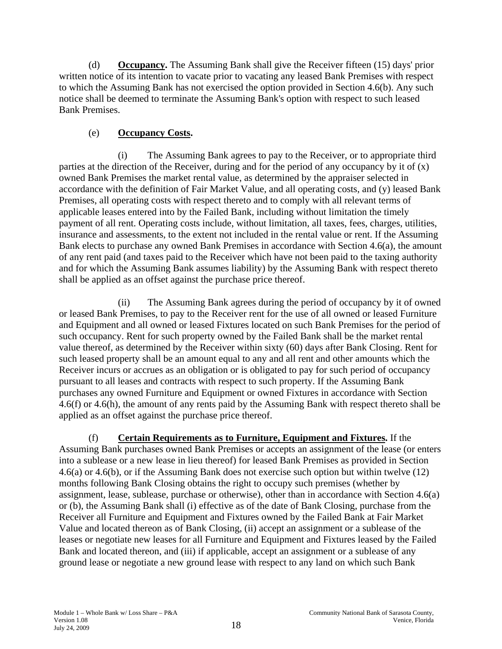(d) **Occupancy.** The Assuming Bank shall give the Receiver fifteen (15) days' prior written notice of its intention to vacate prior to vacating any leased Bank Premises with respect to which the Assuming Bank has not exercised the option provided in Section 4.6(b). Any such notice shall be deemed to terminate the Assuming Bank's option with respect to such leased Bank Premises.

## (e) **Occupancy Costs.**

(i) The Assuming Bank agrees to pay to the Receiver, or to appropriate third parties at the direction of the Receiver, during and for the period of any occupancy by it of (x) owned Bank Premises the market rental value, as determined by the appraiser selected in accordance with the definition of Fair Market Value, and all operating costs, and (y) leased Bank Premises, all operating costs with respect thereto and to comply with all relevant terms of applicable leases entered into by the Failed Bank, including without limitation the timely payment of all rent. Operating costs include, without limitation, all taxes, fees, charges, utilities, insurance and assessments, to the extent not included in the rental value or rent. If the Assuming Bank elects to purchase any owned Bank Premises in accordance with Section 4.6(a), the amount of any rent paid (and taxes paid to the Receiver which have not been paid to the taxing authority and for which the Assuming Bank assumes liability) by the Assuming Bank with respect thereto shall be applied as an offset against the purchase price thereof.

(ii) The Assuming Bank agrees during the period of occupancy by it of owned or leased Bank Premises, to pay to the Receiver rent for the use of all owned or leased Furniture and Equipment and all owned or leased Fixtures located on such Bank Premises for the period of such occupancy. Rent for such property owned by the Failed Bank shall be the market rental value thereof, as determined by the Receiver within sixty (60) days after Bank Closing. Rent for such leased property shall be an amount equal to any and all rent and other amounts which the Receiver incurs or accrues as an obligation or is obligated to pay for such period of occupancy pursuant to all leases and contracts with respect to such property. If the Assuming Bank purchases any owned Furniture and Equipment or owned Fixtures in accordance with Section 4.6(f) or 4.6(h), the amount of any rents paid by the Assuming Bank with respect thereto shall be applied as an offset against the purchase price thereof.

(f) **Certain Requirements as to Furniture, Equipment and Fixtures.** If the Assuming Bank purchases owned Bank Premises or accepts an assignment of the lease (or enters into a sublease or a new lease in lieu thereof) for leased Bank Premises as provided in Section 4.6(a) or 4.6(b), or if the Assuming Bank does not exercise such option but within twelve (12) months following Bank Closing obtains the right to occupy such premises (whether by assignment, lease, sublease, purchase or otherwise), other than in accordance with Section 4.6(a) or (b), the Assuming Bank shall (i) effective as of the date of Bank Closing, purchase from the Receiver all Furniture and Equipment and Fixtures owned by the Failed Bank at Fair Market Value and located thereon as of Bank Closing, (ii) accept an assignment or a sublease of the leases or negotiate new leases for all Furniture and Equipment and Fixtures leased by the Failed Bank and located thereon, and (iii) if applicable, accept an assignment or a sublease of any ground lease or negotiate a new ground lease with respect to any land on which such Bank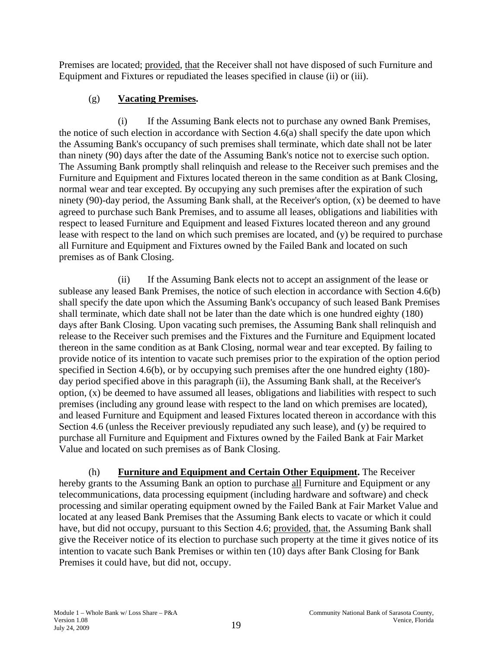Premises are located; provided, that the Receiver shall not have disposed of such Furniture and Equipment and Fixtures or repudiated the leases specified in clause (ii) or (iii).

# (g) **Vacating Premises.**

(i) If the Assuming Bank elects not to purchase any owned Bank Premises, the notice of such election in accordance with Section 4.6(a) shall specify the date upon which the Assuming Bank's occupancy of such premises shall terminate, which date shall not be later than ninety (90) days after the date of the Assuming Bank's notice not to exercise such option. The Assuming Bank promptly shall relinquish and release to the Receiver such premises and the Furniture and Equipment and Fixtures located thereon in the same condition as at Bank Closing, normal wear and tear excepted. By occupying any such premises after the expiration of such ninety (90)-day period, the Assuming Bank shall, at the Receiver's option, (x) be deemed to have agreed to purchase such Bank Premises, and to assume all leases, obligations and liabilities with respect to leased Furniture and Equipment and leased Fixtures located thereon and any ground lease with respect to the land on which such premises are located, and (y) be required to purchase all Furniture and Equipment and Fixtures owned by the Failed Bank and located on such premises as of Bank Closing.

(ii) If the Assuming Bank elects not to accept an assignment of the lease or sublease any leased Bank Premises, the notice of such election in accordance with Section 4.6(b) shall specify the date upon which the Assuming Bank's occupancy of such leased Bank Premises shall terminate, which date shall not be later than the date which is one hundred eighty (180) days after Bank Closing. Upon vacating such premises, the Assuming Bank shall relinquish and release to the Receiver such premises and the Fixtures and the Furniture and Equipment located thereon in the same condition as at Bank Closing, normal wear and tear excepted. By failing to provide notice of its intention to vacate such premises prior to the expiration of the option period specified in Section 4.6(b), or by occupying such premises after the one hundred eighty (180) day period specified above in this paragraph (ii), the Assuming Bank shall, at the Receiver's option, (x) be deemed to have assumed all leases, obligations and liabilities with respect to such premises (including any ground lease with respect to the land on which premises are located), and leased Furniture and Equipment and leased Fixtures located thereon in accordance with this Section 4.6 (unless the Receiver previously repudiated any such lease), and (y) be required to purchase all Furniture and Equipment and Fixtures owned by the Failed Bank at Fair Market Value and located on such premises as of Bank Closing.

(h) **Furniture and Equipment and Certain Other Equipment.** The Receiver hereby grants to the Assuming Bank an option to purchase all Furniture and Equipment or any telecommunications, data processing equipment (including hardware and software) and check processing and similar operating equipment owned by the Failed Bank at Fair Market Value and located at any leased Bank Premises that the Assuming Bank elects to vacate or which it could have, but did not occupy, pursuant to this Section 4.6; provided, that, the Assuming Bank shall give the Receiver notice of its election to purchase such property at the time it gives notice of its intention to vacate such Bank Premises or within ten (10) days after Bank Closing for Bank Premises it could have, but did not, occupy.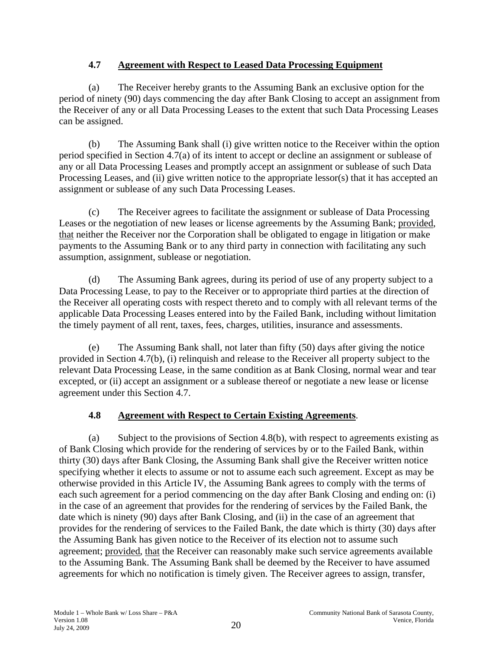# **4.7 Agreement with Respect to Leased Data Processing Equipment**

<span id="page-23-0"></span>(a) The Receiver hereby grants to the Assuming Bank an exclusive option for the period of ninety (90) days commencing the day after Bank Closing to accept an assignment from the Receiver of any or all Data Processing Leases to the extent that such Data Processing Leases can be assigned.

(b) The Assuming Bank shall (i) give written notice to the Receiver within the option period specified in Section 4.7(a) of its intent to accept or decline an assignment or sublease of any or all Data Processing Leases and promptly accept an assignment or sublease of such Data Processing Leases, and (ii) give written notice to the appropriate lessor(s) that it has accepted an assignment or sublease of any such Data Processing Leases.

(c) The Receiver agrees to facilitate the assignment or sublease of Data Processing Leases or the negotiation of new leases or license agreements by the Assuming Bank; provided, that neither the Receiver nor the Corporation shall be obligated to engage in litigation or make payments to the Assuming Bank or to any third party in connection with facilitating any such assumption, assignment, sublease or negotiation.

(d) The Assuming Bank agrees, during its period of use of any property subject to a Data Processing Lease, to pay to the Receiver or to appropriate third parties at the direction of the Receiver all operating costs with respect thereto and to comply with all relevant terms of the applicable Data Processing Leases entered into by the Failed Bank, including without limitation the timely payment of all rent, taxes, fees, charges, utilities, insurance and assessments.

(e) The Assuming Bank shall, not later than fifty (50) days after giving the notice provided in Section 4.7(b), (i) relinquish and release to the Receiver all property subject to the relevant Data Processing Lease, in the same condition as at Bank Closing, normal wear and tear excepted, or (ii) accept an assignment or a sublease thereof or negotiate a new lease or license agreement under this Section 4.7.

# **4.8 Agreement with Respect to Certain Existing Agreements**.

<span id="page-23-1"></span>(a) Subject to the provisions of Section 4.8(b), with respect to agreements existing as of Bank Closing which provide for the rendering of services by or to the Failed Bank, within thirty (30) days after Bank Closing, the Assuming Bank shall give the Receiver written notice specifying whether it elects to assume or not to assume each such agreement. Except as may be otherwise provided in this Article IV, the Assuming Bank agrees to comply with the terms of each such agreement for a period commencing on the day after Bank Closing and ending on: (i) in the case of an agreement that provides for the rendering of services by the Failed Bank, the date which is ninety (90) days after Bank Closing, and (ii) in the case of an agreement that provides for the rendering of services to the Failed Bank, the date which is thirty (30) days after the Assuming Bank has given notice to the Receiver of its election not to assume such agreement; provided, that the Receiver can reasonably make such service agreements available to the Assuming Bank. The Assuming Bank shall be deemed by the Receiver to have assumed agreements for which no notification is timely given. The Receiver agrees to assign, transfer,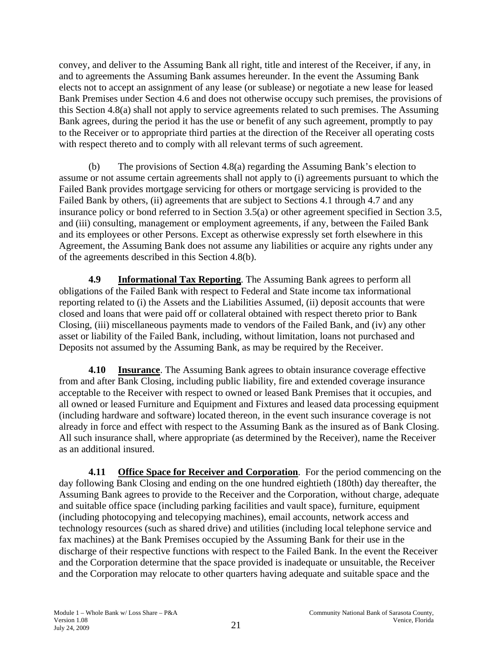convey, and deliver to the Assuming Bank all right, title and interest of the Receiver, if any, in and to agreements the Assuming Bank assumes hereunder. In the event the Assuming Bank elects not to accept an assignment of any lease (or sublease) or negotiate a new lease for leased Bank Premises under Section 4.6 and does not otherwise occupy such premises, the provisions of this Section 4.8(a) shall not apply to service agreements related to such premises. The Assuming Bank agrees, during the period it has the use or benefit of any such agreement, promptly to pay to the Receiver or to appropriate third parties at the direction of the Receiver all operating costs with respect thereto and to comply with all relevant terms of such agreement.

(b) The provisions of Section 4.8(a) regarding the Assuming Bank's election to assume or not assume certain agreements shall not apply to (i) agreements pursuant to which the Failed Bank provides mortgage servicing for others or mortgage servicing is provided to the Failed Bank by others, (ii) agreements that are subject to Sections 4.1 through 4.7 and any insurance policy or bond referred to in Section 3.5(a) or other agreement specified in Section 3.5, and (iii) consulting, management or employment agreements, if any, between the Failed Bank and its employees or other Persons. Except as otherwise expressly set forth elsewhere in this Agreement, the Assuming Bank does not assume any liabilities or acquire any rights under any of the agreements described in this Section 4.8(b).

<span id="page-24-0"></span>**4.9 Informational Tax Reporting**. The Assuming Bank agrees to perform all obligations of the Failed Bank with respect to Federal and State income tax informational reporting related to (i) the Assets and the Liabilities Assumed, (ii) deposit accounts that were closed and loans that were paid off or collateral obtained with respect thereto prior to Bank Closing, (iii) miscellaneous payments made to vendors of the Failed Bank, and (iv) any other asset or liability of the Failed Bank, including, without limitation, loans not purchased and Deposits not assumed by the Assuming Bank, as may be required by the Receiver.

<span id="page-24-1"></span>**4.10 Insurance**. The Assuming Bank agrees to obtain insurance coverage effective from and after Bank Closing, including public liability, fire and extended coverage insurance acceptable to the Receiver with respect to owned or leased Bank Premises that it occupies, and all owned or leased Furniture and Equipment and Fixtures and leased data processing equipment (including hardware and software) located thereon, in the event such insurance coverage is not already in force and effect with respect to the Assuming Bank as the insured as of Bank Closing. All such insurance shall, where appropriate (as determined by the Receiver), name the Receiver as an additional insured.

<span id="page-24-2"></span>**4.11** Office Space for Receiver and Corporation. For the period commencing on the day following Bank Closing and ending on the one hundred eightieth (180th) day thereafter, the Assuming Bank agrees to provide to the Receiver and the Corporation, without charge, adequate and suitable office space (including parking facilities and vault space), furniture, equipment (including photocopying and telecopying machines), email accounts, network access and technology resources (such as shared drive) and utilities (including local telephone service and fax machines) at the Bank Premises occupied by the Assuming Bank for their use in the discharge of their respective functions with respect to the Failed Bank. In the event the Receiver and the Corporation determine that the space provided is inadequate or unsuitable, the Receiver and the Corporation may relocate to other quarters having adequate and suitable space and the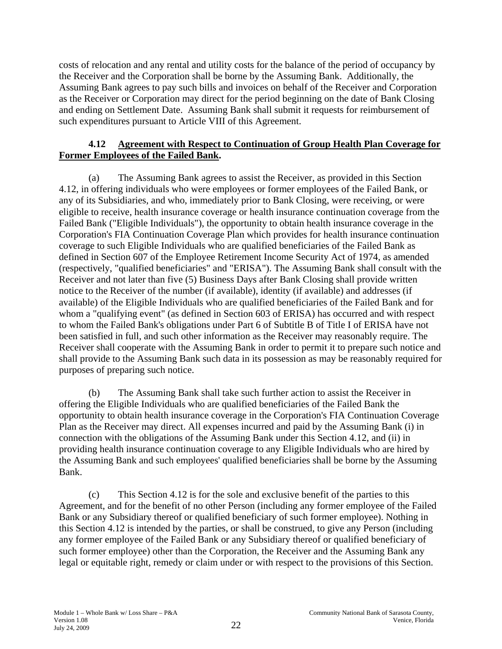costs of relocation and any rental and utility costs for the balance of the period of occupancy by the Receiver and the Corporation shall be borne by the Assuming Bank. Additionally, the Assuming Bank agrees to pay such bills and invoices on behalf of the Receiver and Corporation as the Receiver or Corporation may direct for the period beginning on the date of Bank Closing and ending on Settlement Date. Assuming Bank shall submit it requests for reimbursement of such expenditures pursuant to Article VIII of this Agreement.

### <span id="page-25-0"></span>**4.12 Agreement with Respect to Continuation of Group Health Plan Coverage for Former Employees of the Failed Bank.**

(a) The Assuming Bank agrees to assist the Receiver, as provided in this Section 4.12, in offering individuals who were employees or former employees of the Failed Bank, or any of its Subsidiaries, and who, immediately prior to Bank Closing, were receiving, or were eligible to receive, health insurance coverage or health insurance continuation coverage from the Failed Bank ("Eligible Individuals"), the opportunity to obtain health insurance coverage in the Corporation's FIA Continuation Coverage Plan which provides for health insurance continuation coverage to such Eligible Individuals who are qualified beneficiaries of the Failed Bank as defined in Section 607 of the Employee Retirement Income Security Act of 1974, as amended (respectively, "qualified beneficiaries" and "ERISA"). The Assuming Bank shall consult with the Receiver and not later than five (5) Business Days after Bank Closing shall provide written notice to the Receiver of the number (if available), identity (if available) and addresses (if available) of the Eligible Individuals who are qualified beneficiaries of the Failed Bank and for whom a "qualifying event" (as defined in Section 603 of ERISA) has occurred and with respect to whom the Failed Bank's obligations under Part 6 of Subtitle B of Title I of ERISA have not been satisfied in full, and such other information as the Receiver may reasonably require. The Receiver shall cooperate with the Assuming Bank in order to permit it to prepare such notice and shall provide to the Assuming Bank such data in its possession as may be reasonably required for purposes of preparing such notice.

(b) The Assuming Bank shall take such further action to assist the Receiver in offering the Eligible Individuals who are qualified beneficiaries of the Failed Bank the opportunity to obtain health insurance coverage in the Corporation's FIA Continuation Coverage Plan as the Receiver may direct. All expenses incurred and paid by the Assuming Bank (i) in connection with the obligations of the Assuming Bank under this Section 4.12, and (ii) in providing health insurance continuation coverage to any Eligible Individuals who are hired by the Assuming Bank and such employees' qualified beneficiaries shall be borne by the Assuming Bank.

(c) This Section 4.12 is for the sole and exclusive benefit of the parties to this Agreement, and for the benefit of no other Person (including any former employee of the Failed Bank or any Subsidiary thereof or qualified beneficiary of such former employee). Nothing in this Section 4.12 is intended by the parties, or shall be construed, to give any Person (including any former employee of the Failed Bank or any Subsidiary thereof or qualified beneficiary of such former employee) other than the Corporation, the Receiver and the Assuming Bank any legal or equitable right, remedy or claim under or with respect to the provisions of this Section.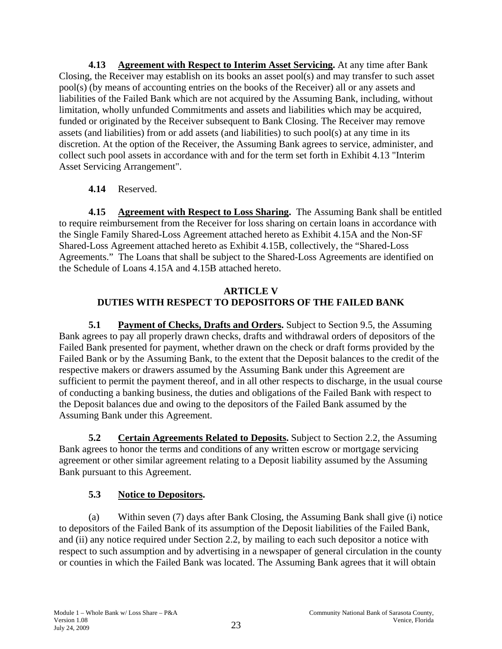<span id="page-26-0"></span>**4.13 Agreement with Respect to Interim Asset Servicing.** At any time after Bank Closing, the Receiver may establish on its books an asset pool(s) and may transfer to such asset pool(s) (by means of accounting entries on the books of the Receiver) all or any assets and liabilities of the Failed Bank which are not acquired by the Assuming Bank, including, without limitation, wholly unfunded Commitments and assets and liabilities which may be acquired, funded or originated by the Receiver subsequent to Bank Closing. The Receiver may remove assets (and liabilities) from or add assets (and liabilities) to such pool(s) at any time in its discretion. At the option of the Receiver, the Assuming Bank agrees to service, administer, and collect such pool assets in accordance with and for the term set forth in Exhibit 4.13 "Interim Asset Servicing Arrangement".

# **4.14** Reserved.

**4.15 Agreement with Respect to Loss Sharing.** The Assuming Bank shall be entitled to require reimbursement from the Receiver for loss sharing on certain loans in accordance with the Single Family Shared-Loss Agreement attached hereto as Exhibit 4.15A and the Non-SF Shared-Loss Agreement attached hereto as Exhibit 4.15B, collectively, the "Shared-Loss Agreements." The Loans that shall be subject to the Shared-Loss Agreements are identified on the Schedule of Loans 4.15A and 4.15B attached hereto.

# **ARTICLE V DUTIES WITH RESPECT TO DEPOSITORS OF THE FAILED BANK**

<span id="page-26-2"></span><span id="page-26-1"></span> **5.1 Payment of Checks, Drafts and Orders.** Subject to Section 9.5, the Assuming Bank agrees to pay all properly drawn checks, drafts and withdrawal orders of depositors of the Failed Bank presented for payment, whether drawn on the check or draft forms provided by the Failed Bank or by the Assuming Bank, to the extent that the Deposit balances to the credit of the respective makers or drawers assumed by the Assuming Bank under this Agreement are sufficient to permit the payment thereof, and in all other respects to discharge, in the usual course of conducting a banking business, the duties and obligations of the Failed Bank with respect to the Deposit balances due and owing to the depositors of the Failed Bank assumed by the Assuming Bank under this Agreement.

<span id="page-26-3"></span>**5.2 Certain Agreements Related to Deposits.** Subject to Section 2.2, the Assuming Bank agrees to honor the terms and conditions of any written escrow or mortgage servicing agreement or other similar agreement relating to a Deposit liability assumed by the Assuming Bank pursuant to this Agreement.

# **5.3 Notice to Depositors.**

<span id="page-26-4"></span>(a) Within seven (7) days after Bank Closing, the Assuming Bank shall give (i) notice to depositors of the Failed Bank of its assumption of the Deposit liabilities of the Failed Bank, and (ii) any notice required under Section 2.2, by mailing to each such depositor a notice with respect to such assumption and by advertising in a newspaper of general circulation in the county or counties in which the Failed Bank was located. The Assuming Bank agrees that it will obtain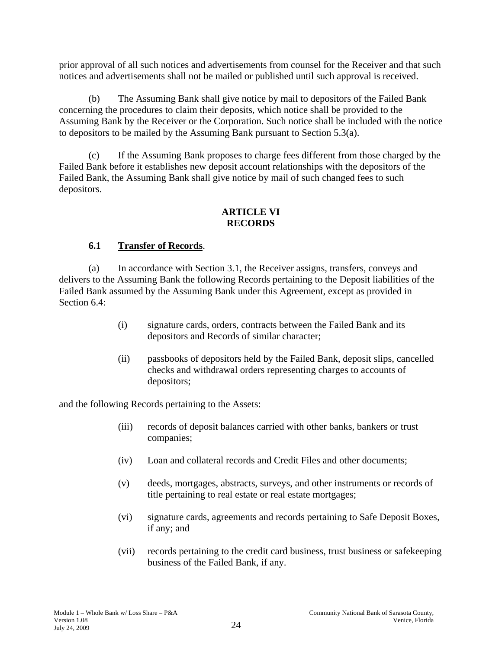prior approval of all such notices and advertisements from counsel for the Receiver and that such notices and advertisements shall not be mailed or published until such approval is received.

(b) The Assuming Bank shall give notice by mail to depositors of the Failed Bank concerning the procedures to claim their deposits, which notice shall be provided to the Assuming Bank by the Receiver or the Corporation. Such notice shall be included with the notice to depositors to be mailed by the Assuming Bank pursuant to Section 5.3(a).

(c) If the Assuming Bank proposes to charge fees different from those charged by the Failed Bank before it establishes new deposit account relationships with the depositors of the Failed Bank, the Assuming Bank shall give notice by mail of such changed fees to such depositors.

### **ARTICLE VI RECORDS**

### **6.1 Transfer of Records**.

<span id="page-27-1"></span><span id="page-27-0"></span>(a) In accordance with Section 3.1, the Receiver assigns, transfers, conveys and delivers to the Assuming Bank the following Records pertaining to the Deposit liabilities of the Failed Bank assumed by the Assuming Bank under this Agreement, except as provided in Section 6.4:

- (i) signature cards, orders, contracts between the Failed Bank and its depositors and Records of similar character;
- (ii) passbooks of depositors held by the Failed Bank, deposit slips, cancelled checks and withdrawal orders representing charges to accounts of depositors;

and the following Records pertaining to the Assets:

- (iii) records of deposit balances carried with other banks, bankers or trust companies;
- (iv) Loan and collateral records and Credit Files and other documents;
- (v) deeds, mortgages, abstracts, surveys, and other instruments or records of title pertaining to real estate or real estate mortgages;
- (vi) signature cards, agreements and records pertaining to Safe Deposit Boxes, if any; and
- (vii) records pertaining to the credit card business, trust business or safekeeping business of the Failed Bank, if any.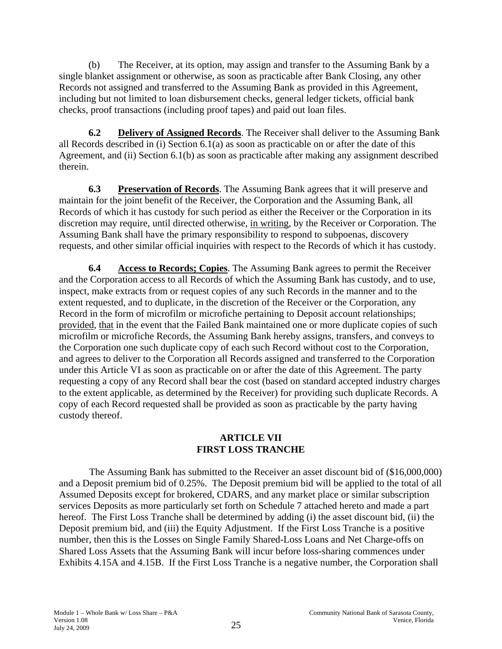(b) The Receiver, at its option, may assign and transfer to the Assuming Bank by a single blanket assignment or otherwise, as soon as practicable after Bank Closing, any other Records not assigned and transferred to the Assuming Bank as provided in this Agreement, including but not limited to loan disbursement checks, general ledger tickets, official bank checks, proof transactions (including proof tapes) and paid out loan files.

<span id="page-28-0"></span>**6.2 Delivery of Assigned Records**. The Receiver shall deliver to the Assuming Bank all Records described in (i) Section 6.1(a) as soon as practicable on or after the date of this Agreement, and (ii) Section 6.1(b) as soon as practicable after making any assignment described therein.

<span id="page-28-1"></span>**6.3** Preservation of Records. The Assuming Bank agrees that it will preserve and maintain for the joint benefit of the Receiver, the Corporation and the Assuming Bank, all Records of which it has custody for such period as either the Receiver or the Corporation in its discretion may require, until directed otherwise, in writing, by the Receiver or Corporation. The Assuming Bank shall have the primary responsibility to respond to subpoenas, discovery requests, and other similar official inquiries with respect to the Records of which it has custody.

**6.4** Access to Records; Copies. The Assuming Bank agrees to permit the Receiver and the Corporation access to all Records of which the Assuming Bank has custody, and to use, inspect, make extracts from or request copies of any such Records in the manner and to the extent requested, and to duplicate, in the discretion of the Receiver or the Corporation, any Record in the form of microfilm or microfiche pertaining to Deposit account relationships; provided, that in the event that the Failed Bank maintained one or more duplicate copies of such microfilm or microfiche Records, the Assuming Bank hereby assigns, transfers, and conveys to the Corporation one such duplicate copy of each such Record without cost to the Corporation, and agrees to deliver to the Corporation all Records assigned and transferred to the Corporation under this Article VI as soon as practicable on or after the date of this Agreement. The party requesting a copy of any Record shall bear the cost (based on standard accepted industry charges to the extent applicable, as determined by the Receiver) for providing such duplicate Records. A copy of each Record requested shall be provided as soon as practicable by the party having custody thereof.

### **ARTICLE VII FIRST LOSS TRANCHE**

 The Assuming Bank has submitted to the Receiver an asset discount bid of (\$16,000,000) and a Deposit premium bid of 0.25%. The Deposit premium bid will be applied to the total of all Assumed Deposits except for brokered, CDARS, and any market place or similar subscription services Deposits as more particularly set forth on Schedule 7 attached hereto and made a part hereof. The First Loss Tranche shall be determined by adding (i) the asset discount bid, (ii) the Deposit premium bid, and (iii) the Equity Adjustment. If the First Loss Tranche is a positive number, then this is the Losses on Single Family Shared-Loss Loans and Net Charge-offs on Shared Loss Assets that the Assuming Bank will incur before loss-sharing commences under Exhibits 4.15A and 4.15B. If the First Loss Tranche is a negative number, the Corporation shall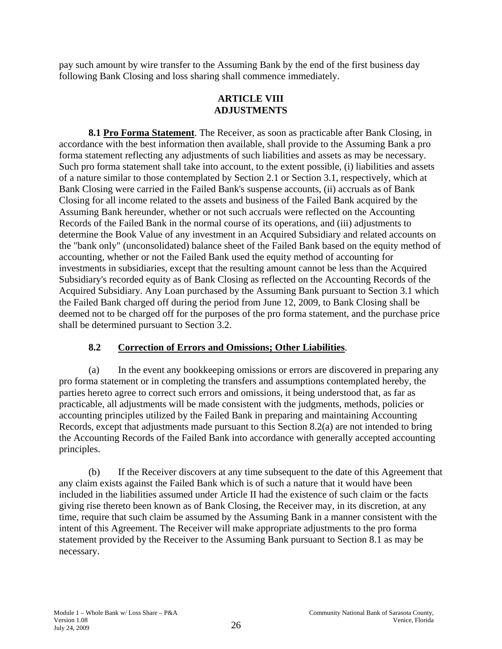pay such amount by wire transfer to the Assuming Bank by the end of the first business day following Bank Closing and loss sharing shall commence immediately.

### **ARTICLE VIII ADJUSTMENTS**

<span id="page-29-1"></span><span id="page-29-0"></span>**8.1 Pro Forma Statement**. The Receiver, as soon as practicable after Bank Closing, in accordance with the best information then available, shall provide to the Assuming Bank a pro forma statement reflecting any adjustments of such liabilities and assets as may be necessary. Such pro forma statement shall take into account, to the extent possible, (i) liabilities and assets of a nature similar to those contemplated by Section 2.1 or Section 3.1, respectively, which at Bank Closing were carried in the Failed Bank's suspense accounts, (ii) accruals as of Bank Closing for all income related to the assets and business of the Failed Bank acquired by the Assuming Bank hereunder, whether or not such accruals were reflected on the Accounting Records of the Failed Bank in the normal course of its operations, and (iii) adjustments to determine the Book Value of any investment in an Acquired Subsidiary and related accounts on the "bank only" (unconsolidated) balance sheet of the Failed Bank based on the equity method of accounting, whether or not the Failed Bank used the equity method of accounting for investments in subsidiaries, except that the resulting amount cannot be less than the Acquired Subsidiary's recorded equity as of Bank Closing as reflected on the Accounting Records of the Acquired Subsidiary. Any Loan purchased by the Assuming Bank pursuant to Section 3.1 which the Failed Bank charged off during the period from June 12, 2009, to Bank Closing shall be deemed not to be charged off for the purposes of the pro forma statement, and the purchase price shall be determined pursuant to Section 3.2.

## **8.2 Correction of Errors and Omissions; Other Liabilities**.

(a) In the event any bookkeeping omissions or errors are discovered in preparing any pro forma statement or in completing the transfers and assumptions contemplated hereby, the parties hereto agree to correct such errors and omissions, it being understood that, as far as practicable, all adjustments will be made consistent with the judgments, methods, policies or accounting principles utilized by the Failed Bank in preparing and maintaining Accounting Records, except that adjustments made pursuant to this Section 8.2(a) are not intended to bring the Accounting Records of the Failed Bank into accordance with generally accepted accounting principles.

(b) If the Receiver discovers at any time subsequent to the date of this Agreement that any claim exists against the Failed Bank which is of such a nature that it would have been included in the liabilities assumed under Article II had the existence of such claim or the facts giving rise thereto been known as of Bank Closing, the Receiver may, in its discretion, at any time, require that such claim be assumed by the Assuming Bank in a manner consistent with the intent of this Agreement. The Receiver will make appropriate adjustments to the pro forma statement provided by the Receiver to the Assuming Bank pursuant to Section 8.1 as may be necessary.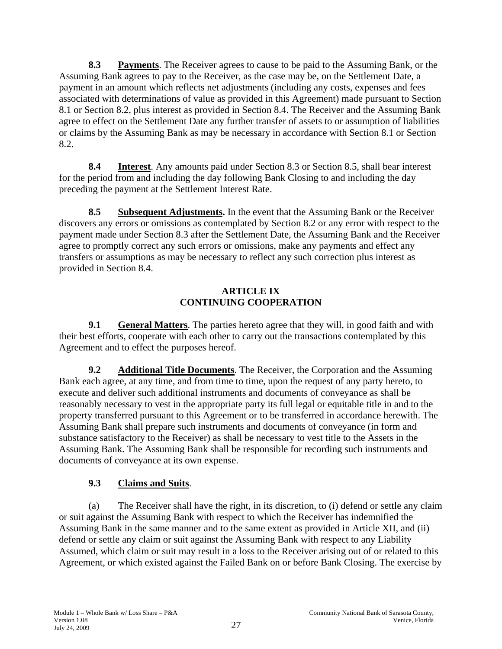<span id="page-30-0"></span>**8.3** Payments. The Receiver agrees to cause to be paid to the Assuming Bank, or the Assuming Bank agrees to pay to the Receiver, as the case may be, on the Settlement Date, a payment in an amount which reflects net adjustments (including any costs, expenses and fees associated with determinations of value as provided in this Agreement) made pursuant to Section 8.1 or Section 8.2, plus interest as provided in Section 8.4. The Receiver and the Assuming Bank agree to effect on the Settlement Date any further transfer of assets to or assumption of liabilities or claims by the Assuming Bank as may be necessary in accordance with Section 8.1 or Section 8.2.

<span id="page-30-1"></span>**8.4 Interest**. Any amounts paid under Section 8.3 or Section 8.5, shall bear interest for the period from and including the day following Bank Closing to and including the day preceding the payment at the Settlement Interest Rate.

<span id="page-30-2"></span>**8.5** Subsequent Adjustments. In the event that the Assuming Bank or the Receiver discovers any errors or omissions as contemplated by Section 8.2 or any error with respect to the payment made under Section 8.3 after the Settlement Date, the Assuming Bank and the Receiver agree to promptly correct any such errors or omissions, make any payments and effect any transfers or assumptions as may be necessary to reflect any such correction plus interest as provided in Section 8.4.

### **ARTICLE IX CONTINUING COOPERATION**

<span id="page-30-4"></span><span id="page-30-3"></span>**9.1** General Matters. The parties hereto agree that they will, in good faith and with their best efforts, cooperate with each other to carry out the transactions contemplated by this Agreement and to effect the purposes hereof.

<span id="page-30-5"></span>**9.2 Additional Title Documents**. The Receiver, the Corporation and the Assuming Bank each agree, at any time, and from time to time, upon the request of any party hereto, to execute and deliver such additional instruments and documents of conveyance as shall be reasonably necessary to vest in the appropriate party its full legal or equitable title in and to the property transferred pursuant to this Agreement or to be transferred in accordance herewith. The Assuming Bank shall prepare such instruments and documents of conveyance (in form and substance satisfactory to the Receiver) as shall be necessary to vest title to the Assets in the Assuming Bank. The Assuming Bank shall be responsible for recording such instruments and documents of conveyance at its own expense.

# **9.3 Claims and Suits**.

<span id="page-30-6"></span>(a) The Receiver shall have the right, in its discretion, to (i) defend or settle any claim or suit against the Assuming Bank with respect to which the Receiver has indemnified the Assuming Bank in the same manner and to the same extent as provided in Article XII, and (ii) defend or settle any claim or suit against the Assuming Bank with respect to any Liability Assumed, which claim or suit may result in a loss to the Receiver arising out of or related to this Agreement, or which existed against the Failed Bank on or before Bank Closing. The exercise by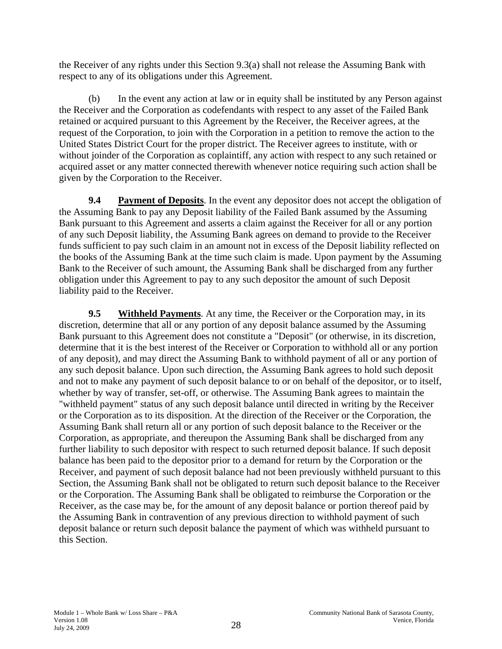the Receiver of any rights under this Section 9.3(a) shall not release the Assuming Bank with respect to any of its obligations under this Agreement.

(b) In the event any action at law or in equity shall be instituted by any Person against the Receiver and the Corporation as codefendants with respect to any asset of the Failed Bank retained or acquired pursuant to this Agreement by the Receiver, the Receiver agrees, at the request of the Corporation, to join with the Corporation in a petition to remove the action to the United States District Court for the proper district. The Receiver agrees to institute, with or without joinder of the Corporation as coplaintiff, any action with respect to any such retained or acquired asset or any matter connected therewith whenever notice requiring such action shall be given by the Corporation to the Receiver.

<span id="page-31-0"></span>**9.4 Payment of Deposits**. In the event any depositor does not accept the obligation of the Assuming Bank to pay any Deposit liability of the Failed Bank assumed by the Assuming Bank pursuant to this Agreement and asserts a claim against the Receiver for all or any portion of any such Deposit liability, the Assuming Bank agrees on demand to provide to the Receiver funds sufficient to pay such claim in an amount not in excess of the Deposit liability reflected on the books of the Assuming Bank at the time such claim is made. Upon payment by the Assuming Bank to the Receiver of such amount, the Assuming Bank shall be discharged from any further obligation under this Agreement to pay to any such depositor the amount of such Deposit liability paid to the Receiver.

<span id="page-31-1"></span>**9.5 Withheld Payments**. At any time, the Receiver or the Corporation may, in its discretion, determine that all or any portion of any deposit balance assumed by the Assuming Bank pursuant to this Agreement does not constitute a "Deposit" (or otherwise, in its discretion, determine that it is the best interest of the Receiver or Corporation to withhold all or any portion of any deposit), and may direct the Assuming Bank to withhold payment of all or any portion of any such deposit balance. Upon such direction, the Assuming Bank agrees to hold such deposit and not to make any payment of such deposit balance to or on behalf of the depositor, or to itself, whether by way of transfer, set-off, or otherwise. The Assuming Bank agrees to maintain the "withheld payment" status of any such deposit balance until directed in writing by the Receiver or the Corporation as to its disposition. At the direction of the Receiver or the Corporation, the Assuming Bank shall return all or any portion of such deposit balance to the Receiver or the Corporation, as appropriate, and thereupon the Assuming Bank shall be discharged from any further liability to such depositor with respect to such returned deposit balance. If such deposit balance has been paid to the depositor prior to a demand for return by the Corporation or the Receiver, and payment of such deposit balance had not been previously withheld pursuant to this Section, the Assuming Bank shall not be obligated to return such deposit balance to the Receiver or the Corporation. The Assuming Bank shall be obligated to reimburse the Corporation or the Receiver, as the case may be, for the amount of any deposit balance or portion thereof paid by the Assuming Bank in contravention of any previous direction to withhold payment of such deposit balance or return such deposit balance the payment of which was withheld pursuant to this Section.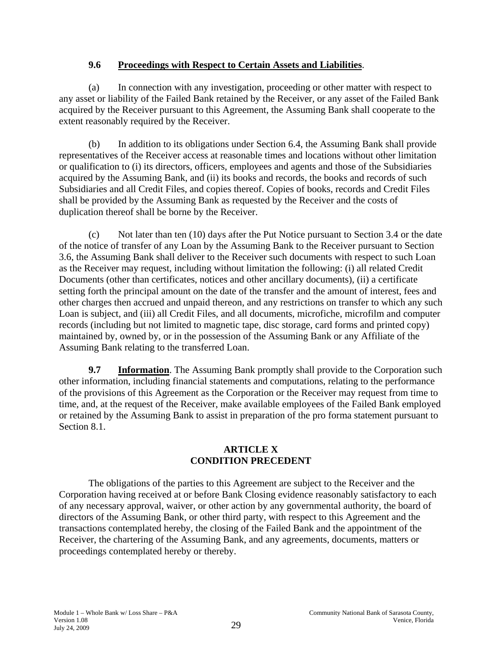### **9.6 Proceedings with Respect to Certain Assets and Liabilities**.

<span id="page-32-0"></span>(a) In connection with any investigation, proceeding or other matter with respect to any asset or liability of the Failed Bank retained by the Receiver, or any asset of the Failed Bank acquired by the Receiver pursuant to this Agreement, the Assuming Bank shall cooperate to the extent reasonably required by the Receiver.

(b) In addition to its obligations under Section 6.4, the Assuming Bank shall provide representatives of the Receiver access at reasonable times and locations without other limitation or qualification to (i) its directors, officers, employees and agents and those of the Subsidiaries acquired by the Assuming Bank, and (ii) its books and records, the books and records of such Subsidiaries and all Credit Files, and copies thereof. Copies of books, records and Credit Files shall be provided by the Assuming Bank as requested by the Receiver and the costs of duplication thereof shall be borne by the Receiver.

(c) Not later than ten (10) days after the Put Notice pursuant to Section 3.4 or the date of the notice of transfer of any Loan by the Assuming Bank to the Receiver pursuant to Section 3.6, the Assuming Bank shall deliver to the Receiver such documents with respect to such Loan as the Receiver may request, including without limitation the following: (i) all related Credit Documents (other than certificates, notices and other ancillary documents), (ii) a certificate setting forth the principal amount on the date of the transfer and the amount of interest, fees and other charges then accrued and unpaid thereon, and any restrictions on transfer to which any such Loan is subject, and (iii) all Credit Files, and all documents, microfiche, microfilm and computer records (including but not limited to magnetic tape, disc storage, card forms and printed copy) maintained by, owned by, or in the possession of the Assuming Bank or any Affiliate of the Assuming Bank relating to the transferred Loan.

<span id="page-32-1"></span>**9.7** Information. The Assuming Bank promptly shall provide to the Corporation such other information, including financial statements and computations, relating to the performance of the provisions of this Agreement as the Corporation or the Receiver may request from time to time, and, at the request of the Receiver, make available employees of the Failed Bank employed or retained by the Assuming Bank to assist in preparation of the pro forma statement pursuant to Section 8.1.

### **ARTICLE X CONDITION PRECEDENT**

<span id="page-32-2"></span>The obligations of the parties to this Agreement are subject to the Receiver and the Corporation having received at or before Bank Closing evidence reasonably satisfactory to each of any necessary approval, waiver, or other action by any governmental authority, the board of directors of the Assuming Bank, or other third party, with respect to this Agreement and the transactions contemplated hereby, the closing of the Failed Bank and the appointment of the Receiver, the chartering of the Assuming Bank, and any agreements, documents, matters or proceedings contemplated hereby or thereby.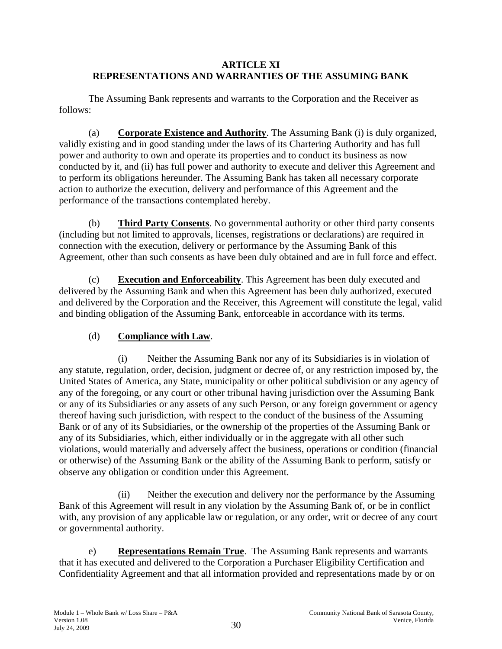### **ARTICLE XI REPRESENTATIONS AND WARRANTIES OF THE ASSUMING BANK**

<span id="page-33-0"></span>The Assuming Bank represents and warrants to the Corporation and the Receiver as follows:

(a) **Corporate Existence and Authority**. The Assuming Bank (i) is duly organized, validly existing and in good standing under the laws of its Chartering Authority and has full power and authority to own and operate its properties and to conduct its business as now conducted by it, and (ii) has full power and authority to execute and deliver this Agreement and to perform its obligations hereunder. The Assuming Bank has taken all necessary corporate action to authorize the execution, delivery and performance of this Agreement and the performance of the transactions contemplated hereby.

(b) **Third Party Consents**. No governmental authority or other third party consents (including but not limited to approvals, licenses, registrations or declarations) are required in connection with the execution, delivery or performance by the Assuming Bank of this Agreement, other than such consents as have been duly obtained and are in full force and effect.

(c) **Execution and Enforceability**. This Agreement has been duly executed and delivered by the Assuming Bank and when this Agreement has been duly authorized, executed and delivered by the Corporation and the Receiver, this Agreement will constitute the legal, valid and binding obligation of the Assuming Bank, enforceable in accordance with its terms.

# (d) **Compliance with Law**.

(i) Neither the Assuming Bank nor any of its Subsidiaries is in violation of any statute, regulation, order, decision, judgment or decree of, or any restriction imposed by, the United States of America, any State, municipality or other political subdivision or any agency of any of the foregoing, or any court or other tribunal having jurisdiction over the Assuming Bank or any of its Subsidiaries or any assets of any such Person, or any foreign government or agency thereof having such jurisdiction, with respect to the conduct of the business of the Assuming Bank or of any of its Subsidiaries, or the ownership of the properties of the Assuming Bank or any of its Subsidiaries, which, either individually or in the aggregate with all other such violations, would materially and adversely affect the business, operations or condition (financial or otherwise) of the Assuming Bank or the ability of the Assuming Bank to perform, satisfy or observe any obligation or condition under this Agreement.

(ii) Neither the execution and delivery nor the performance by the Assuming Bank of this Agreement will result in any violation by the Assuming Bank of, or be in conflict with, any provision of any applicable law or regulation, or any order, writ or decree of any court or governmental authority.

e) **Representations Remain True**. The Assuming Bank represents and warrants that it has executed and delivered to the Corporation a Purchaser Eligibility Certification and Confidentiality Agreement and that all information provided and representations made by or on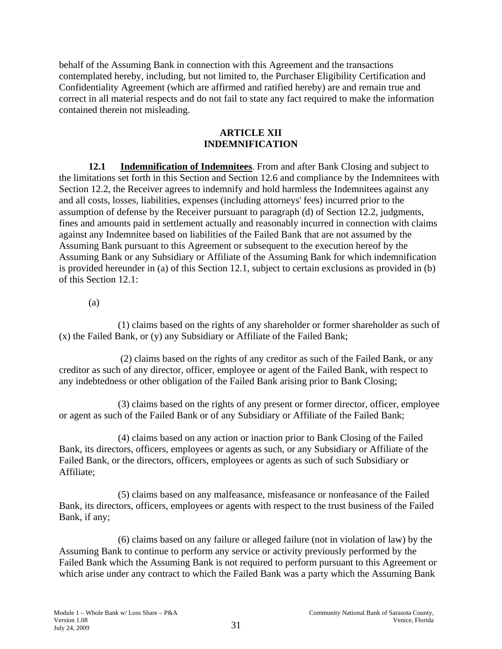behalf of the Assuming Bank in connection with this Agreement and the transactions contemplated hereby, including, but not limited to, the Purchaser Eligibility Certification and Confidentiality Agreement (which are affirmed and ratified hereby) are and remain true and correct in all material respects and do not fail to state any fact required to make the information contained therein not misleading.

### **ARTICLE XII INDEMNIFICATION**

<span id="page-34-0"></span>**12.1 Indemnification of Indemnitees**. From and after Bank Closing and subject to the limitations set forth in this Section and Section 12.6 and compliance by the Indemnitees with Section 12.2, the Receiver agrees to indemnify and hold harmless the Indemnitees against any and all costs, losses, liabilities, expenses (including attorneys' fees) incurred prior to the assumption of defense by the Receiver pursuant to paragraph (d) of Section 12.2, judgments, fines and amounts paid in settlement actually and reasonably incurred in connection with claims against any Indemnitee based on liabilities of the Failed Bank that are not assumed by the Assuming Bank pursuant to this Agreement or subsequent to the execution hereof by the Assuming Bank or any Subsidiary or Affiliate of the Assuming Bank for which indemnification is provided hereunder in (a) of this Section 12.1, subject to certain exclusions as provided in (b) of this Section 12.1:

(a)

(1) claims based on the rights of any shareholder or former shareholder as such of (x) the Failed Bank, or (y) any Subsidiary or Affiliate of the Failed Bank;

(2) claims based on the rights of any creditor as such of the Failed Bank, or any creditor as such of any director, officer, employee or agent of the Failed Bank, with respect to any indebtedness or other obligation of the Failed Bank arising prior to Bank Closing;

(3) claims based on the rights of any present or former director, officer, employee or agent as such of the Failed Bank or of any Subsidiary or Affiliate of the Failed Bank;

(4) claims based on any action or inaction prior to Bank Closing of the Failed Bank, its directors, officers, employees or agents as such, or any Subsidiary or Affiliate of the Failed Bank, or the directors, officers, employees or agents as such of such Subsidiary or Affiliate;

(5) claims based on any malfeasance, misfeasance or nonfeasance of the Failed Bank, its directors, officers, employees or agents with respect to the trust business of the Failed Bank, if any;

(6) claims based on any failure or alleged failure (not in violation of law) by the Assuming Bank to continue to perform any service or activity previously performed by the Failed Bank which the Assuming Bank is not required to perform pursuant to this Agreement or which arise under any contract to which the Failed Bank was a party which the Assuming Bank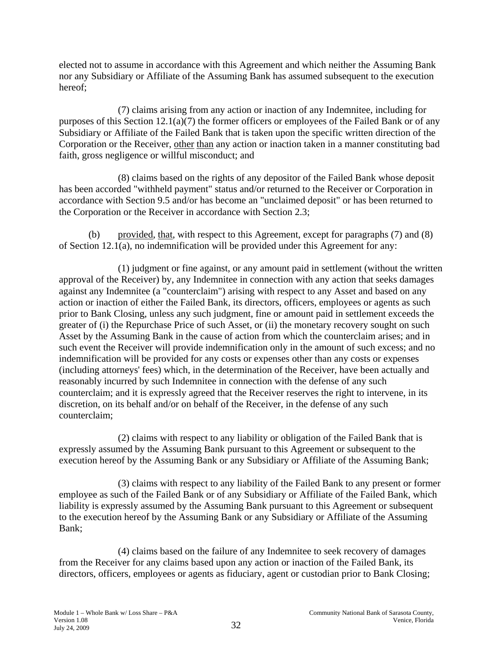elected not to assume in accordance with this Agreement and which neither the Assuming Bank nor any Subsidiary or Affiliate of the Assuming Bank has assumed subsequent to the execution hereof;

(7) claims arising from any action or inaction of any Indemnitee, including for purposes of this Section 12.1(a)(7) the former officers or employees of the Failed Bank or of any Subsidiary or Affiliate of the Failed Bank that is taken upon the specific written direction of the Corporation or the Receiver, other than any action or inaction taken in a manner constituting bad faith, gross negligence or willful misconduct; and

(8) claims based on the rights of any depositor of the Failed Bank whose deposit has been accorded "withheld payment" status and/or returned to the Receiver or Corporation in accordance with Section 9.5 and/or has become an "unclaimed deposit" or has been returned to the Corporation or the Receiver in accordance with Section 2.3;

(b) provided, that, with respect to this Agreement, except for paragraphs (7) and (8) of Section 12.1(a), no indemnification will be provided under this Agreement for any:

(1) judgment or fine against, or any amount paid in settlement (without the written approval of the Receiver) by, any Indemnitee in connection with any action that seeks damages against any Indemnitee (a "counterclaim") arising with respect to any Asset and based on any action or inaction of either the Failed Bank, its directors, officers, employees or agents as such prior to Bank Closing, unless any such judgment, fine or amount paid in settlement exceeds the greater of (i) the Repurchase Price of such Asset, or (ii) the monetary recovery sought on such Asset by the Assuming Bank in the cause of action from which the counterclaim arises; and in such event the Receiver will provide indemnification only in the amount of such excess; and no indemnification will be provided for any costs or expenses other than any costs or expenses (including attorneys' fees) which, in the determination of the Receiver, have been actually and reasonably incurred by such Indemnitee in connection with the defense of any such counterclaim; and it is expressly agreed that the Receiver reserves the right to intervene, in its discretion, on its behalf and/or on behalf of the Receiver, in the defense of any such counterclaim;

(2) claims with respect to any liability or obligation of the Failed Bank that is expressly assumed by the Assuming Bank pursuant to this Agreement or subsequent to the execution hereof by the Assuming Bank or any Subsidiary or Affiliate of the Assuming Bank;

(3) claims with respect to any liability of the Failed Bank to any present or former employee as such of the Failed Bank or of any Subsidiary or Affiliate of the Failed Bank, which liability is expressly assumed by the Assuming Bank pursuant to this Agreement or subsequent to the execution hereof by the Assuming Bank or any Subsidiary or Affiliate of the Assuming Bank;

(4) claims based on the failure of any Indemnitee to seek recovery of damages from the Receiver for any claims based upon any action or inaction of the Failed Bank, its directors, officers, employees or agents as fiduciary, agent or custodian prior to Bank Closing;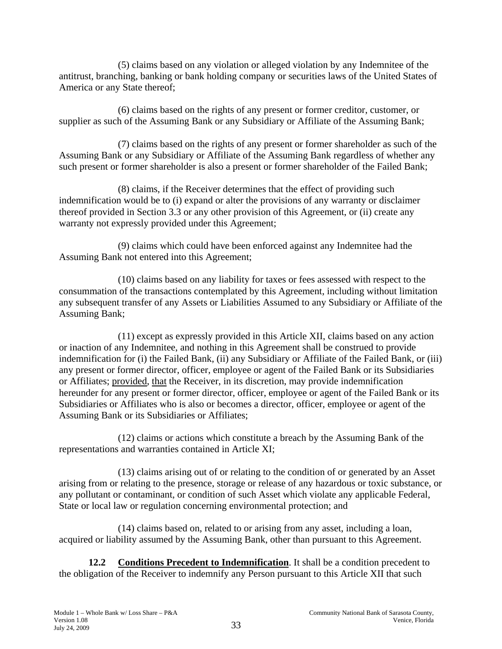(5) claims based on any violation or alleged violation by any Indemnitee of the antitrust, branching, banking or bank holding company or securities laws of the United States of America or any State thereof;

(6) claims based on the rights of any present or former creditor, customer, or supplier as such of the Assuming Bank or any Subsidiary or Affiliate of the Assuming Bank;

(7) claims based on the rights of any present or former shareholder as such of the Assuming Bank or any Subsidiary or Affiliate of the Assuming Bank regardless of whether any such present or former shareholder is also a present or former shareholder of the Failed Bank;

(8) claims, if the Receiver determines that the effect of providing such indemnification would be to (i) expand or alter the provisions of any warranty or disclaimer thereof provided in Section 3.3 or any other provision of this Agreement, or (ii) create any warranty not expressly provided under this Agreement;

(9) claims which could have been enforced against any Indemnitee had the Assuming Bank not entered into this Agreement;

(10) claims based on any liability for taxes or fees assessed with respect to the consummation of the transactions contemplated by this Agreement, including without limitation any subsequent transfer of any Assets or Liabilities Assumed to any Subsidiary or Affiliate of the Assuming Bank;

(11) except as expressly provided in this Article XII, claims based on any action or inaction of any Indemnitee, and nothing in this Agreement shall be construed to provide indemnification for (i) the Failed Bank, (ii) any Subsidiary or Affiliate of the Failed Bank, or (iii) any present or former director, officer, employee or agent of the Failed Bank or its Subsidiaries or Affiliates; provided, that the Receiver, in its discretion, may provide indemnification hereunder for any present or former director, officer, employee or agent of the Failed Bank or its Subsidiaries or Affiliates who is also or becomes a director, officer, employee or agent of the Assuming Bank or its Subsidiaries or Affiliates;

(12) claims or actions which constitute a breach by the Assuming Bank of the representations and warranties contained in Article XI;

(13) claims arising out of or relating to the condition of or generated by an Asset arising from or relating to the presence, storage or release of any hazardous or toxic substance, or any pollutant or contaminant, or condition of such Asset which violate any applicable Federal, State or local law or regulation concerning environmental protection; and

(14) claims based on, related to or arising from any asset, including a loan, acquired or liability assumed by the Assuming Bank, other than pursuant to this Agreement.

**12.2 Conditions Precedent to Indemnification**. It shall be a condition precedent to the obligation of the Receiver to indemnify any Person pursuant to this Article XII that such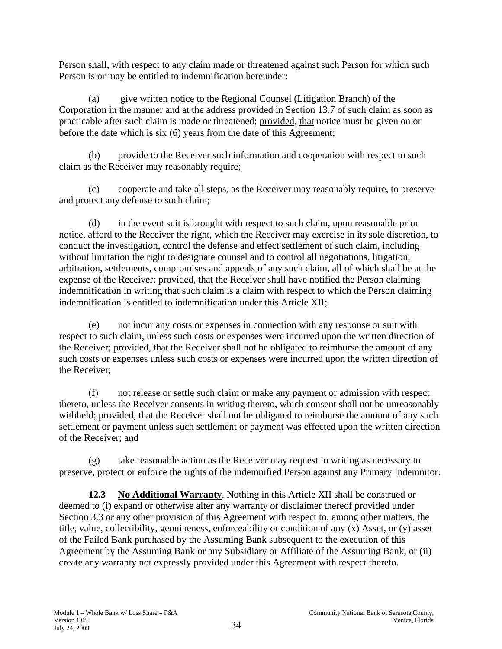Person shall, with respect to any claim made or threatened against such Person for which such Person is or may be entitled to indemnification hereunder:

(a) give written notice to the Regional Counsel (Litigation Branch) of the Corporation in the manner and at the address provided in Section 13.7 of such claim as soon as practicable after such claim is made or threatened; provided, that notice must be given on or before the date which is six (6) years from the date of this Agreement;

(b) provide to the Receiver such information and cooperation with respect to such claim as the Receiver may reasonably require;

(c) cooperate and take all steps, as the Receiver may reasonably require, to preserve and protect any defense to such claim;

(d) in the event suit is brought with respect to such claim, upon reasonable prior notice, afford to the Receiver the right, which the Receiver may exercise in its sole discretion, to conduct the investigation, control the defense and effect settlement of such claim, including without limitation the right to designate counsel and to control all negotiations, litigation, arbitration, settlements, compromises and appeals of any such claim, all of which shall be at the expense of the Receiver; provided, that the Receiver shall have notified the Person claiming indemnification in writing that such claim is a claim with respect to which the Person claiming indemnification is entitled to indemnification under this Article XII;

(e) not incur any costs or expenses in connection with any response or suit with respect to such claim, unless such costs or expenses were incurred upon the written direction of the Receiver; provided, that the Receiver shall not be obligated to reimburse the amount of any such costs or expenses unless such costs or expenses were incurred upon the written direction of the Receiver;

(f) not release or settle such claim or make any payment or admission with respect thereto, unless the Receiver consents in writing thereto, which consent shall not be unreasonably withheld; provided, that the Receiver shall not be obligated to reimburse the amount of any such settlement or payment unless such settlement or payment was effected upon the written direction of the Receiver; and

(g) take reasonable action as the Receiver may request in writing as necessary to preserve, protect or enforce the rights of the indemnified Person against any Primary Indemnitor.

**12.3 No Additional Warranty**. Nothing in this Article XII shall be construed or deemed to (i) expand or otherwise alter any warranty or disclaimer thereof provided under Section 3.3 or any other provision of this Agreement with respect to, among other matters, the title, value, collectibility, genuineness, enforceability or condition of any (x) Asset, or (y) asset of the Failed Bank purchased by the Assuming Bank subsequent to the execution of this Agreement by the Assuming Bank or any Subsidiary or Affiliate of the Assuming Bank, or (ii) create any warranty not expressly provided under this Agreement with respect thereto.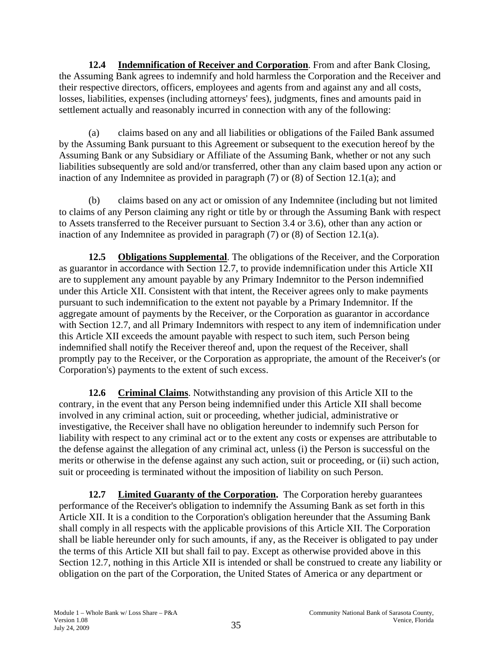**12.4 Indemnification of Receiver and Corporation**. From and after Bank Closing, the Assuming Bank agrees to indemnify and hold harmless the Corporation and the Receiver and their respective directors, officers, employees and agents from and against any and all costs, losses, liabilities, expenses (including attorneys' fees), judgments, fines and amounts paid in settlement actually and reasonably incurred in connection with any of the following:

(a) claims based on any and all liabilities or obligations of the Failed Bank assumed by the Assuming Bank pursuant to this Agreement or subsequent to the execution hereof by the Assuming Bank or any Subsidiary or Affiliate of the Assuming Bank, whether or not any such liabilities subsequently are sold and/or transferred, other than any claim based upon any action or inaction of any Indemnitee as provided in paragraph (7) or (8) of Section 12.1(a); and

(b) claims based on any act or omission of any Indemnitee (including but not limited to claims of any Person claiming any right or title by or through the Assuming Bank with respect to Assets transferred to the Receiver pursuant to Section 3.4 or 3.6), other than any action or inaction of any Indemnitee as provided in paragraph (7) or (8) of Section 12.1(a).

**12.5 Obligations Supplemental**. The obligations of the Receiver, and the Corporation as guarantor in accordance with Section 12.7, to provide indemnification under this Article XII are to supplement any amount payable by any Primary Indemnitor to the Person indemnified under this Article XII. Consistent with that intent, the Receiver agrees only to make payments pursuant to such indemnification to the extent not payable by a Primary Indemnitor. If the aggregate amount of payments by the Receiver, or the Corporation as guarantor in accordance with Section 12.7, and all Primary Indemnitors with respect to any item of indemnification under this Article XII exceeds the amount payable with respect to such item, such Person being indemnified shall notify the Receiver thereof and, upon the request of the Receiver, shall promptly pay to the Receiver, or the Corporation as appropriate, the amount of the Receiver's (or Corporation's) payments to the extent of such excess.

**12.6 Criminal Claims**. Notwithstanding any provision of this Article XII to the contrary, in the event that any Person being indemnified under this Article XII shall become involved in any criminal action, suit or proceeding, whether judicial, administrative or investigative, the Receiver shall have no obligation hereunder to indemnify such Person for liability with respect to any criminal act or to the extent any costs or expenses are attributable to the defense against the allegation of any criminal act, unless (i) the Person is successful on the merits or otherwise in the defense against any such action, suit or proceeding, or (ii) such action, suit or proceeding is terminated without the imposition of liability on such Person.

**12.7** Limited Guaranty of the Corporation. The Corporation hereby guarantees performance of the Receiver's obligation to indemnify the Assuming Bank as set forth in this Article XII. It is a condition to the Corporation's obligation hereunder that the Assuming Bank shall comply in all respects with the applicable provisions of this Article XII. The Corporation shall be liable hereunder only for such amounts, if any, as the Receiver is obligated to pay under the terms of this Article XII but shall fail to pay. Except as otherwise provided above in this Section 12.7, nothing in this Article XII is intended or shall be construed to create any liability or obligation on the part of the Corporation, the United States of America or any department or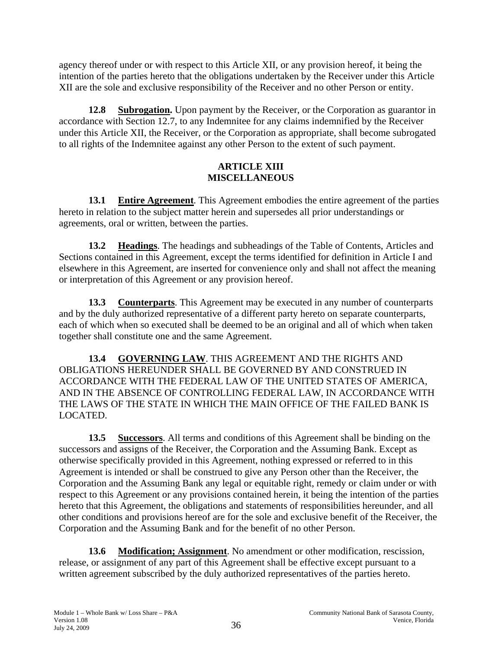agency thereof under or with respect to this Article XII, or any provision hereof, it being the intention of the parties hereto that the obligations undertaken by the Receiver under this Article XII are the sole and exclusive responsibility of the Receiver and no other Person or entity.

**12.8 Subrogation.** Upon payment by the Receiver, or the Corporation as guarantor in accordance with Section 12.7, to any Indemnitee for any claims indemnified by the Receiver under this Article XII, the Receiver, or the Corporation as appropriate, shall become subrogated to all rights of the Indemnitee against any other Person to the extent of such payment.

# **ARTICLE XIII MISCELLANEOUS**

**13.1** Entire Agreement. This Agreement embodies the entire agreement of the parties hereto in relation to the subject matter herein and supersedes all prior understandings or agreements, oral or written, between the parties.

**13.2 Headings**. The headings and subheadings of the Table of Contents, Articles and Sections contained in this Agreement, except the terms identified for definition in Article I and elsewhere in this Agreement, are inserted for convenience only and shall not affect the meaning or interpretation of this Agreement or any provision hereof.

**13.3 Counterparts**. This Agreement may be executed in any number of counterparts and by the duly authorized representative of a different party hereto on separate counterparts, each of which when so executed shall be deemed to be an original and all of which when taken together shall constitute one and the same Agreement.

**13.4 GOVERNING LAW**. THIS AGREEMENT AND THE RIGHTS AND OBLIGATIONS HEREUNDER SHALL BE GOVERNED BY AND CONSTRUED IN ACCORDANCE WITH THE FEDERAL LAW OF THE UNITED STATES OF AMERICA, AND IN THE ABSENCE OF CONTROLLING FEDERAL LAW, IN ACCORDANCE WITH THE LAWS OF THE STATE IN WHICH THE MAIN OFFICE OF THE FAILED BANK IS LOCATED.

 **13.5 Successors**. All terms and conditions of this Agreement shall be binding on the successors and assigns of the Receiver, the Corporation and the Assuming Bank. Except as otherwise specifically provided in this Agreement, nothing expressed or referred to in this Agreement is intended or shall be construed to give any Person other than the Receiver, the Corporation and the Assuming Bank any legal or equitable right, remedy or claim under or with respect to this Agreement or any provisions contained herein, it being the intention of the parties hereto that this Agreement, the obligations and statements of responsibilities hereunder, and all other conditions and provisions hereof are for the sole and exclusive benefit of the Receiver, the Corporation and the Assuming Bank and for the benefit of no other Person.

**13.6 Modification; Assignment**. No amendment or other modification, rescission, release, or assignment of any part of this Agreement shall be effective except pursuant to a written agreement subscribed by the duly authorized representatives of the parties hereto.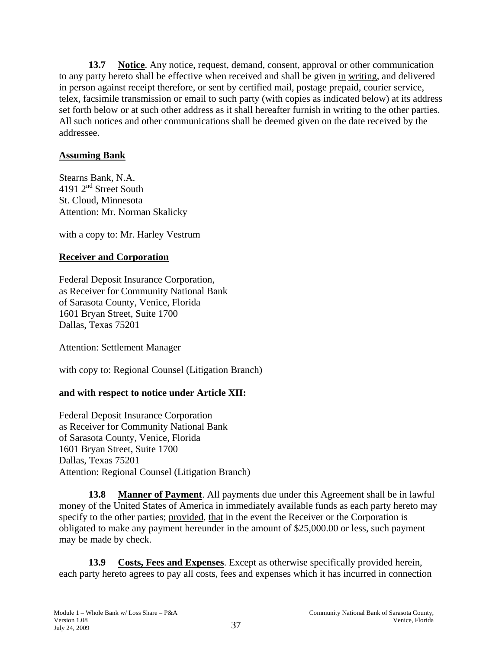**13.7** Notice. Any notice, request, demand, consent, approval or other communication to any party hereto shall be effective when received and shall be given in writing, and delivered in person against receipt therefore, or sent by certified mail, postage prepaid, courier service, telex, facsimile transmission or email to such party (with copies as indicated below) at its address set forth below or at such other address as it shall hereafter furnish in writing to the other parties. All such notices and other communications shall be deemed given on the date received by the addressee.

## **Assuming Bank**

Stearns Bank, N.A. 4191 2<sup>nd</sup> Street South St. Cloud, Minnesota Attention: Mr. Norman Skalicky

with a copy to: Mr. Harley Vestrum

# **Receiver and Corporation**

Federal Deposit Insurance Corporation, as Receiver for Community National Bank of Sarasota County, Venice, Florida 1601 Bryan Street, Suite 1700 Dallas, Texas 75201

Attention: Settlement Manager

with copy to: Regional Counsel (Litigation Branch)

# **and with respect to notice under Article XII:**

Federal Deposit Insurance Corporation as Receiver for Community National Bank of Sarasota County, Venice, Florida 1601 Bryan Street, Suite 1700 Dallas, Texas 75201 Attention: Regional Counsel (Litigation Branch)

**13.8 Manner of Payment**. All payments due under this Agreement shall be in lawful money of the United States of America in immediately available funds as each party hereto may specify to the other parties; provided, that in the event the Receiver or the Corporation is obligated to make any payment hereunder in the amount of \$25,000.00 or less, such payment may be made by check.

**13.9 Costs, Fees and Expenses**. Except as otherwise specifically provided herein, each party hereto agrees to pay all costs, fees and expenses which it has incurred in connection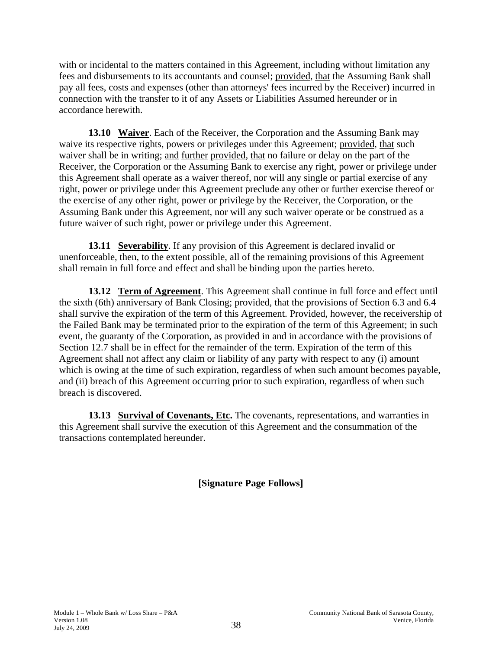with or incidental to the matters contained in this Agreement, including without limitation any fees and disbursements to its accountants and counsel; provided, that the Assuming Bank shall pay all fees, costs and expenses (other than attorneys' fees incurred by the Receiver) incurred in connection with the transfer to it of any Assets or Liabilities Assumed hereunder or in accordance herewith.

**13.10 Waiver**. Each of the Receiver, the Corporation and the Assuming Bank may waive its respective rights, powers or privileges under this Agreement; provided, that such waiver shall be in writing; and further provided, that no failure or delay on the part of the Receiver, the Corporation or the Assuming Bank to exercise any right, power or privilege under this Agreement shall operate as a waiver thereof, nor will any single or partial exercise of any right, power or privilege under this Agreement preclude any other or further exercise thereof or the exercise of any other right, power or privilege by the Receiver, the Corporation, or the Assuming Bank under this Agreement, nor will any such waiver operate or be construed as a future waiver of such right, power or privilege under this Agreement.

**13.11 Severability**. If any provision of this Agreement is declared invalid or unenforceable, then, to the extent possible, all of the remaining provisions of this Agreement shall remain in full force and effect and shall be binding upon the parties hereto.

**13.12 Term of Agreement**. This Agreement shall continue in full force and effect until the sixth (6th) anniversary of Bank Closing; provided, that the provisions of Section 6.3 and 6.4 shall survive the expiration of the term of this Agreement. Provided, however, the receivership of the Failed Bank may be terminated prior to the expiration of the term of this Agreement; in such event, the guaranty of the Corporation, as provided in and in accordance with the provisions of Section 12.7 shall be in effect for the remainder of the term. Expiration of the term of this Agreement shall not affect any claim or liability of any party with respect to any (i) amount which is owing at the time of such expiration, regardless of when such amount becomes payable, and (ii) breach of this Agreement occurring prior to such expiration, regardless of when such breach is discovered.

**13.13 Survival of Covenants, Etc.** The covenants, representations, and warranties in this Agreement shall survive the execution of this Agreement and the consummation of the transactions contemplated hereunder.

 **[Signature Page Follows]**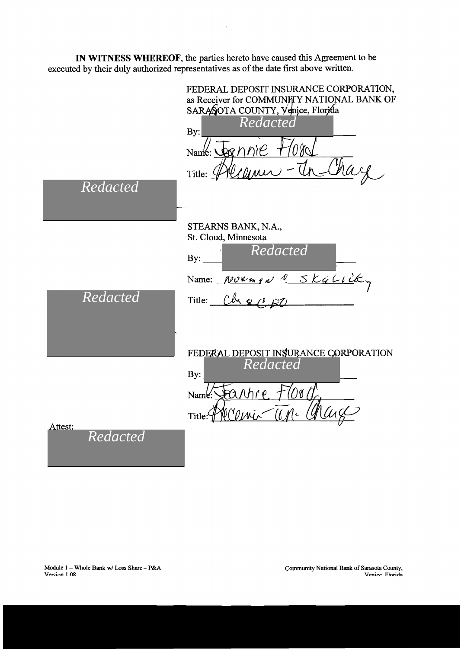**IN WITNESS WHEREOF, the parties hereto have caused this Agreement to be executed by their duly authorized representatives as of the date first above written.** 

 $\bar{\mathcal{A}}$ 

|                     | FEDERAL DEPOSIT INSURANCE CORPORATION,<br>as Receiver for COMMUNITY NATIONAL BANK OF<br>SARASOTA COUNTY, Venice, Florida<br>Redacted<br>By: |
|---------------------|---------------------------------------------------------------------------------------------------------------------------------------------|
|                     | Name: $QQ/\hbar$<br>l/n<br>Title:                                                                                                           |
| Redacted            |                                                                                                                                             |
|                     | STEARNS BANK, N.A.,<br>St. Cloud, Minnesota                                                                                                 |
|                     | Redacted<br>By:                                                                                                                             |
|                     | Name: $N$<br>Title: $N \times N$ $N \times N$<br>$N \times N$                                                                               |
| Redacted            |                                                                                                                                             |
|                     | FEDERAL DEPOSIT INSURANCE CORPORATION<br>Redacted                                                                                           |
|                     | By:<br><u>Seanhre</u> Flora                                                                                                                 |
|                     | Name:<br>Title                                                                                                                              |
| Attest:<br>Redacted |                                                                                                                                             |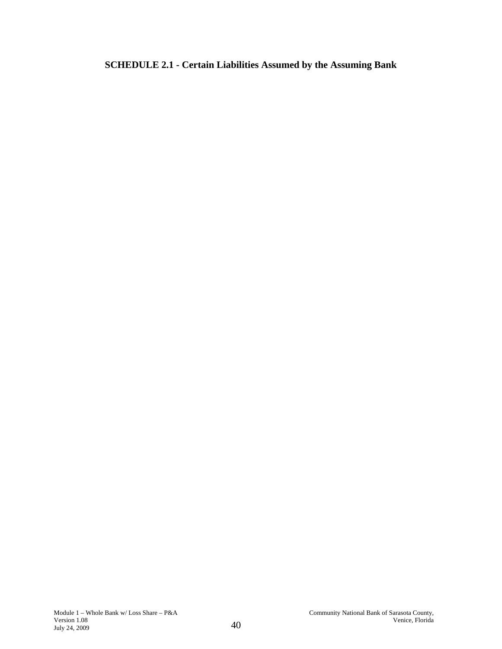**SCHEDULE 2.1 - Certain Liabilities Assumed by the Assuming Bank**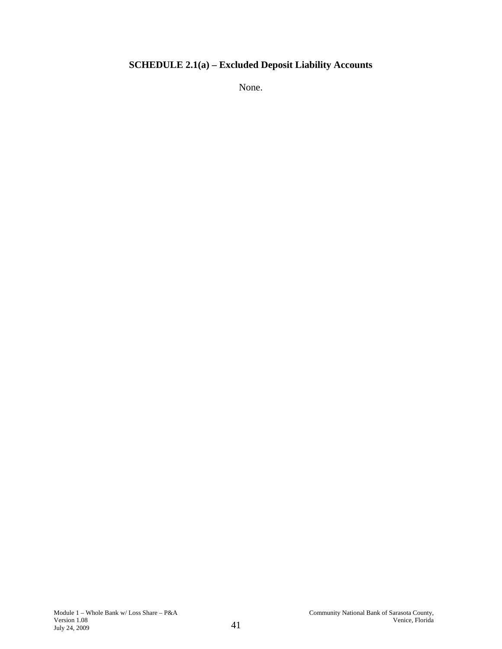# **SCHEDULE 2.1(a) – Excluded Deposit Liability Accounts**

None.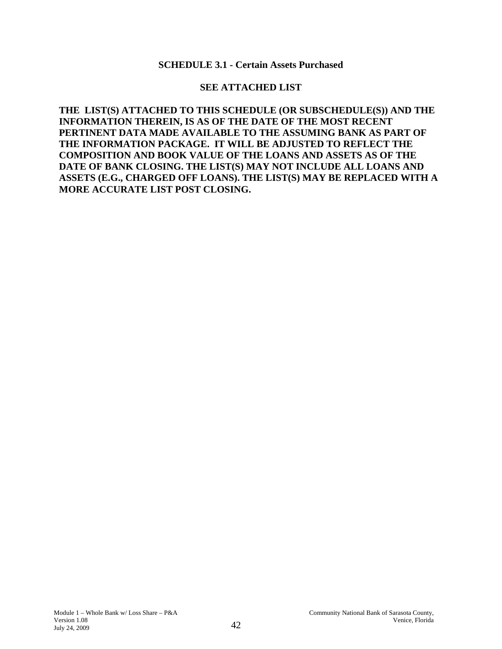#### **SCHEDULE 3.1 - Certain Assets Purchased**

#### **SEE ATTACHED LIST**

THE LIST(S) ATTACHED TO THIS SCHEDULE (OR SUBSCHEDULE(S)) AND THE **INFORMATION THEREIN, IS AS OF THE DATE OF THE MOST RECENT PERTINENT DATA MADE AVAILABLE TO THE ASSUMING BANK AS PART OF THE INFORMATION PACKAGE. IT WILL BE ADJUSTED TO REFLECT THE COMPOSITION AND BOOK VALUE OF THE LOANS AND ASSETS AS OF THE DATE OF BANK CLOSING. THE LIST(S) MAY NOT INCLUDE ALL LOANS AND ASSETS (E.G., CHARGED OFF LOANS). THE LIST(S) MAY BE REPLACED WITH A MORE ACCURATE LIST POST CLOSING.**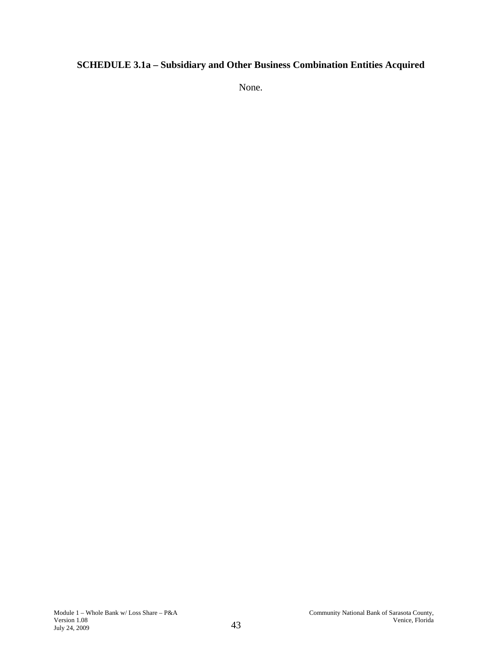# **SCHEDULE 3.1a – Subsidiary and Other Business Combination Entities Acquired**

None.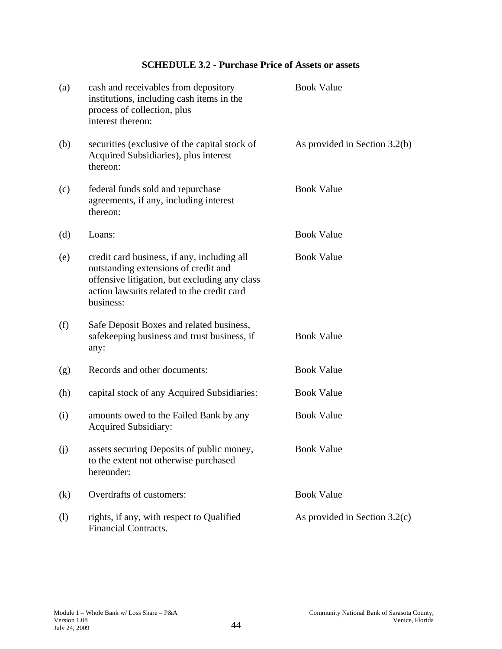# **SCHEDULE 3.2 - Purchase Price of Assets or assets**

| (a)                          | cash and receivables from depository<br>institutions, including cash items in the<br>process of collection, plus<br>interest thereon:                                                           | <b>Book Value</b>               |
|------------------------------|-------------------------------------------------------------------------------------------------------------------------------------------------------------------------------------------------|---------------------------------|
| (b)                          | securities (exclusive of the capital stock of<br>Acquired Subsidiaries), plus interest<br>thereon:                                                                                              | As provided in Section 3.2(b)   |
| (c)                          | federal funds sold and repurchase<br>agreements, if any, including interest<br>thereon:                                                                                                         | <b>Book Value</b>               |
| (d)                          | Loans:                                                                                                                                                                                          | <b>Book Value</b>               |
| (e)                          | credit card business, if any, including all<br>outstanding extensions of credit and<br>offensive litigation, but excluding any class<br>action lawsuits related to the credit card<br>business: | <b>Book Value</b>               |
| (f)                          | Safe Deposit Boxes and related business,<br>safekeeping business and trust business, if<br>any:                                                                                                 | <b>Book Value</b>               |
| (g)                          | Records and other documents:                                                                                                                                                                    | <b>Book Value</b>               |
| (h)                          | capital stock of any Acquired Subsidiaries:                                                                                                                                                     | <b>Book Value</b>               |
| (i)                          | amounts owed to the Failed Bank by any<br><b>Acquired Subsidiary:</b>                                                                                                                           | <b>Book Value</b>               |
| (j)                          | assets securing Deposits of public money,<br>to the extent not otherwise purchased<br>hereunder:                                                                                                | <b>Book Value</b>               |
| (k)                          | Overdrafts of customers:                                                                                                                                                                        | <b>Book Value</b>               |
| $\left( \frac{1}{2} \right)$ | rights, if any, with respect to Qualified<br>Financial Contracts.                                                                                                                               | As provided in Section $3.2(c)$ |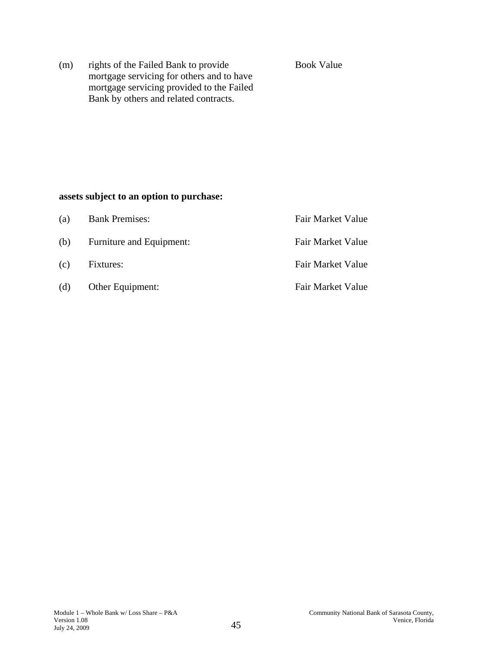(m) rights of the Failed Bank to provide Book Value mortgage servicing for others and to have mortgage servicing provided to the Failed Bank by others and related contracts.

### **assets subject to an option to purchase:**

| (a) | <b>Bank Premises:</b>    | Fair Market Value        |
|-----|--------------------------|--------------------------|
| (b) | Furniture and Equipment: | Fair Market Value        |
| (c) | Fixtures:                | <b>Fair Market Value</b> |
| (d) | Other Equipment:         | Fair Market Value        |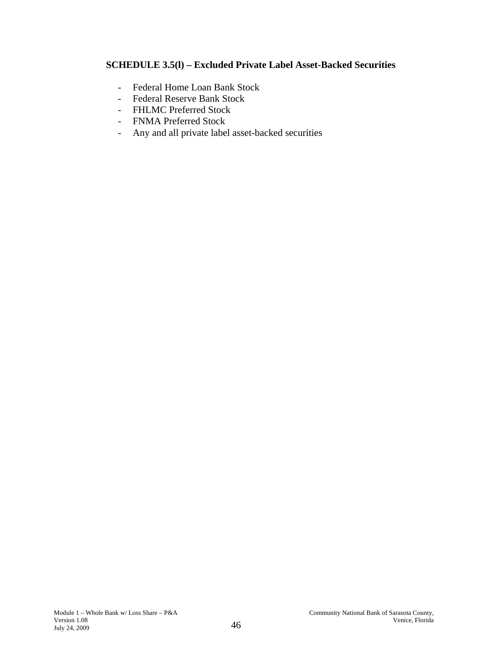# **SCHEDULE 3.5(l) – Excluded Private Label Asset-Backed Securities**

- Federal Home Loan Bank Stock
- Federal Reserve Bank Stock
- FHLMC Preferred Stock
- FNMA Preferred Stock
- Any and all private label asset-backed securities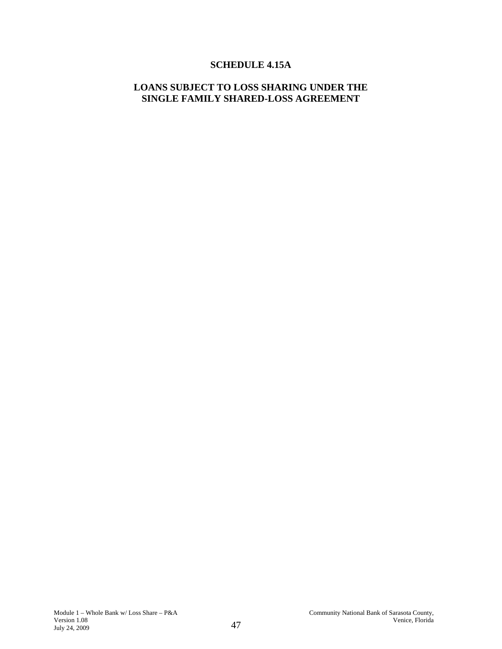### **SCHEDULE 4.15A**

#### **LOANS SUBJECT TO LOSS SHARING UNDER THE SINGLE FAMILY SHARED-LOSS AGREEMENT**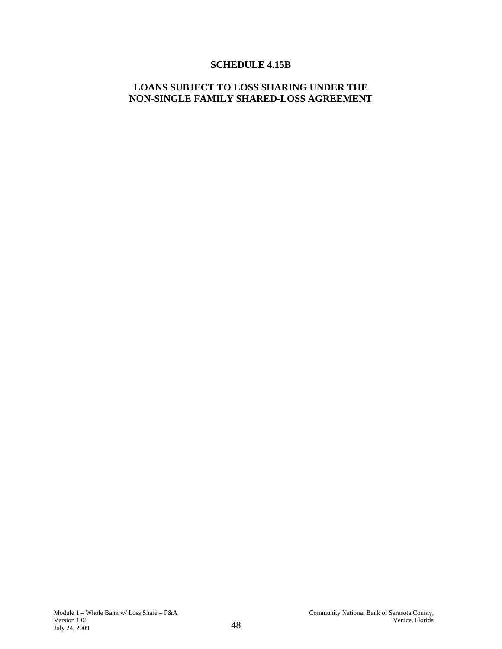### **SCHEDULE 4.15B**

### **LOANS SUBJECT TO LOSS SHARING UNDER THE NON-SINGLE FAMILY SHARED-LOSS AGREEMENT**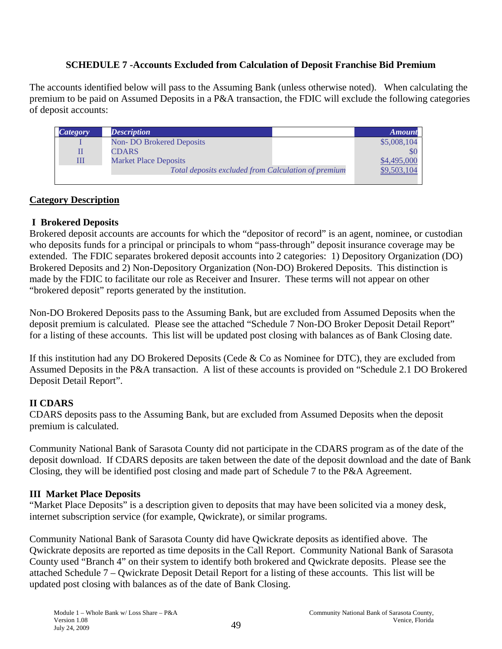### **SCHEDULE 7 -Accounts Excluded from Calculation of Deposit Franchise Bid Premium**

The accounts identified below will pass to the Assuming Bank (unless otherwise noted). When calculating the premium to be paid on Assumed Deposits in a P&A transaction, the FDIC will exclude the following categories of deposit accounts:

| <i>Category</i> | <b>Description</b>                                  | <b>Amount</b> |
|-----------------|-----------------------------------------------------|---------------|
|                 | <b>Non-DO Brokered Deposits</b>                     | \$5,008,104   |
|                 | <b>CDARS</b>                                        |               |
| Ш               | <b>Market Place Deposits</b>                        | \$4,495,000   |
|                 | Total deposits excluded from Calculation of premium | \$9,503,104   |
|                 |                                                     |               |

### **Category Description**

### **I Brokered Deposits**

Brokered deposit accounts are accounts for which the "depositor of record" is an agent, nominee, or custodian who deposits funds for a principal or principals to whom "pass-through" deposit insurance coverage may be extended. The FDIC separates brokered deposit accounts into 2 categories: 1) Depository Organization (DO) Brokered Deposits and 2) Non-Depository Organization (Non-DO) Brokered Deposits. This distinction is made by the FDIC to facilitate our role as Receiver and Insurer. These terms will not appear on other "brokered deposit" reports generated by the institution.

Non-DO Brokered Deposits pass to the Assuming Bank, but are excluded from Assumed Deposits when the deposit premium is calculated. Please see the attached "Schedule 7 Non-DO Broker Deposit Detail Report" for a listing of these accounts. This list will be updated post closing with balances as of Bank Closing date.

If this institution had any DO Brokered Deposits (Cede & Co as Nominee for DTC), they are excluded from Assumed Deposits in the P&A transaction. A list of these accounts is provided on "Schedule 2.1 DO Brokered Deposit Detail Report".

# **II CDARS**

CDARS deposits pass to the Assuming Bank, but are excluded from Assumed Deposits when the deposit premium is calculated.

Community National Bank of Sarasota County did not participate in the CDARS program as of the date of the deposit download. If CDARS deposits are taken between the date of the deposit download and the date of Bank Closing, they will be identified post closing and made part of Schedule 7 to the P&A Agreement.

### **III Market Place Deposits**

"Market Place Deposits" is a description given to deposits that may have been solicited via a money desk, internet subscription service (for example, Qwickrate), or similar programs.

Community National Bank of Sarasota County did have Qwickrate deposits as identified above. The Qwickrate deposits are reported as time deposits in the Call Report. Community National Bank of Sarasota County used "Branch 4" on their system to identify both brokered and Qwickrate deposits. Please see the attached Schedule 7 – Qwickrate Deposit Detail Report for a listing of these accounts. This list will be updated post closing with balances as of the date of Bank Closing.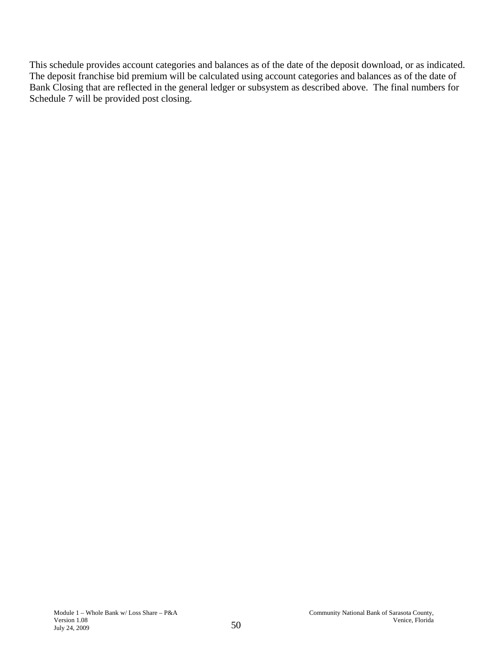This schedule provides account categories and balances as of the date of the deposit download, or as indicated. The deposit franchise bid premium will be calculated using account categories and balances as of the date of Bank Closing that are reflected in the general ledger or subsystem as described above. The final numbers for Schedule 7 will be provided post closing.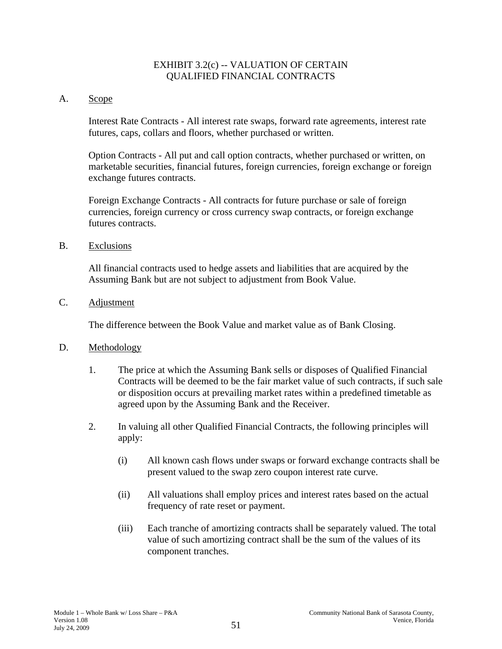#### EXHIBIT 3.2(c) -- VALUATION OF CERTAIN QUALIFIED FINANCIAL CONTRACTS

### A. Scope

Interest Rate Contracts - All interest rate swaps, forward rate agreements, interest rate futures, caps, collars and floors, whether purchased or written.

Option Contracts - All put and call option contracts, whether purchased or written, on marketable securities, financial futures, foreign currencies, foreign exchange or foreign exchange futures contracts.

Foreign Exchange Contracts - All contracts for future purchase or sale of foreign currencies, foreign currency or cross currency swap contracts, or foreign exchange futures contracts.

B. Exclusions

All financial contracts used to hedge assets and liabilities that are acquired by the Assuming Bank but are not subject to adjustment from Book Value.

C. Adjustment

The difference between the Book Value and market value as of Bank Closing.

- D. Methodology
	- 1. The price at which the Assuming Bank sells or disposes of Qualified Financial Contracts will be deemed to be the fair market value of such contracts, if such sale or disposition occurs at prevailing market rates within a predefined timetable as agreed upon by the Assuming Bank and the Receiver.
	- 2. In valuing all other Qualified Financial Contracts, the following principles will apply:
		- (i) All known cash flows under swaps or forward exchange contracts shall be present valued to the swap zero coupon interest rate curve.
		- (ii) All valuations shall employ prices and interest rates based on the actual frequency of rate reset or payment.
		- (iii) Each tranche of amortizing contracts shall be separately valued. The total value of such amortizing contract shall be the sum of the values of its component tranches.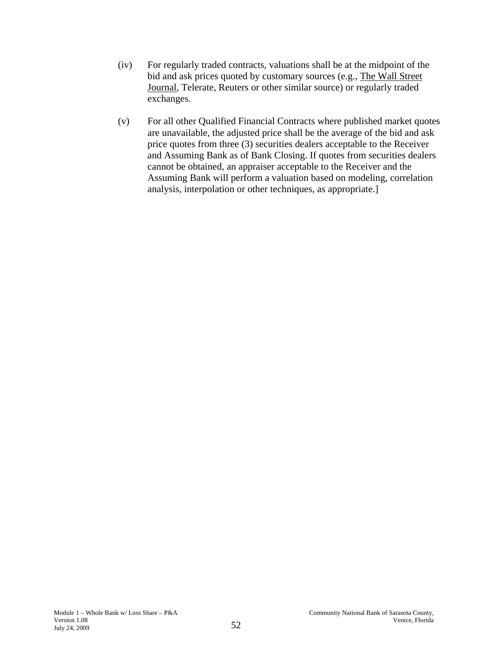- (iv) For regularly traded contracts, valuations shall be at the midpoint of the bid and ask prices quoted by customary sources (e.g., The Wall Street Journal, Telerate, Reuters or other similar source) or regularly traded exchanges.
- (v) For all other Qualified Financial Contracts where published market quotes are unavailable, the adjusted price shall be the average of the bid and ask price quotes from three (3) securities dealers acceptable to the Receiver and Assuming Bank as of Bank Closing. If quotes from securities dealers cannot be obtained, an appraiser acceptable to the Receiver and the Assuming Bank will perform a valuation based on modeling, correlation analysis, interpolation or other techniques, as appropriate.]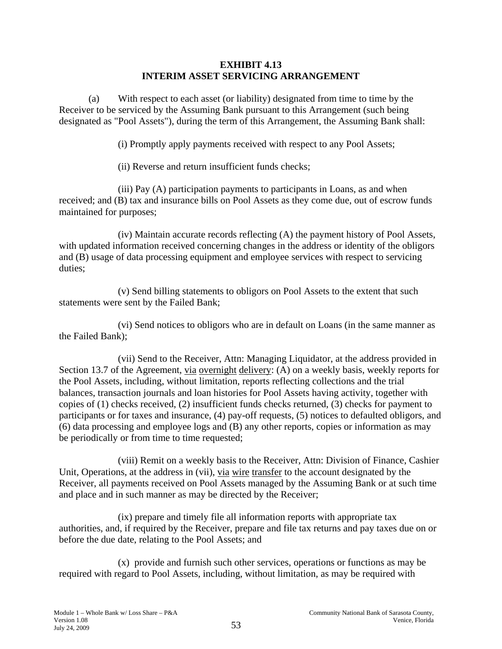#### **EXHIBIT 4.13 INTERIM ASSET SERVICING ARRANGEMENT**

(a) With respect to each asset (or liability) designated from time to time by the Receiver to be serviced by the Assuming Bank pursuant to this Arrangement (such being designated as "Pool Assets"), during the term of this Arrangement, the Assuming Bank shall:

(i) Promptly apply payments received with respect to any Pool Assets;

(ii) Reverse and return insufficient funds checks;

(iii) Pay (A) participation payments to participants in Loans, as and when received; and (B) tax and insurance bills on Pool Assets as they come due, out of escrow funds maintained for purposes;

(iv) Maintain accurate records reflecting (A) the payment history of Pool Assets, with updated information received concerning changes in the address or identity of the obligors and (B) usage of data processing equipment and employee services with respect to servicing duties;

(v) Send billing statements to obligors on Pool Assets to the extent that such statements were sent by the Failed Bank;

(vi) Send notices to obligors who are in default on Loans (in the same manner as the Failed Bank);

(vii) Send to the Receiver, Attn: Managing Liquidator, at the address provided in Section 13.7 of the Agreement, via overnight delivery: (A) on a weekly basis, weekly reports for the Pool Assets, including, without limitation, reports reflecting collections and the trial balances, transaction journals and loan histories for Pool Assets having activity, together with copies of (1) checks received, (2) insufficient funds checks returned, (3) checks for payment to participants or for taxes and insurance, (4) pay-off requests, (5) notices to defaulted obligors, and (6) data processing and employee logs and (B) any other reports, copies or information as may be periodically or from time to time requested;

(viii) Remit on a weekly basis to the Receiver, Attn: Division of Finance, Cashier Unit, Operations, at the address in (vii), via wire transfer to the account designated by the Receiver, all payments received on Pool Assets managed by the Assuming Bank or at such time and place and in such manner as may be directed by the Receiver;

(ix) prepare and timely file all information reports with appropriate tax authorities, and, if required by the Receiver, prepare and file tax returns and pay taxes due on or before the due date, relating to the Pool Assets; and

(x) provide and furnish such other services, operations or functions as may be required with regard to Pool Assets, including, without limitation, as may be required with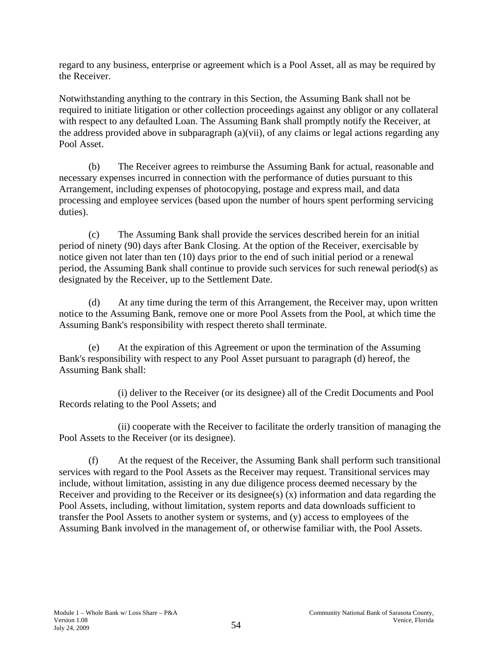regard to any business, enterprise or agreement which is a Pool Asset, all as may be required by the Receiver.

Notwithstanding anything to the contrary in this Section, the Assuming Bank shall not be required to initiate litigation or other collection proceedings against any obligor or any collateral with respect to any defaulted Loan. The Assuming Bank shall promptly notify the Receiver, at the address provided above in subparagraph (a)(vii), of any claims or legal actions regarding any Pool Asset.

(b) The Receiver agrees to reimburse the Assuming Bank for actual, reasonable and necessary expenses incurred in connection with the performance of duties pursuant to this Arrangement, including expenses of photocopying, postage and express mail, and data processing and employee services (based upon the number of hours spent performing servicing duties).

(c) The Assuming Bank shall provide the services described herein for an initial period of ninety (90) days after Bank Closing. At the option of the Receiver, exercisable by notice given not later than ten (10) days prior to the end of such initial period or a renewal period, the Assuming Bank shall continue to provide such services for such renewal period(s) as designated by the Receiver, up to the Settlement Date.

(d) At any time during the term of this Arrangement, the Receiver may, upon written notice to the Assuming Bank, remove one or more Pool Assets from the Pool, at which time the Assuming Bank's responsibility with respect thereto shall terminate.

(e) At the expiration of this Agreement or upon the termination of the Assuming Bank's responsibility with respect to any Pool Asset pursuant to paragraph (d) hereof, the Assuming Bank shall:

(i) deliver to the Receiver (or its designee) all of the Credit Documents and Pool Records relating to the Pool Assets; and

(ii) cooperate with the Receiver to facilitate the orderly transition of managing the Pool Assets to the Receiver (or its designee).

(f) At the request of the Receiver, the Assuming Bank shall perform such transitional services with regard to the Pool Assets as the Receiver may request. Transitional services may include, without limitation, assisting in any due diligence process deemed necessary by the Receiver and providing to the Receiver or its designee(s) (x) information and data regarding the Pool Assets, including, without limitation, system reports and data downloads sufficient to transfer the Pool Assets to another system or systems, and (y) access to employees of the Assuming Bank involved in the management of, or otherwise familiar with, the Pool Assets.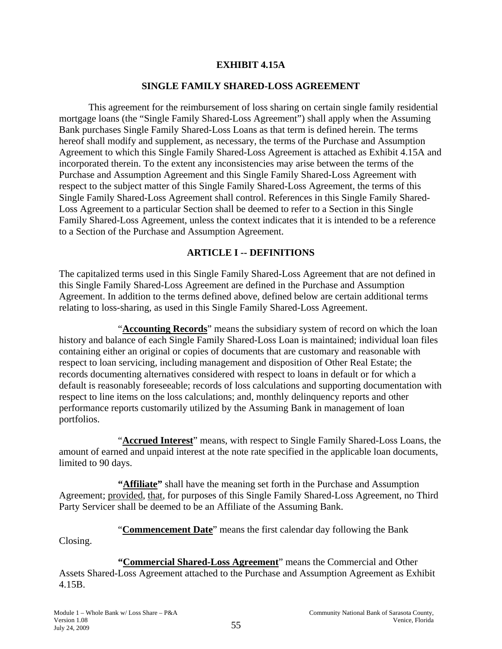#### **EXHIBIT 4.15A**

#### **SINGLE FAMILY SHARED-LOSS AGREEMENT**

This agreement for the reimbursement of loss sharing on certain single family residential mortgage loans (the "Single Family Shared-Loss Agreement") shall apply when the Assuming Bank purchases Single Family Shared-Loss Loans as that term is defined herein. The terms hereof shall modify and supplement, as necessary, the terms of the Purchase and Assumption Agreement to which this Single Family Shared-Loss Agreement is attached as Exhibit 4.15A and incorporated therein. To the extent any inconsistencies may arise between the terms of the Purchase and Assumption Agreement and this Single Family Shared-Loss Agreement with respect to the subject matter of this Single Family Shared-Loss Agreement, the terms of this Single Family Shared-Loss Agreement shall control. References in this Single Family Shared-Loss Agreement to a particular Section shall be deemed to refer to a Section in this Single Family Shared-Loss Agreement, unless the context indicates that it is intended to be a reference to a Section of the Purchase and Assumption Agreement.

#### **ARTICLE I -- DEFINITIONS**

The capitalized terms used in this Single Family Shared-Loss Agreement that are not defined in this Single Family Shared-Loss Agreement are defined in the Purchase and Assumption Agreement. In addition to the terms defined above, defined below are certain additional terms relating to loss-sharing, as used in this Single Family Shared-Loss Agreement.

"**Accounting Records**" means the subsidiary system of record on which the loan history and balance of each Single Family Shared-Loss Loan is maintained; individual loan files containing either an original or copies of documents that are customary and reasonable with respect to loan servicing, including management and disposition of Other Real Estate; the records documenting alternatives considered with respect to loans in default or for which a default is reasonably foreseeable; records of loss calculations and supporting documentation with respect to line items on the loss calculations; and, monthly delinquency reports and other performance reports customarily utilized by the Assuming Bank in management of loan portfolios.

"**Accrued Interest**" means, with respect to Single Family Shared-Loss Loans, the amount of earned and unpaid interest at the note rate specified in the applicable loan documents, limited to 90 days.

**"Affiliate"** shall have the meaning set forth in the Purchase and Assumption Agreement; provided, that, for purposes of this Single Family Shared-Loss Agreement, no Third Party Servicer shall be deemed to be an Affiliate of the Assuming Bank.

"**Commencement Date**" means the first calendar day following the Bank

Closing.

**"Commercial Shared-Loss Agreement**" means the Commercial and Other Assets Shared-Loss Agreement attached to the Purchase and Assumption Agreement as Exhibit 4.15B.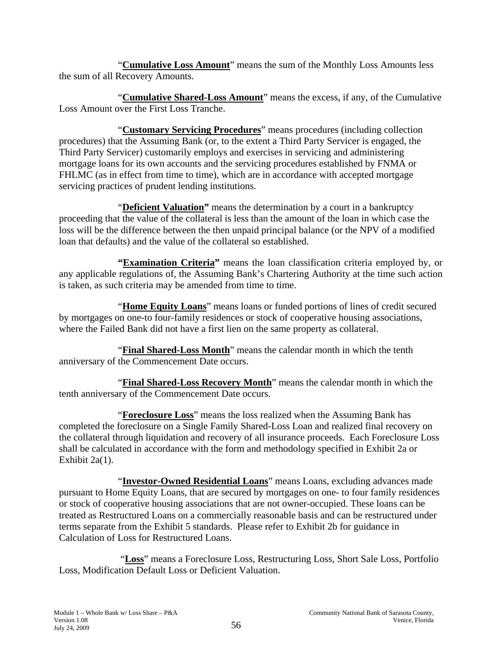"**Cumulative Loss Amount**" means the sum of the Monthly Loss Amounts less the sum of all Recovery Amounts.

"**Cumulative Shared-Loss Amount**" means the excess, if any, of the Cumulative Loss Amount over the First Loss Tranche.

"**Customary Servicing Procedures**" means procedures (including collection procedures) that the Assuming Bank (or, to the extent a Third Party Servicer is engaged, the Third Party Servicer) customarily employs and exercises in servicing and administering mortgage loans for its own accounts and the servicing procedures established by FNMA or FHLMC (as in effect from time to time), which are in accordance with accepted mortgage servicing practices of prudent lending institutions.

"**Deficient Valuation"** means the determination by a court in a bankruptcy proceeding that the value of the collateral is less than the amount of the loan in which case the loss will be the difference between the then unpaid principal balance (or the NPV of a modified loan that defaults) and the value of the collateral so established.

**"Examination Criteria"** means the loan classification criteria employed by, or any applicable regulations of, the Assuming Bank's Chartering Authority at the time such action is taken, as such criteria may be amended from time to time.

"**Home Equity Loans**" means loans or funded portions of lines of credit secured by mortgages on one-to four-family residences or stock of cooperative housing associations, where the Failed Bank did not have a first lien on the same property as collateral.

"**Final Shared-Loss Month**" means the calendar month in which the tenth anniversary of the Commencement Date occurs.

"**Final Shared-Loss Recovery Month**" means the calendar month in which the tenth anniversary of the Commencement Date occurs.

"**Foreclosure Loss**" means the loss realized when the Assuming Bank has completed the foreclosure on a Single Family Shared-Loss Loan and realized final recovery on the collateral through liquidation and recovery of all insurance proceeds. Each Foreclosure Loss shall be calculated in accordance with the form and methodology specified in Exhibit 2a or Exhibit 2a(1).

"**Investor-Owned Residential Loans**" means Loans, excluding advances made pursuant to Home Equity Loans, that are secured by mortgages on one- to four family residences or stock of cooperative housing associations that are not owner-occupied. These loans can be treated as Restructured Loans on a commercially reasonable basis and can be restructured under terms separate from the Exhibit 5 standards. Please refer to Exhibit 2b for guidance in Calculation of Loss for Restructured Loans.

"**Loss**" means a Foreclosure Loss, Restructuring Loss, Short Sale Loss, Portfolio Loss, Modification Default Loss or Deficient Valuation.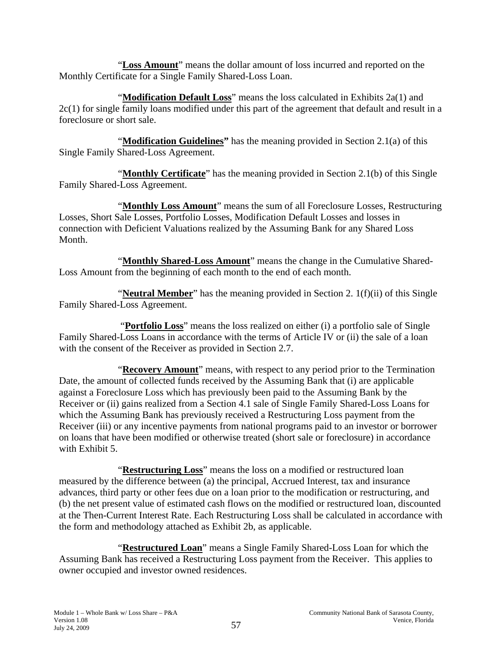"**Loss Amount**" means the dollar amount of loss incurred and reported on the Monthly Certificate for a Single Family Shared-Loss Loan.

"**Modification Default Loss**" means the loss calculated in Exhibits 2a(1) and 2c(1) for single family loans modified under this part of the agreement that default and result in a foreclosure or short sale.

"**Modification Guidelines**" has the meaning provided in Section 2.1(a) of this Single Family Shared-Loss Agreement.

"**Monthly Certificate**" has the meaning provided in Section 2.1(b) of this Single Family Shared-Loss Agreement.

"**Monthly Loss Amount**" means the sum of all Foreclosure Losses, Restructuring Losses, Short Sale Losses, Portfolio Losses, Modification Default Losses and losses in connection with Deficient Valuations realized by the Assuming Bank for any Shared Loss Month.

"**Monthly Shared-Loss Amount**" means the change in the Cumulative Shared-Loss Amount from the beginning of each month to the end of each month.

**"Neutral Member**" has the meaning provided in Section 2. 1(f)(ii) of this Single Family Shared-Loss Agreement.

"**Portfolio Loss**" means the loss realized on either (i) a portfolio sale of Single Family Shared-Loss Loans in accordance with the terms of Article IV or (ii) the sale of a loan with the consent of the Receiver as provided in Section 2.7.

"**Recovery Amount**" means, with respect to any period prior to the Termination Date, the amount of collected funds received by the Assuming Bank that (i) are applicable against a Foreclosure Loss which has previously been paid to the Assuming Bank by the Receiver or (ii) gains realized from a Section 4.1 sale of Single Family Shared-Loss Loans for which the Assuming Bank has previously received a Restructuring Loss payment from the Receiver (iii) or any incentive payments from national programs paid to an investor or borrower on loans that have been modified or otherwise treated (short sale or foreclosure) in accordance with Exhibit 5

"**Restructuring Loss**" means the loss on a modified or restructured loan measured by the difference between (a) the principal, Accrued Interest, tax and insurance advances, third party or other fees due on a loan prior to the modification or restructuring, and (b) the net present value of estimated cash flows on the modified or restructured loan, discounted at the Then-Current Interest Rate. Each Restructuring Loss shall be calculated in accordance with the form and methodology attached as Exhibit 2b, as applicable.

"**Restructured Loan**" means a Single Family Shared-Loss Loan for which the Assuming Bank has received a Restructuring Loss payment from the Receiver. This applies to owner occupied and investor owned residences.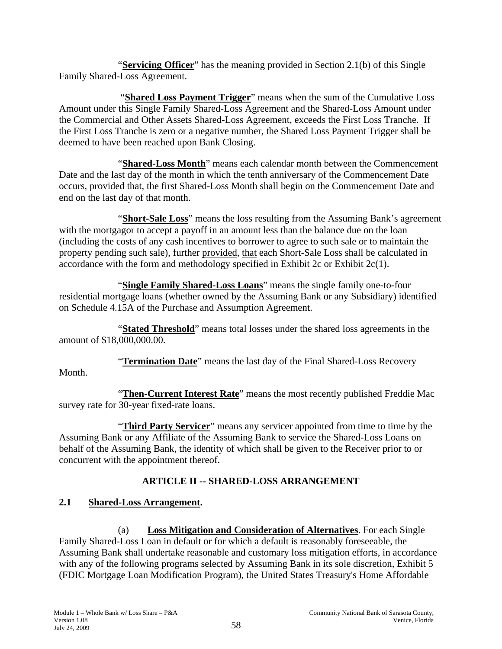"**Servicing Officer**" has the meaning provided in Section 2.1(b) of this Single Family Shared-Loss Agreement.

"**Shared Loss Payment Trigger**" means when the sum of the Cumulative Loss Amount under this Single Family Shared-Loss Agreement and the Shared-Loss Amount under the Commercial and Other Assets Shared-Loss Agreement, exceeds the First Loss Tranche. If the First Loss Tranche is zero or a negative number, the Shared Loss Payment Trigger shall be deemed to have been reached upon Bank Closing.

"**Shared-Loss Month**" means each calendar month between the Commencement Date and the last day of the month in which the tenth anniversary of the Commencement Date occurs, provided that, the first Shared-Loss Month shall begin on the Commencement Date and end on the last day of that month.

"**Short-Sale Loss**" means the loss resulting from the Assuming Bank's agreement with the mortgagor to accept a payoff in an amount less than the balance due on the loan (including the costs of any cash incentives to borrower to agree to such sale or to maintain the property pending such sale), further provided, that each Short-Sale Loss shall be calculated in accordance with the form and methodology specified in Exhibit 2c or Exhibit  $2c(1)$ .

"**Single Family Shared-Loss Loans**" means the single family one-to-four residential mortgage loans (whether owned by the Assuming Bank or any Subsidiary) identified on Schedule 4.15A of the Purchase and Assumption Agreement.

"**Stated Threshold**" means total losses under the shared loss agreements in the amount of \$18,000,000.00.

"**Termination Date**" means the last day of the Final Shared-Loss Recovery

Month.

"**Then-Current Interest Rate**" means the most recently published Freddie Mac survey rate for 30-year fixed-rate loans.

"**Third Party Servicer**" means any servicer appointed from time to time by the Assuming Bank or any Affiliate of the Assuming Bank to service the Shared-Loss Loans on behalf of the Assuming Bank, the identity of which shall be given to the Receiver prior to or concurrent with the appointment thereof.

# **ARTICLE II -- SHARED-LOSS ARRANGEMENT**

# **2.1 Shared-Loss Arrangement.**

(a) **Loss Mitigation and Consideration of Alternatives**. For each Single Family Shared-Loss Loan in default or for which a default is reasonably foreseeable, the Assuming Bank shall undertake reasonable and customary loss mitigation efforts, in accordance with any of the following programs selected by Assuming Bank in its sole discretion, Exhibit 5 (FDIC Mortgage Loan Modification Program), the United States Treasury's Home Affordable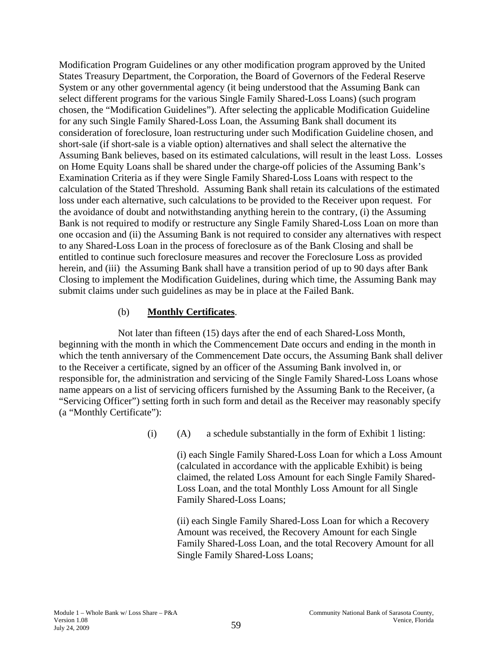Modification Program Guidelines or any other modification program approved by the United States Treasury Department, the Corporation, the Board of Governors of the Federal Reserve System or any other governmental agency (it being understood that the Assuming Bank can select different programs for the various Single Family Shared-Loss Loans) (such program chosen, the "Modification Guidelines"). After selecting the applicable Modification Guideline for any such Single Family Shared-Loss Loan, the Assuming Bank shall document its consideration of foreclosure, loan restructuring under such Modification Guideline chosen, and short-sale (if short-sale is a viable option) alternatives and shall select the alternative the Assuming Bank believes, based on its estimated calculations, will result in the least Loss. Losses on Home Equity Loans shall be shared under the charge-off policies of the Assuming Bank's Examination Criteria as if they were Single Family Shared-Loss Loans with respect to the calculation of the Stated Threshold. Assuming Bank shall retain its calculations of the estimated loss under each alternative, such calculations to be provided to the Receiver upon request. For the avoidance of doubt and notwithstanding anything herein to the contrary, (i) the Assuming Bank is not required to modify or restructure any Single Family Shared-Loss Loan on more than one occasion and (ii) the Assuming Bank is not required to consider any alternatives with respect to any Shared-Loss Loan in the process of foreclosure as of the Bank Closing and shall be entitled to continue such foreclosure measures and recover the Foreclosure Loss as provided herein, and (iii) the Assuming Bank shall have a transition period of up to 90 days after Bank Closing to implement the Modification Guidelines, during which time, the Assuming Bank may submit claims under such guidelines as may be in place at the Failed Bank.

### (b) **Monthly Certificates**.

Not later than fifteen (15) days after the end of each Shared-Loss Month, beginning with the month in which the Commencement Date occurs and ending in the month in which the tenth anniversary of the Commencement Date occurs, the Assuming Bank shall deliver to the Receiver a certificate, signed by an officer of the Assuming Bank involved in, or responsible for, the administration and servicing of the Single Family Shared-Loss Loans whose name appears on a list of servicing officers furnished by the Assuming Bank to the Receiver, (a "Servicing Officer") setting forth in such form and detail as the Receiver may reasonably specify (a "Monthly Certificate"):

(i) (A) a schedule substantially in the form of Exhibit 1 listing:

(i) each Single Family Shared-Loss Loan for which a Loss Amount (calculated in accordance with the applicable Exhibit) is being claimed, the related Loss Amount for each Single Family Shared-Loss Loan, and the total Monthly Loss Amount for all Single Family Shared-Loss Loans;

(ii) each Single Family Shared-Loss Loan for which a Recovery Amount was received, the Recovery Amount for each Single Family Shared-Loss Loan, and the total Recovery Amount for all Single Family Shared-Loss Loans;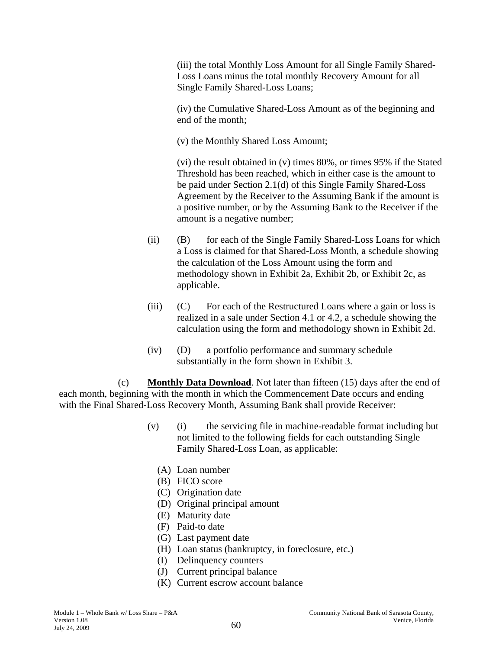(iii) the total Monthly Loss Amount for all Single Family Shared-Loss Loans minus the total monthly Recovery Amount for all Single Family Shared-Loss Loans;

(iv) the Cumulative Shared-Loss Amount as of the beginning and end of the month;

(v) the Monthly Shared Loss Amount;

(vi) the result obtained in (v) times 80%, or times 95% if the Stated Threshold has been reached, which in either case is the amount to be paid under Section 2.1(d) of this Single Family Shared-Loss Agreement by the Receiver to the Assuming Bank if the amount is a positive number, or by the Assuming Bank to the Receiver if the amount is a negative number;

- (ii) (B) for each of the Single Family Shared-Loss Loans for which a Loss is claimed for that Shared-Loss Month, a schedule showing the calculation of the Loss Amount using the form and methodology shown in Exhibit 2a, Exhibit 2b, or Exhibit 2c, as applicable.
- (iii) (C) For each of the Restructured Loans where a gain or loss is realized in a sale under Section 4.1 or 4.2, a schedule showing the calculation using the form and methodology shown in Exhibit 2d.
- (iv) (D) a portfolio performance and summary schedule substantially in the form shown in Exhibit 3.

(c) **Monthly Data Download**. Not later than fifteen (15) days after the end of each month, beginning with the month in which the Commencement Date occurs and ending with the Final Shared-Loss Recovery Month, Assuming Bank shall provide Receiver:

- $(v)$  (i) the servicing file in machine-readable format including but not limited to the following fields for each outstanding Single Family Shared-Loss Loan, as applicable:
	- (A) Loan number
	- (B) FICO score
	- (C) Origination date
	- (D) Original principal amount
	- (E) Maturity date
	- (F) Paid-to date
	- (G) Last payment date
	- (H) Loan status (bankruptcy, in foreclosure, etc.)
	- (I) Delinquency counters
	- (J) Current principal balance
	- (K) Current escrow account balance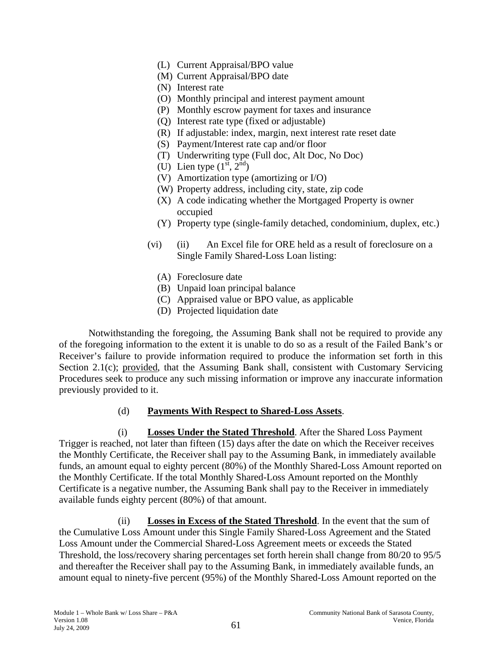- (L) Current Appraisal/BPO value
- (M) Current Appraisal/BPO date
- (N) Interest rate
- (O) Monthly principal and interest payment amount
- (P) Monthly escrow payment for taxes and insurance
- (Q) Interest rate type (fixed or adjustable)
- (R) If adjustable: index, margin, next interest rate reset date
- (S) Payment/Interest rate cap and/or floor
- (T) Underwriting type (Full doc, Alt Doc, No Doc)
- (U) Lien type  $(1<sup>st</sup>, 2<sup>nd</sup>)$
- (V) Amortization type (amortizing or I/O)
- (W) Property address, including city, state, zip code
- (X) A code indicating whether the Mortgaged Property is owner occupied
- (Y) Property type (single-family detached, condominium, duplex, etc.)
- (vi) (ii) An Excel file for ORE held as a result of foreclosure on a Single Family Shared-Loss Loan listing:
	- (A) Foreclosure date
	- (B) Unpaid loan principal balance
	- (C) Appraised value or BPO value, as applicable
	- (D) Projected liquidation date

Notwithstanding the foregoing, the Assuming Bank shall not be required to provide any of the foregoing information to the extent it is unable to do so as a result of the Failed Bank's or Receiver's failure to provide information required to produce the information set forth in this Section 2.1(c); provided, that the Assuming Bank shall, consistent with Customary Servicing Procedures seek to produce any such missing information or improve any inaccurate information previously provided to it.

### (d) **Payments With Respect to Shared-Loss Assets**.

(i) **Losses Under the Stated Threshold**. After the Shared Loss Payment Trigger is reached, not later than fifteen (15) days after the date on which the Receiver receives the Monthly Certificate, the Receiver shall pay to the Assuming Bank, in immediately available funds, an amount equal to eighty percent (80%) of the Monthly Shared-Loss Amount reported on the Monthly Certificate. If the total Monthly Shared-Loss Amount reported on the Monthly Certificate is a negative number, the Assuming Bank shall pay to the Receiver in immediately available funds eighty percent (80%) of that amount.

(ii) **Losses in Excess of the Stated Threshold**. In the event that the sum of the Cumulative Loss Amount under this Single Family Shared-Loss Agreement and the Stated Loss Amount under the Commercial Shared-Loss Agreement meets or exceeds the Stated Threshold, the loss/recovery sharing percentages set forth herein shall change from 80/20 to 95/5 and thereafter the Receiver shall pay to the Assuming Bank, in immediately available funds, an amount equal to ninety-five percent (95%) of the Monthly Shared-Loss Amount reported on the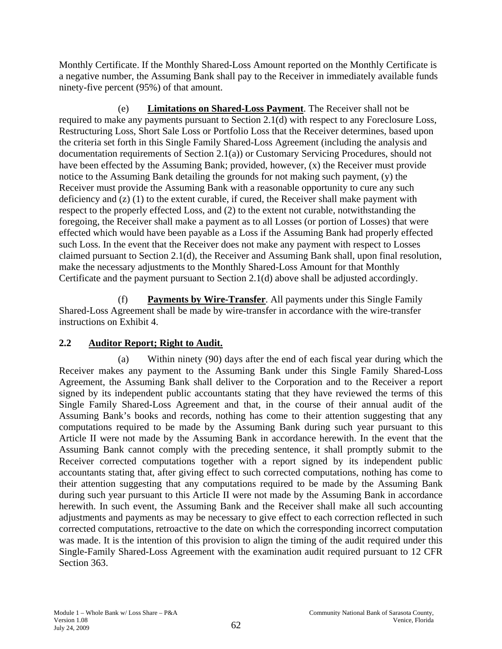Monthly Certificate. If the Monthly Shared-Loss Amount reported on the Monthly Certificate is a negative number, the Assuming Bank shall pay to the Receiver in immediately available funds ninety-five percent (95%) of that amount.

(e) **Limitations on Shared-Loss Payment**. The Receiver shall not be required to make any payments pursuant to Section 2.1(d) with respect to any Foreclosure Loss, Restructuring Loss, Short Sale Loss or Portfolio Loss that the Receiver determines, based upon the criteria set forth in this Single Family Shared-Loss Agreement (including the analysis and documentation requirements of Section 2.1(a)) or Customary Servicing Procedures, should not have been effected by the Assuming Bank; provided, however, (x) the Receiver must provide notice to the Assuming Bank detailing the grounds for not making such payment, (y) the Receiver must provide the Assuming Bank with a reasonable opportunity to cure any such deficiency and (z) (1) to the extent curable, if cured, the Receiver shall make payment with respect to the properly effected Loss, and (2) to the extent not curable, notwithstanding the foregoing, the Receiver shall make a payment as to all Losses (or portion of Losses) that were effected which would have been payable as a Loss if the Assuming Bank had properly effected such Loss. In the event that the Receiver does not make any payment with respect to Losses claimed pursuant to Section 2.1(d), the Receiver and Assuming Bank shall, upon final resolution, make the necessary adjustments to the Monthly Shared-Loss Amount for that Monthly Certificate and the payment pursuant to Section 2.1(d) above shall be adjusted accordingly.

(f) **Payments by Wire-Transfer**. All payments under this Single Family Shared-Loss Agreement shall be made by wire-transfer in accordance with the wire-transfer instructions on Exhibit 4.

# **2.2 Auditor Report; Right to Audit.**

(a) Within ninety (90) days after the end of each fiscal year during which the Receiver makes any payment to the Assuming Bank under this Single Family Shared-Loss Agreement, the Assuming Bank shall deliver to the Corporation and to the Receiver a report signed by its independent public accountants stating that they have reviewed the terms of this Single Family Shared-Loss Agreement and that, in the course of their annual audit of the Assuming Bank's books and records, nothing has come to their attention suggesting that any computations required to be made by the Assuming Bank during such year pursuant to this Article II were not made by the Assuming Bank in accordance herewith. In the event that the Assuming Bank cannot comply with the preceding sentence, it shall promptly submit to the Receiver corrected computations together with a report signed by its independent public accountants stating that, after giving effect to such corrected computations, nothing has come to their attention suggesting that any computations required to be made by the Assuming Bank during such year pursuant to this Article II were not made by the Assuming Bank in accordance herewith. In such event, the Assuming Bank and the Receiver shall make all such accounting adjustments and payments as may be necessary to give effect to each correction reflected in such corrected computations, retroactive to the date on which the corresponding incorrect computation was made. It is the intention of this provision to align the timing of the audit required under this Single-Family Shared-Loss Agreement with the examination audit required pursuant to 12 CFR Section 363.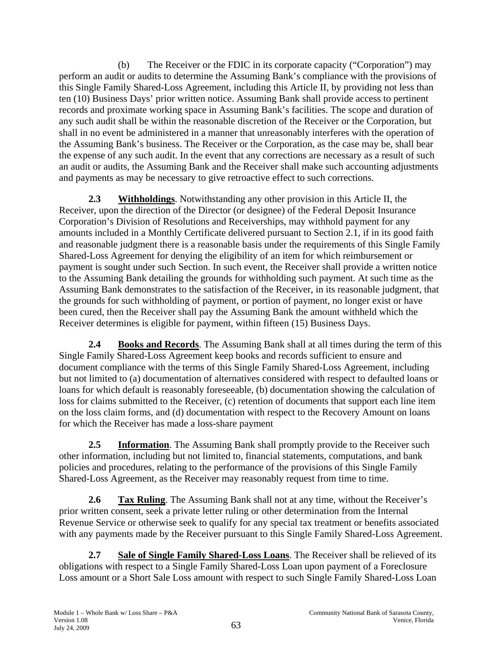(b) The Receiver or the FDIC in its corporate capacity ("Corporation") may perform an audit or audits to determine the Assuming Bank's compliance with the provisions of this Single Family Shared-Loss Agreement, including this Article II, by providing not less than ten (10) Business Days' prior written notice. Assuming Bank shall provide access to pertinent records and proximate working space in Assuming Bank's facilities. The scope and duration of any such audit shall be within the reasonable discretion of the Receiver or the Corporation, but shall in no event be administered in a manner that unreasonably interferes with the operation of the Assuming Bank's business. The Receiver or the Corporation, as the case may be, shall bear the expense of any such audit. In the event that any corrections are necessary as a result of such an audit or audits, the Assuming Bank and the Receiver shall make such accounting adjustments and payments as may be necessary to give retroactive effect to such corrections.

**2.3 Withholdings**. Notwithstanding any other provision in this Article II, the Receiver, upon the direction of the Director (or designee) of the Federal Deposit Insurance Corporation's Division of Resolutions and Receiverships, may withhold payment for any amounts included in a Monthly Certificate delivered pursuant to Section 2.1, if in its good faith and reasonable judgment there is a reasonable basis under the requirements of this Single Family Shared-Loss Agreement for denying the eligibility of an item for which reimbursement or payment is sought under such Section. In such event, the Receiver shall provide a written notice to the Assuming Bank detailing the grounds for withholding such payment. At such time as the Assuming Bank demonstrates to the satisfaction of the Receiver, in its reasonable judgment, that the grounds for such withholding of payment, or portion of payment, no longer exist or have been cured, then the Receiver shall pay the Assuming Bank the amount withheld which the Receiver determines is eligible for payment, within fifteen (15) Business Days.

**2.4 Books and Records**. The Assuming Bank shall at all times during the term of this Single Family Shared-Loss Agreement keep books and records sufficient to ensure and document compliance with the terms of this Single Family Shared-Loss Agreement, including but not limited to (a) documentation of alternatives considered with respect to defaulted loans or loans for which default is reasonably foreseeable, (b) documentation showing the calculation of loss for claims submitted to the Receiver, (c) retention of documents that support each line item on the loss claim forms, and (d) documentation with respect to the Recovery Amount on loans for which the Receiver has made a loss-share payment

**2.5 Information**. The Assuming Bank shall promptly provide to the Receiver such other information, including but not limited to, financial statements, computations, and bank policies and procedures, relating to the performance of the provisions of this Single Family Shared-Loss Agreement, as the Receiver may reasonably request from time to time.

**2.6** Tax Ruling. The Assuming Bank shall not at any time, without the Receiver's prior written consent, seek a private letter ruling or other determination from the Internal Revenue Service or otherwise seek to qualify for any special tax treatment or benefits associated with any payments made by the Receiver pursuant to this Single Family Shared-Loss Agreement.

**2.7 Sale of Single Family Shared-Loss Loans**. The Receiver shall be relieved of its obligations with respect to a Single Family Shared-Loss Loan upon payment of a Foreclosure Loss amount or a Short Sale Loss amount with respect to such Single Family Shared-Loss Loan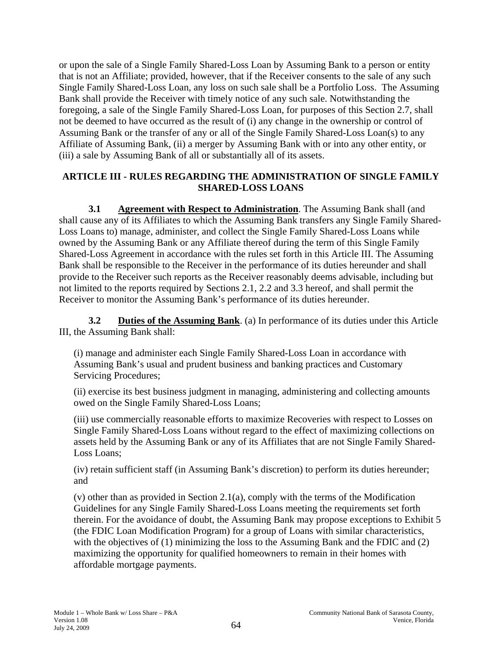or upon the sale of a Single Family Shared-Loss Loan by Assuming Bank to a person or entity that is not an Affiliate; provided, however, that if the Receiver consents to the sale of any such Single Family Shared-Loss Loan, any loss on such sale shall be a Portfolio Loss. The Assuming Bank shall provide the Receiver with timely notice of any such sale. Notwithstanding the foregoing, a sale of the Single Family Shared-Loss Loan, for purposes of this Section 2.7, shall not be deemed to have occurred as the result of (i) any change in the ownership or control of Assuming Bank or the transfer of any or all of the Single Family Shared-Loss Loan(s) to any Affiliate of Assuming Bank, (ii) a merger by Assuming Bank with or into any other entity, or (iii) a sale by Assuming Bank of all or substantially all of its assets.

### **ARTICLE III - RULES REGARDING THE ADMINISTRATION OF SINGLE FAMILY SHARED-LOSS LOANS**

**3.1 Agreement with Respect to Administration**. The Assuming Bank shall (and shall cause any of its Affiliates to which the Assuming Bank transfers any Single Family Shared-Loss Loans to) manage, administer, and collect the Single Family Shared-Loss Loans while owned by the Assuming Bank or any Affiliate thereof during the term of this Single Family Shared-Loss Agreement in accordance with the rules set forth in this Article III. The Assuming Bank shall be responsible to the Receiver in the performance of its duties hereunder and shall provide to the Receiver such reports as the Receiver reasonably deems advisable, including but not limited to the reports required by Sections 2.1, 2.2 and 3.3 hereof, and shall permit the Receiver to monitor the Assuming Bank's performance of its duties hereunder.

**3.2** Duties of the Assuming Bank. (a) In performance of its duties under this Article III, the Assuming Bank shall:

(i) manage and administer each Single Family Shared-Loss Loan in accordance with Assuming Bank's usual and prudent business and banking practices and Customary Servicing Procedures;

(ii) exercise its best business judgment in managing, administering and collecting amounts owed on the Single Family Shared-Loss Loans;

(iii) use commercially reasonable efforts to maximize Recoveries with respect to Losses on Single Family Shared-Loss Loans without regard to the effect of maximizing collections on assets held by the Assuming Bank or any of its Affiliates that are not Single Family Shared-Loss Loans;

(iv) retain sufficient staff (in Assuming Bank's discretion) to perform its duties hereunder; and

(v) other than as provided in Section 2.1(a), comply with the terms of the Modification Guidelines for any Single Family Shared-Loss Loans meeting the requirements set forth therein. For the avoidance of doubt, the Assuming Bank may propose exceptions to Exhibit 5 (the FDIC Loan Modification Program) for a group of Loans with similar characteristics, with the objectives of (1) minimizing the loss to the Assuming Bank and the FDIC and (2) maximizing the opportunity for qualified homeowners to remain in their homes with affordable mortgage payments.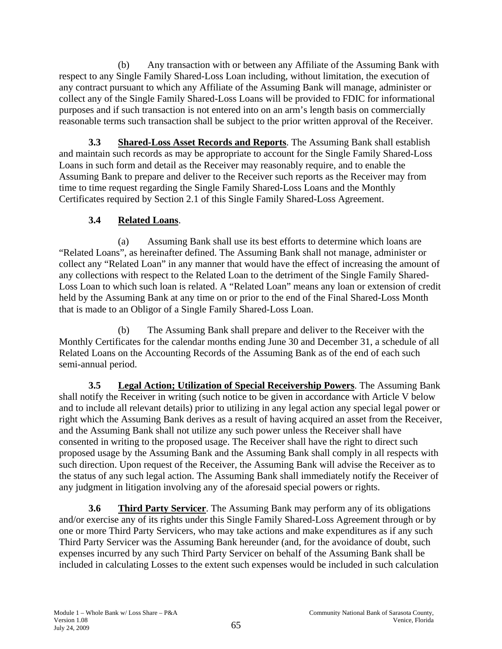(b) Any transaction with or between any Affiliate of the Assuming Bank with respect to any Single Family Shared-Loss Loan including, without limitation, the execution of any contract pursuant to which any Affiliate of the Assuming Bank will manage, administer or collect any of the Single Family Shared-Loss Loans will be provided to FDIC for informational purposes and if such transaction is not entered into on an arm's length basis on commercially reasonable terms such transaction shall be subject to the prior written approval of the Receiver.

**3.3 Shared-Loss Asset Records and Reports**. The Assuming Bank shall establish and maintain such records as may be appropriate to account for the Single Family Shared-Loss Loans in such form and detail as the Receiver may reasonably require, and to enable the Assuming Bank to prepare and deliver to the Receiver such reports as the Receiver may from time to time request regarding the Single Family Shared-Loss Loans and the Monthly Certificates required by Section 2.1 of this Single Family Shared-Loss Agreement.

# **3.4 Related Loans**.

(a) Assuming Bank shall use its best efforts to determine which loans are "Related Loans", as hereinafter defined. The Assuming Bank shall not manage, administer or collect any "Related Loan" in any manner that would have the effect of increasing the amount of any collections with respect to the Related Loan to the detriment of the Single Family Shared-Loss Loan to which such loan is related. A "Related Loan" means any loan or extension of credit held by the Assuming Bank at any time on or prior to the end of the Final Shared-Loss Month that is made to an Obligor of a Single Family Shared-Loss Loan.

(b) The Assuming Bank shall prepare and deliver to the Receiver with the Monthly Certificates for the calendar months ending June 30 and December 31, a schedule of all Related Loans on the Accounting Records of the Assuming Bank as of the end of each such semi-annual period.

**3.5 Legal Action; Utilization of Special Receivership Powers**. The Assuming Bank shall notify the Receiver in writing (such notice to be given in accordance with Article V below and to include all relevant details) prior to utilizing in any legal action any special legal power or right which the Assuming Bank derives as a result of having acquired an asset from the Receiver, and the Assuming Bank shall not utilize any such power unless the Receiver shall have consented in writing to the proposed usage. The Receiver shall have the right to direct such proposed usage by the Assuming Bank and the Assuming Bank shall comply in all respects with such direction. Upon request of the Receiver, the Assuming Bank will advise the Receiver as to the status of any such legal action. The Assuming Bank shall immediately notify the Receiver of any judgment in litigation involving any of the aforesaid special powers or rights.

**3.6 Third Party Servicer**. The Assuming Bank may perform any of its obligations and/or exercise any of its rights under this Single Family Shared-Loss Agreement through or by one or more Third Party Servicers, who may take actions and make expenditures as if any such Third Party Servicer was the Assuming Bank hereunder (and, for the avoidance of doubt, such expenses incurred by any such Third Party Servicer on behalf of the Assuming Bank shall be included in calculating Losses to the extent such expenses would be included in such calculation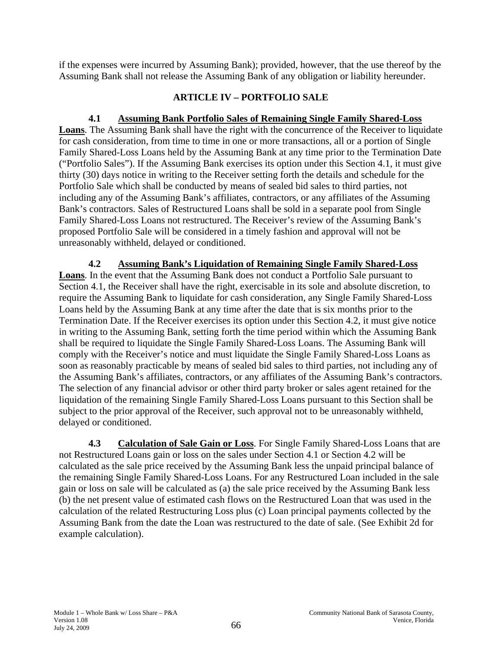if the expenses were incurred by Assuming Bank); provided, however, that the use thereof by the Assuming Bank shall not release the Assuming Bank of any obligation or liability hereunder.

# **ARTICLE IV – PORTFOLIO SALE**

# **4.1 Assuming Bank Portfolio Sales of Remaining Single Family Shared-Loss**

**Loans**. The Assuming Bank shall have the right with the concurrence of the Receiver to liquidate for cash consideration, from time to time in one or more transactions, all or a portion of Single Family Shared-Loss Loans held by the Assuming Bank at any time prior to the Termination Date ("Portfolio Sales"). If the Assuming Bank exercises its option under this Section 4.1, it must give thirty (30) days notice in writing to the Receiver setting forth the details and schedule for the Portfolio Sale which shall be conducted by means of sealed bid sales to third parties, not including any of the Assuming Bank's affiliates, contractors, or any affiliates of the Assuming Bank's contractors. Sales of Restructured Loans shall be sold in a separate pool from Single Family Shared-Loss Loans not restructured. The Receiver's review of the Assuming Bank's proposed Portfolio Sale will be considered in a timely fashion and approval will not be unreasonably withheld, delayed or conditioned.

**4.2 Assuming Bank's Liquidation of Remaining Single Family Shared-Loss Loans**. In the event that the Assuming Bank does not conduct a Portfolio Sale pursuant to Section 4.1, the Receiver shall have the right, exercisable in its sole and absolute discretion, to require the Assuming Bank to liquidate for cash consideration, any Single Family Shared-Loss Loans held by the Assuming Bank at any time after the date that is six months prior to the Termination Date. If the Receiver exercises its option under this Section 4.2, it must give notice in writing to the Assuming Bank, setting forth the time period within which the Assuming Bank shall be required to liquidate the Single Family Shared-Loss Loans. The Assuming Bank will comply with the Receiver's notice and must liquidate the Single Family Shared-Loss Loans as soon as reasonably practicable by means of sealed bid sales to third parties, not including any of the Assuming Bank's affiliates, contractors, or any affiliates of the Assuming Bank's contractors. The selection of any financial advisor or other third party broker or sales agent retained for the liquidation of the remaining Single Family Shared-Loss Loans pursuant to this Section shall be subject to the prior approval of the Receiver, such approval not to be unreasonably withheld, delayed or conditioned.

**4.3 Calculation of Sale Gain or Loss**. For Single Family Shared-Loss Loans that are not Restructured Loans gain or loss on the sales under Section 4.1 or Section 4.2 will be calculated as the sale price received by the Assuming Bank less the unpaid principal balance of the remaining Single Family Shared-Loss Loans. For any Restructured Loan included in the sale gain or loss on sale will be calculated as (a) the sale price received by the Assuming Bank less (b) the net present value of estimated cash flows on the Restructured Loan that was used in the calculation of the related Restructuring Loss plus (c) Loan principal payments collected by the Assuming Bank from the date the Loan was restructured to the date of sale. (See Exhibit 2d for example calculation).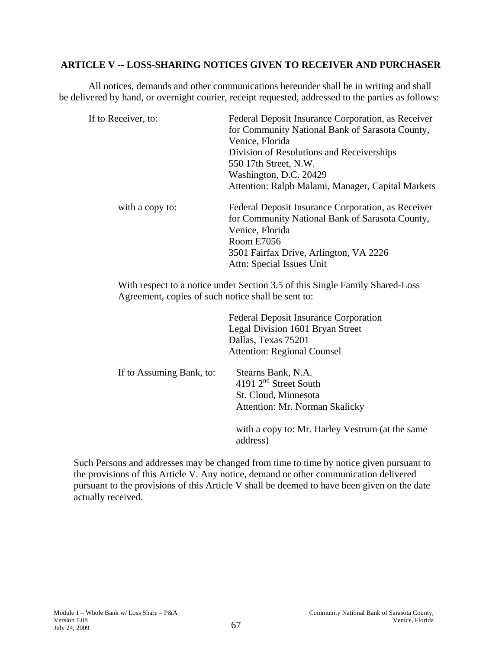#### **ARTICLE V -- LOSS-SHARING NOTICES GIVEN TO RECEIVER AND PURCHASER**

All notices, demands and other communications hereunder shall be in writing and shall be delivered by hand, or overnight courier, receipt requested, addressed to the parties as follows:

| If to Receiver, to: | Federal Deposit Insurance Corporation, as Receiver<br>for Community National Bank of Sarasota County,<br>Venice, Florida<br>Division of Resolutions and Receiverships<br>550 17th Street, N.W.                |
|---------------------|---------------------------------------------------------------------------------------------------------------------------------------------------------------------------------------------------------------|
|                     | Washington, D.C. 20429<br>Attention: Ralph Malami, Manager, Capital Markets                                                                                                                                   |
| with a copy to:     | Federal Deposit Insurance Corporation, as Receiver<br>for Community National Bank of Sarasota County,<br>Venice, Florida<br>Room E7056<br>3501 Fairfax Drive, Arlington, VA 2226<br>Attn: Special Issues Unit |

With respect to a notice under Section 3.5 of this Single Family Shared-Loss Agreement, copies of such notice shall be sent to:

|                          | <b>Federal Deposit Insurance Corporation</b><br>Legal Division 1601 Bryan Street<br>Dallas, Texas 75201<br><b>Attention: Regional Counsel</b> |
|--------------------------|-----------------------------------------------------------------------------------------------------------------------------------------------|
| If to Assuming Bank, to: | Stearns Bank, N.A.<br>4191 $2nd$ Street South<br>St. Cloud, Minnesota<br>Attention: Mr. Norman Skalicky                                       |
|                          | with a copy to: Mr. Harley Vestrum (at the same<br>address)                                                                                   |

Such Persons and addresses may be changed from time to time by notice given pursuant to the provisions of this Article V. Any notice, demand or other communication delivered pursuant to the provisions of this Article V shall be deemed to have been given on the date actually received.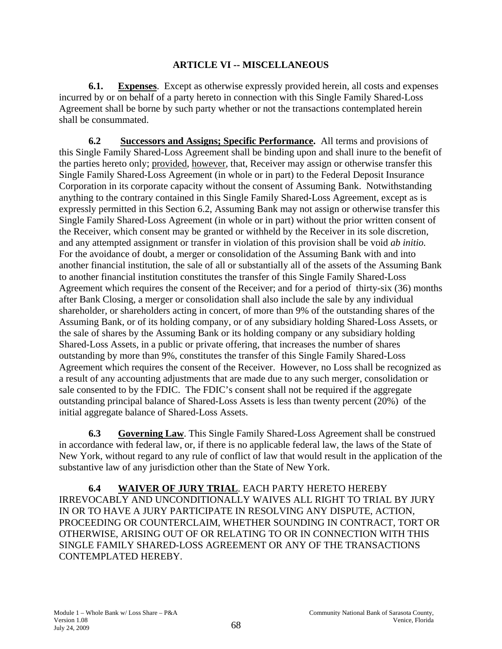### **ARTICLE VI -- MISCELLANEOUS**

**6.1. Expenses**. Except as otherwise expressly provided herein, all costs and expenses incurred by or on behalf of a party hereto in connection with this Single Family Shared-Loss Agreement shall be borne by such party whether or not the transactions contemplated herein shall be consummated.

**6.2** Successors and Assigns; Specific Performance. All terms and provisions of this Single Family Shared-Loss Agreement shall be binding upon and shall inure to the benefit of the parties hereto only; provided, however, that, Receiver may assign or otherwise transfer this Single Family Shared-Loss Agreement (in whole or in part) to the Federal Deposit Insurance Corporation in its corporate capacity without the consent of Assuming Bank. Notwithstanding anything to the contrary contained in this Single Family Shared-Loss Agreement, except as is expressly permitted in this Section 6.2, Assuming Bank may not assign or otherwise transfer this Single Family Shared-Loss Agreement (in whole or in part) without the prior written consent of the Receiver, which consent may be granted or withheld by the Receiver in its sole discretion, and any attempted assignment or transfer in violation of this provision shall be void *ab initio.*  For the avoidance of doubt, a merger or consolidation of the Assuming Bank with and into another financial institution, the sale of all or substantially all of the assets of the Assuming Bank to another financial institution constitutes the transfer of this Single Family Shared-Loss Agreement which requires the consent of the Receiver; and for a period of thirty-six (36) months after Bank Closing, a merger or consolidation shall also include the sale by any individual shareholder, or shareholders acting in concert, of more than 9% of the outstanding shares of the Assuming Bank, or of its holding company, or of any subsidiary holding Shared-Loss Assets, or the sale of shares by the Assuming Bank or its holding company or any subsidiary holding Shared-Loss Assets, in a public or private offering, that increases the number of shares outstanding by more than 9%, constitutes the transfer of this Single Family Shared-Loss Agreement which requires the consent of the Receiver. However, no Loss shall be recognized as a result of any accounting adjustments that are made due to any such merger, consolidation or sale consented to by the FDIC. The FDIC's consent shall not be required if the aggregate outstanding principal balance of Shared-Loss Assets is less than twenty percent (20%) of the initial aggregate balance of Shared-Loss Assets.

**6.3 Governing Law**. This Single Family Shared-Loss Agreement shall be construed in accordance with federal law, or, if there is no applicable federal law, the laws of the State of New York, without regard to any rule of conflict of law that would result in the application of the substantive law of any jurisdiction other than the State of New York.

**6.4 WAIVER OF JURY TRIAL**. EACH PARTY HERETO HEREBY IRREVOCABLY AND UNCONDITIONALLY WAIVES ALL RIGHT TO TRIAL BY JURY IN OR TO HAVE A JURY PARTICIPATE IN RESOLVING ANY DISPUTE, ACTION, PROCEEDING OR COUNTERCLAIM, WHETHER SOUNDING IN CONTRACT, TORT OR OTHERWISE, ARISING OUT OF OR RELATING TO OR IN CONNECTION WITH THIS SINGLE FAMILY SHARED-LOSS AGREEMENT OR ANY OF THE TRANSACTIONS CONTEMPLATED HEREBY.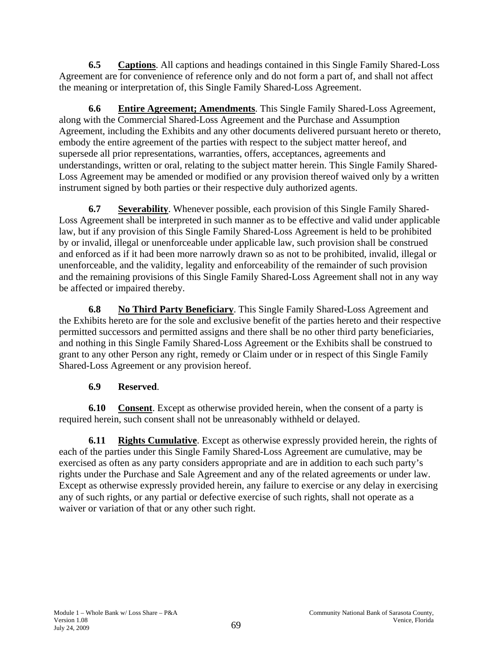**6.5 Captions**. All captions and headings contained in this Single Family Shared-Loss Agreement are for convenience of reference only and do not form a part of, and shall not affect the meaning or interpretation of, this Single Family Shared-Loss Agreement.

**6.6 Entire Agreement; Amendments**. This Single Family Shared-Loss Agreement, along with the Commercial Shared-Loss Agreement and the Purchase and Assumption Agreement, including the Exhibits and any other documents delivered pursuant hereto or thereto, embody the entire agreement of the parties with respect to the subject matter hereof, and supersede all prior representations, warranties, offers, acceptances, agreements and understandings, written or oral, relating to the subject matter herein. This Single Family Shared-Loss Agreement may be amended or modified or any provision thereof waived only by a written instrument signed by both parties or their respective duly authorized agents.

**6.7 Severability**. Whenever possible, each provision of this Single Family Shared-Loss Agreement shall be interpreted in such manner as to be effective and valid under applicable law, but if any provision of this Single Family Shared-Loss Agreement is held to be prohibited by or invalid, illegal or unenforceable under applicable law, such provision shall be construed and enforced as if it had been more narrowly drawn so as not to be prohibited, invalid, illegal or unenforceable, and the validity, legality and enforceability of the remainder of such provision and the remaining provisions of this Single Family Shared-Loss Agreement shall not in any way be affected or impaired thereby.

**6.8 No Third Party Beneficiary**. This Single Family Shared-Loss Agreement and the Exhibits hereto are for the sole and exclusive benefit of the parties hereto and their respective permitted successors and permitted assigns and there shall be no other third party beneficiaries, and nothing in this Single Family Shared-Loss Agreement or the Exhibits shall be construed to grant to any other Person any right, remedy or Claim under or in respect of this Single Family Shared-Loss Agreement or any provision hereof.

# **6.9 Reserved**.

**6.10 Consent**. Except as otherwise provided herein, when the consent of a party is required herein, such consent shall not be unreasonably withheld or delayed.

**6.11 Rights Cumulative**. Except as otherwise expressly provided herein, the rights of each of the parties under this Single Family Shared-Loss Agreement are cumulative, may be exercised as often as any party considers appropriate and are in addition to each such party's rights under the Purchase and Sale Agreement and any of the related agreements or under law. Except as otherwise expressly provided herein, any failure to exercise or any delay in exercising any of such rights, or any partial or defective exercise of such rights, shall not operate as a waiver or variation of that or any other such right.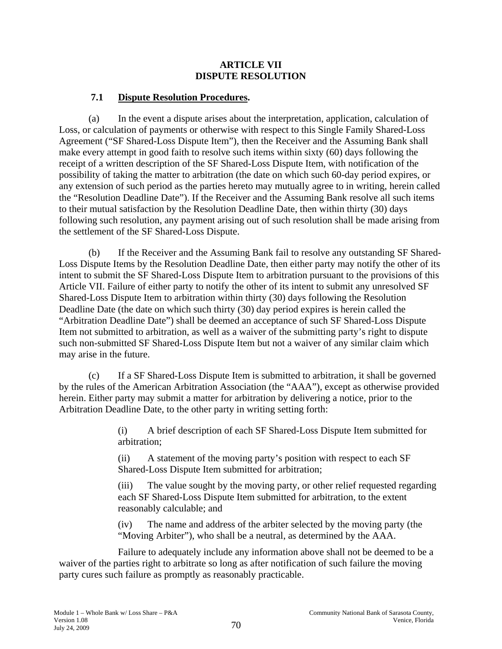### **ARTICLE VII DISPUTE RESOLUTION**

## **7.1 Dispute Resolution Procedures.**

(a) In the event a dispute arises about the interpretation, application, calculation of Loss, or calculation of payments or otherwise with respect to this Single Family Shared-Loss Agreement ("SF Shared-Loss Dispute Item"), then the Receiver and the Assuming Bank shall make every attempt in good faith to resolve such items within sixty (60) days following the receipt of a written description of the SF Shared-Loss Dispute Item, with notification of the possibility of taking the matter to arbitration (the date on which such 60-day period expires, or any extension of such period as the parties hereto may mutually agree to in writing, herein called the "Resolution Deadline Date"). If the Receiver and the Assuming Bank resolve all such items to their mutual satisfaction by the Resolution Deadline Date, then within thirty (30) days following such resolution, any payment arising out of such resolution shall be made arising from the settlement of the SF Shared-Loss Dispute.

(b) If the Receiver and the Assuming Bank fail to resolve any outstanding SF Shared-Loss Dispute Items by the Resolution Deadline Date, then either party may notify the other of its intent to submit the SF Shared-Loss Dispute Item to arbitration pursuant to the provisions of this Article VII. Failure of either party to notify the other of its intent to submit any unresolved SF Shared-Loss Dispute Item to arbitration within thirty (30) days following the Resolution Deadline Date (the date on which such thirty (30) day period expires is herein called the "Arbitration Deadline Date") shall be deemed an acceptance of such SF Shared-Loss Dispute Item not submitted to arbitration, as well as a waiver of the submitting party's right to dispute such non-submitted SF Shared-Loss Dispute Item but not a waiver of any similar claim which may arise in the future.

(c) If a SF Shared-Loss Dispute Item is submitted to arbitration, it shall be governed by the rules of the American Arbitration Association (the "AAA"), except as otherwise provided herein. Either party may submit a matter for arbitration by delivering a notice, prior to the Arbitration Deadline Date, to the other party in writing setting forth:

> (i) A brief description of each SF Shared-Loss Dispute Item submitted for arbitration;

(ii) A statement of the moving party's position with respect to each SF Shared-Loss Dispute Item submitted for arbitration;

(iii) The value sought by the moving party, or other relief requested regarding each SF Shared-Loss Dispute Item submitted for arbitration, to the extent reasonably calculable; and

(iv) The name and address of the arbiter selected by the moving party (the "Moving Arbiter"), who shall be a neutral, as determined by the AAA.

Failure to adequately include any information above shall not be deemed to be a waiver of the parties right to arbitrate so long as after notification of such failure the moving party cures such failure as promptly as reasonably practicable.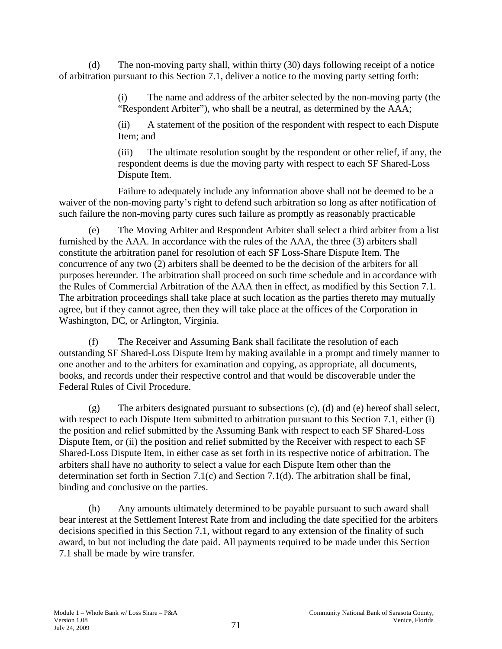(d) The non-moving party shall, within thirty (30) days following receipt of a notice of arbitration pursuant to this Section 7.1, deliver a notice to the moving party setting forth:

> (i) The name and address of the arbiter selected by the non-moving party (the "Respondent Arbiter"), who shall be a neutral, as determined by the AAA;

> (ii) A statement of the position of the respondent with respect to each Dispute Item; and

> (iii) The ultimate resolution sought by the respondent or other relief, if any, the respondent deems is due the moving party with respect to each SF Shared-Loss Dispute Item.

Failure to adequately include any information above shall not be deemed to be a waiver of the non-moving party's right to defend such arbitration so long as after notification of such failure the non-moving party cures such failure as promptly as reasonably practicable

(e) The Moving Arbiter and Respondent Arbiter shall select a third arbiter from a list furnished by the AAA. In accordance with the rules of the AAA, the three (3) arbiters shall constitute the arbitration panel for resolution of each SF Loss-Share Dispute Item. The concurrence of any two (2) arbiters shall be deemed to be the decision of the arbiters for all purposes hereunder. The arbitration shall proceed on such time schedule and in accordance with the Rules of Commercial Arbitration of the AAA then in effect, as modified by this Section 7.1. The arbitration proceedings shall take place at such location as the parties thereto may mutually agree, but if they cannot agree, then they will take place at the offices of the Corporation in Washington, DC, or Arlington, Virginia.

(f) The Receiver and Assuming Bank shall facilitate the resolution of each outstanding SF Shared-Loss Dispute Item by making available in a prompt and timely manner to one another and to the arbiters for examination and copying, as appropriate, all documents, books, and records under their respective control and that would be discoverable under the Federal Rules of Civil Procedure.

 $(g)$  The arbiters designated pursuant to subsections  $(c)$ ,  $(d)$  and  $(e)$  hereof shall select, with respect to each Dispute Item submitted to arbitration pursuant to this Section 7.1, either (i) the position and relief submitted by the Assuming Bank with respect to each SF Shared-Loss Dispute Item, or (ii) the position and relief submitted by the Receiver with respect to each SF Shared-Loss Dispute Item, in either case as set forth in its respective notice of arbitration. The arbiters shall have no authority to select a value for each Dispute Item other than the determination set forth in Section 7.1(c) and Section 7.1(d). The arbitration shall be final, binding and conclusive on the parties.

(h) Any amounts ultimately determined to be payable pursuant to such award shall bear interest at the Settlement Interest Rate from and including the date specified for the arbiters decisions specified in this Section 7.1, without regard to any extension of the finality of such award, to but not including the date paid. All payments required to be made under this Section 7.1 shall be made by wire transfer.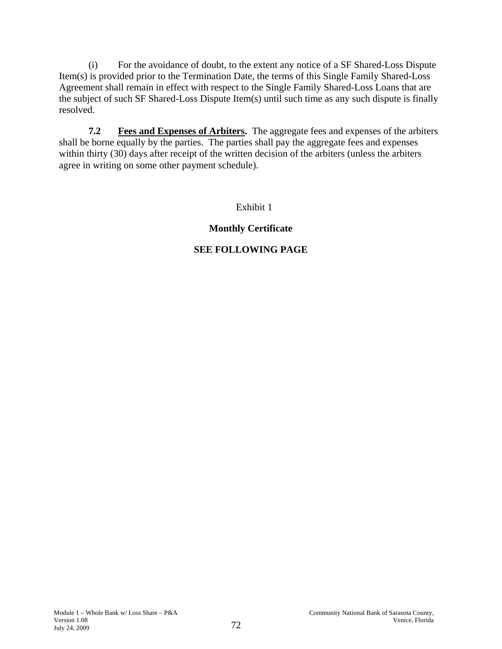(i) For the avoidance of doubt, to the extent any notice of a SF Shared-Loss Dispute Item(s) is provided prior to the Termination Date, the terms of this Single Family Shared-Loss Agreement shall remain in effect with respect to the Single Family Shared-Loss Loans that are the subject of such SF Shared-Loss Dispute Item(s) until such time as any such dispute is finally resolved.

**7.2 Fees and Expenses of Arbiters.** The aggregate fees and expenses of the arbiters shall be borne equally by the parties. The parties shall pay the aggregate fees and expenses within thirty (30) days after receipt of the written decision of the arbiters (unless the arbiters agree in writing on some other payment schedule).

Exhibit 1

# **Monthly Certificate**

# **SEE FOLLOWING PAGE**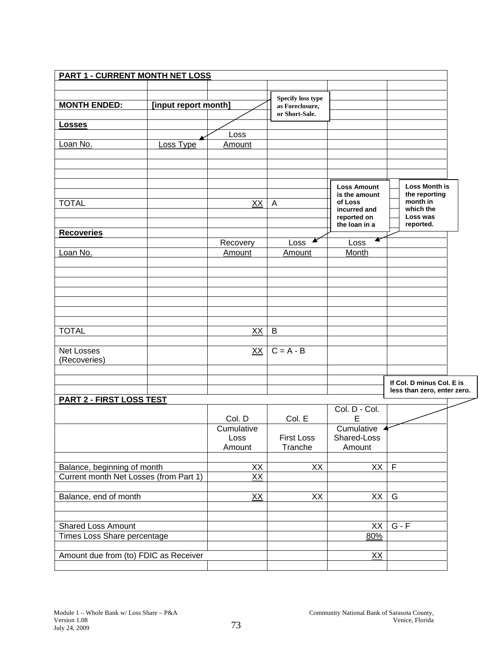| <b>PART 1 - CURRENT MONTH NET LOSS</b> |                      |                      |                                   |                         |                             |
|----------------------------------------|----------------------|----------------------|-----------------------------------|-------------------------|-----------------------------|
|                                        |                      |                      |                                   |                         |                             |
|                                        |                      |                      | Specify loss type                 |                         |                             |
| <b>MONTH ENDED:</b>                    | [input report month] |                      | as Foreclosure,<br>or Short-Sale. |                         |                             |
| <b>Losses</b>                          |                      |                      |                                   |                         |                             |
|                                        |                      | Loss                 |                                   |                         |                             |
| Loan No.                               | Loss Type            | Amount               |                                   |                         |                             |
|                                        |                      |                      |                                   |                         |                             |
|                                        |                      |                      |                                   |                         |                             |
|                                        |                      |                      |                                   |                         |                             |
|                                        |                      |                      |                                   | <b>Loss Amount</b>      | <b>Loss Month is</b>        |
|                                        |                      |                      |                                   | is the amount           | the reporting               |
| <b>TOTAL</b>                           |                      | XX                   | A                                 | of Loss<br>incurred and | month in<br>which the       |
|                                        |                      |                      |                                   | reported on             | Loss was                    |
|                                        |                      |                      |                                   | the loan in a           | reported.                   |
| <b>Recoveries</b>                      |                      |                      |                                   | ×                       |                             |
| Loan No.                               |                      | Recovery             | $Loss^{\mathbf{Z}}$               | Loss                    |                             |
|                                        |                      | Amount               | Amount                            | Month                   |                             |
|                                        |                      |                      |                                   |                         |                             |
|                                        |                      |                      |                                   |                         |                             |
|                                        |                      |                      |                                   |                         |                             |
|                                        |                      |                      |                                   |                         |                             |
|                                        |                      |                      |                                   |                         |                             |
|                                        |                      |                      |                                   |                         |                             |
| <b>TOTAL</b>                           |                      | XX                   | $\mathsf B$                       |                         |                             |
|                                        |                      |                      |                                   |                         |                             |
| <b>Net Losses</b>                      |                      | XX                   | $C = A - B$                       |                         |                             |
| (Recoveries)                           |                      |                      |                                   |                         |                             |
|                                        |                      |                      |                                   |                         |                             |
|                                        |                      |                      |                                   |                         | If Col. D minus Col. E is   |
|                                        |                      |                      |                                   |                         | less than zero, enter zero. |
| <b>PART 2 - FIRST LOSS TEST</b>        |                      |                      |                                   |                         |                             |
|                                        |                      |                      |                                   | Col. D - Col.           |                             |
|                                        |                      | Col. D<br>Cumulative | Col. E                            | Е                       |                             |
|                                        |                      |                      | <b>First Loss</b>                 | Cumulative              |                             |
|                                        |                      | Loss<br>Amount       | Tranche                           | Shared-Loss<br>Amount   |                             |
|                                        |                      |                      |                                   |                         |                             |
| Balance, beginning of month            |                      | XX                   | XX                                | XX                      | $\mathsf F$                 |
| Current month Net Losses (from Part 1) |                      | XX                   |                                   |                         |                             |
|                                        |                      |                      |                                   |                         |                             |
| Balance, end of month                  |                      | XX                   | XX                                | XX                      | G                           |
|                                        |                      |                      |                                   |                         |                             |
|                                        |                      |                      |                                   |                         |                             |
| <b>Shared Loss Amount</b>              |                      |                      |                                   | XX                      | $G - F$                     |
| Times Loss Share percentage            |                      |                      |                                   | 80%                     |                             |
|                                        |                      |                      |                                   |                         |                             |
| Amount due from (to) FDIC as Receiver  |                      |                      |                                   | XX                      |                             |
|                                        |                      |                      |                                   |                         |                             |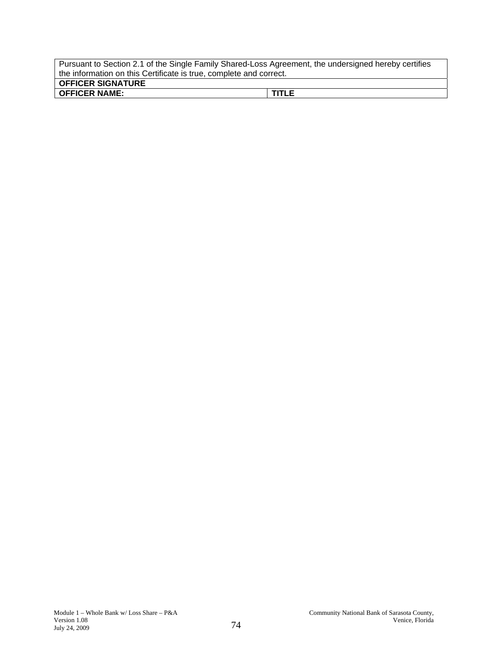| Pursuant to Section 2.1 of the Single Family Shared-Loss Agreement, the undersigned hereby certifies |  |  |  |  |
|------------------------------------------------------------------------------------------------------|--|--|--|--|
| the information on this Certificate is true, complete and correct.                                   |  |  |  |  |
| <b>OFFICER SIGNATURE</b>                                                                             |  |  |  |  |
| <b>TITLE</b><br><b>OFFICER NAME:</b>                                                                 |  |  |  |  |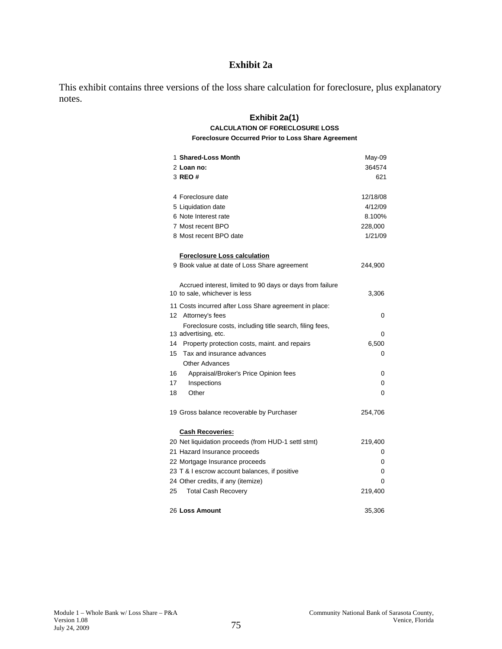### **Exhibit 2a**

This exhibit contains three versions of the loss share calculation for foreclosure, plus explanatory notes.

#### **Exhibit 2a(1) CALCULATION OF FORECLOSURE LOSS Foreclosure Occurred Prior to Loss Share Agreement**

|    | 1 Shared-Loss Month<br>2 Loan no:<br>3 REO #              | May-09<br>364574<br>621 |
|----|-----------------------------------------------------------|-------------------------|
|    | 4 Foreclosure date                                        | 12/18/08                |
|    | 5 Liquidation date                                        | 4/12/09                 |
|    | 6 Note Interest rate                                      | 8.100%                  |
|    | 7 Most recent BPO                                         | 228,000                 |
|    | 8 Most recent BPO date                                    | 1/21/09                 |
|    | <b>Foreclosure Loss calculation</b>                       |                         |
|    | 9 Book value at date of Loss Share agreement              | 244,900                 |
|    | Accrued interest, limited to 90 days or days from failure |                         |
|    | 10 to sale, whichever is less                             | 3,306                   |
|    | 11 Costs incurred after Loss Share agreement in place:    |                         |
| 12 | Attorney's fees                                           | 0                       |
|    | Foreclosure costs, including title search, filing fees,   |                         |
|    | 13 advertising, etc.                                      | 0                       |
| 14 | Property protection costs, maint. and repairs             | 6,500                   |
| 15 | Tax and insurance advances                                | 0                       |
|    | <b>Other Advances</b>                                     |                         |
| 16 | Appraisal/Broker's Price Opinion fees                     | 0                       |
| 17 | Inspections                                               | 0                       |
| 18 | Other                                                     | 0                       |
|    | 19 Gross balance recoverable by Purchaser                 | 254,706                 |
|    | <b>Cash Recoveries:</b>                                   |                         |
|    | 20 Net liquidation proceeds (from HUD-1 settl stmt)       | 219,400                 |
|    | 21 Hazard Insurance proceeds                              | 0                       |
|    | 22 Mortgage Insurance proceeds                            | 0                       |
|    | 23 T & I escrow account balances, if positive             | 0                       |
|    | 24 Other credits, if any (itemize)                        | 0                       |
| 25 | <b>Total Cash Recovery</b>                                | 219,400                 |
|    | <b>26 Loss Amount</b>                                     | 35,306                  |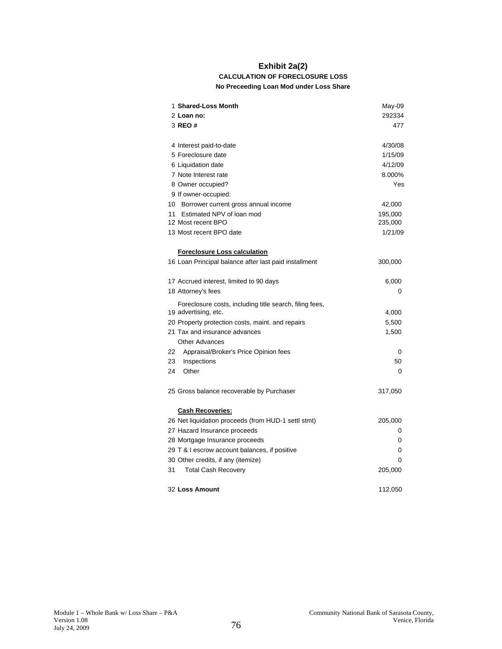#### **Exhibit 2a(2)**

#### **CALCULATION OF FORECLOSURE LOSS**

#### **No Preceeding Loan Mod under Loss Share**

| 1 Shared-Loss Month                                                             | May-09  |
|---------------------------------------------------------------------------------|---------|
| 2 Loan no:                                                                      | 292334  |
| 3 REO #                                                                         | 477     |
| 4 Interest paid-to-date                                                         | 4/30/08 |
| 5 Foreclosure date                                                              | 1/15/09 |
| 6 Liquidation date                                                              | 4/12/09 |
| 7 Note Interest rate                                                            | 8.000%  |
| 8 Owner occupied?                                                               | Yes     |
| 9 If owner-occupied:                                                            |         |
| 10<br>Borrower current gross annual income                                      | 42,000  |
| Estimated NPV of loan mod<br>11                                                 | 195,000 |
| 12 Most recent BPO                                                              | 235,000 |
| 13 Most recent BPO date                                                         | 1/21/09 |
| <b>Foreclosure Loss calculation</b>                                             |         |
| 16 Loan Principal balance after last paid installment                           | 300,000 |
| 17 Accrued interest, limited to 90 days                                         | 6,000   |
| 18 Attorney's fees                                                              | 0       |
| Foreclosure costs, including title search, filing fees,<br>19 advertising, etc. | 4,000   |
| 20 Property protection costs, maint. and repairs                                | 5,500   |
| 21 Tax and insurance advances                                                   | 1,500   |
| <b>Other Advances</b>                                                           |         |
| 22<br>Appraisal/Broker's Price Opinion fees                                     | 0       |
| 23<br>Inspections                                                               | 50      |
| 24<br>Other                                                                     | 0       |
| 25 Gross balance recoverable by Purchaser                                       | 317,050 |
| <b>Cash Recoveries:</b>                                                         |         |
| 26 Net liquidation proceeds (from HUD-1 settl stmt)                             | 205,000 |
| 27 Hazard Insurance proceeds                                                    | 0       |
| 28 Mortgage Insurance proceeds                                                  | 0       |
| 29 T & I escrow account balances, if positive                                   | 0       |
| 30 Other credits, if any (itemize)                                              | 0       |
| 31<br><b>Total Cash Recovery</b>                                                | 205,000 |
| 32 Loss Amount                                                                  | 112,050 |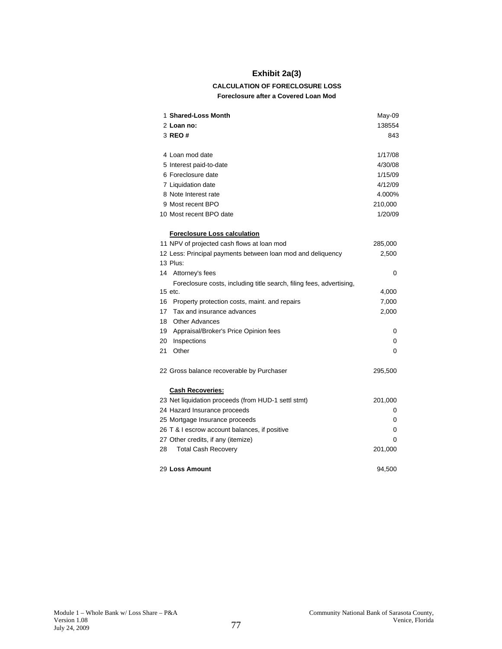## **Exhibit 2a(3)**

#### **CALCULATION OF FORECLOSURE LOSS Foreclosure after a Covered Loan Mod**

| 1 Shared-Loss Month                                                  | May-09  |
|----------------------------------------------------------------------|---------|
| 2 Loan no:                                                           | 138554  |
| 3 REO #                                                              | 843     |
|                                                                      |         |
| 4 Loan mod date                                                      | 1/17/08 |
| 5 Interest paid-to-date                                              | 4/30/08 |
| 6 Foreclosure date                                                   | 1/15/09 |
| 7 Liquidation date                                                   | 4/12/09 |
| 8 Note Interest rate                                                 | 4.000%  |
| 9 Most recent BPO                                                    | 210,000 |
| 10 Most recent BPO date                                              | 1/20/09 |
|                                                                      |         |
| <b>Foreclosure Loss calculation</b>                                  |         |
| 11 NPV of projected cash flows at loan mod                           | 285,000 |
| 12 Less: Principal payments between loan mod and deliquency          | 2,500   |
| 13 Plus:                                                             |         |
| Attorney's fees<br>14                                                | 0       |
| Foreclosure costs, including title search, filing fees, advertising, |         |
| 15 etc.                                                              | 4,000   |
| 16<br>Property protection costs, maint. and repairs                  | 7,000   |
| 17<br>Tax and insurance advances                                     | 2,000   |
| 18<br><b>Other Advances</b>                                          |         |
| 19 Appraisal/Broker's Price Opinion fees                             | 0       |
| 20<br>Inspections                                                    | 0       |
| 21<br>Other                                                          | 0       |
|                                                                      |         |
| 22 Gross balance recoverable by Purchaser                            | 295,500 |
| <b>Cash Recoveries:</b>                                              |         |
| 23 Net liquidation proceeds (from HUD-1 settl stmt)                  | 201,000 |
| 24 Hazard Insurance proceeds                                         | 0       |
| 25 Mortgage Insurance proceeds                                       | 0       |
| 26 T & I escrow account balances, if positive                        | 0       |
| 27 Other credits, if any (itemize)                                   | 0       |
| 28<br><b>Total Cash Recovery</b>                                     | 201,000 |
|                                                                      |         |
| 29 Loss Amount                                                       | 94,500  |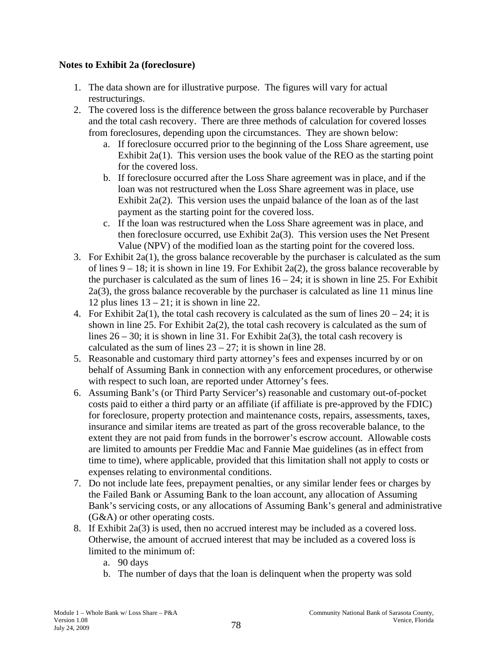## **Notes to Exhibit 2a (foreclosure)**

- 1. The data shown are for illustrative purpose. The figures will vary for actual restructurings.
- 2. The covered loss is the difference between the gross balance recoverable by Purchaser and the total cash recovery. There are three methods of calculation for covered losses from foreclosures, depending upon the circumstances. They are shown below:
	- a. If foreclosure occurred prior to the beginning of the Loss Share agreement, use Exhibit 2a(1). This version uses the book value of the REO as the starting point for the covered loss.
	- b. If foreclosure occurred after the Loss Share agreement was in place, and if the loan was not restructured when the Loss Share agreement was in place, use Exhibit 2a(2). This version uses the unpaid balance of the loan as of the last payment as the starting point for the covered loss.
	- c. If the loan was restructured when the Loss Share agreement was in place, and then foreclosure occurred, use Exhibit 2a(3). This version uses the Net Present Value (NPV) of the modified loan as the starting point for the covered loss.
- 3. For Exhibit  $2a(1)$ , the gross balance recoverable by the purchaser is calculated as the sum of lines  $9 - 18$ ; it is shown in line 19. For Exhibit 2a(2), the gross balance recoverable by the purchaser is calculated as the sum of lines  $16 - 24$ ; it is shown in line 25. For Exhibit 2a(3), the gross balance recoverable by the purchaser is calculated as line 11 minus line 12 plus lines  $13 - 21$ ; it is shown in line 22.
- 4. For Exhibit 2a(1), the total cash recovery is calculated as the sum of lines  $20 24$ ; it is shown in line 25. For Exhibit 2a(2), the total cash recovery is calculated as the sum of lines  $26 - 30$ ; it is shown in line 31. For Exhibit 2a(3), the total cash recovery is calculated as the sum of lines  $23 - 27$ ; it is shown in line 28.
- 5. Reasonable and customary third party attorney's fees and expenses incurred by or on behalf of Assuming Bank in connection with any enforcement procedures, or otherwise with respect to such loan, are reported under Attorney's fees.
- 6. Assuming Bank's (or Third Party Servicer's) reasonable and customary out-of-pocket costs paid to either a third party or an affiliate (if affiliate is pre-approved by the FDIC) for foreclosure, property protection and maintenance costs, repairs, assessments, taxes, insurance and similar items are treated as part of the gross recoverable balance, to the extent they are not paid from funds in the borrower's escrow account. Allowable costs are limited to amounts per Freddie Mac and Fannie Mae guidelines (as in effect from time to time), where applicable, provided that this limitation shall not apply to costs or expenses relating to environmental conditions.
- 7. Do not include late fees, prepayment penalties, or any similar lender fees or charges by the Failed Bank or Assuming Bank to the loan account, any allocation of Assuming Bank's servicing costs, or any allocations of Assuming Bank's general and administrative (G&A) or other operating costs.
- 8. If Exhibit  $2a(3)$  is used, then no accrued interest may be included as a covered loss. Otherwise, the amount of accrued interest that may be included as a covered loss is limited to the minimum of:
	- a. 90 days
	- b. The number of days that the loan is delinguent when the property was sold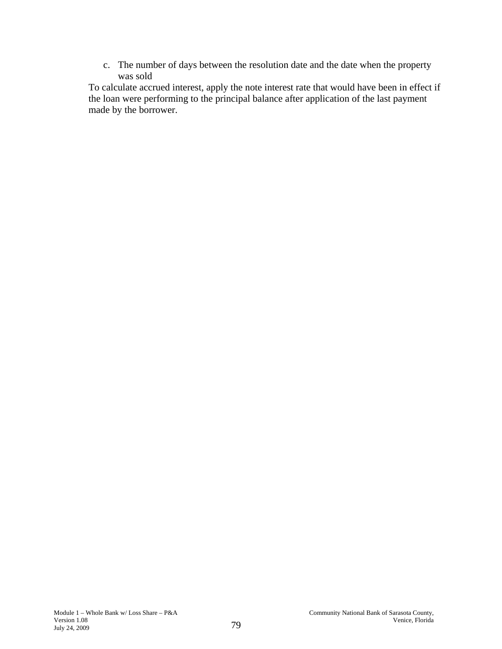c. The number of days between the resolution date and the date when the property was sold

To calculate accrued interest, apply the note interest rate that would have been in effect if the loan were performing to the principal balance after application of the last payment made by the borrower.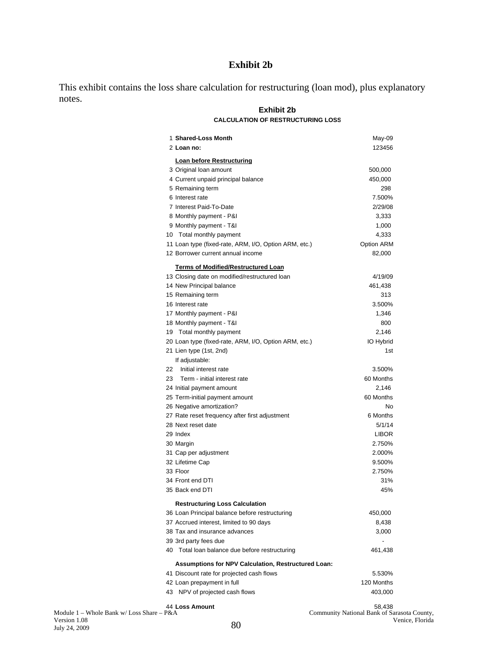# **Exhibit 2b**

This exhibit contains the loss share calculation for restructuring (loan mod), plus explanatory notes.

#### **Exhibit 2b CALCULATION OF RESTRUCTURING LOSS**

|                                           | 1 Shared-Loss Month                                   | May-09                                                |
|-------------------------------------------|-------------------------------------------------------|-------------------------------------------------------|
|                                           | 2 Loan no:                                            | 123456                                                |
|                                           | <b>Loan before Restructuring</b>                      |                                                       |
|                                           | 3 Original loan amount                                | 500,000                                               |
|                                           | 4 Current unpaid principal balance                    | 450,000                                               |
|                                           | 5 Remaining term                                      | 298                                                   |
|                                           | 6 Interest rate                                       | 7.500%                                                |
|                                           | 7 Interest Paid-To-Date                               | 2/29/08                                               |
|                                           | 8 Monthly payment - P&I                               | 3,333                                                 |
|                                           | 9 Monthly payment - T&I                               | 1,000                                                 |
|                                           | 10 Total monthly payment                              | 4,333                                                 |
|                                           | 11 Loan type (fixed-rate, ARM, I/O, Option ARM, etc.) | <b>Option ARM</b>                                     |
|                                           | 12 Borrower current annual income                     | 82,000                                                |
|                                           | <b>Terms of Modified/Restructured Loan</b>            |                                                       |
|                                           | 13 Closing date on modified/restructured loan         | 4/19/09                                               |
|                                           | 14 New Principal balance                              | 461,438                                               |
|                                           | 15 Remaining term                                     | 313                                                   |
|                                           | 16 Interest rate                                      | 3.500%                                                |
|                                           | 17 Monthly payment - P&I                              | 1,346                                                 |
|                                           | 18 Monthly payment - T&I                              | 800                                                   |
|                                           | 19 Total monthly payment                              | 2,146                                                 |
|                                           | 20 Loan type (fixed-rate, ARM, I/O, Option ARM, etc.) | IO Hybrid                                             |
|                                           | 21 Lien type (1st, 2nd)                               | 1st                                                   |
|                                           | If adjustable:                                        |                                                       |
|                                           | 22 Initial interest rate                              | 3.500%                                                |
| 23                                        | Term - initial interest rate                          | 60 Months                                             |
|                                           | 24 Initial payment amount                             | 2,146                                                 |
|                                           | 25 Term-initial payment amount                        | 60 Months                                             |
|                                           | 26 Negative amortization?                             | No                                                    |
|                                           | 27 Rate reset frequency after first adjustment        | 6 Months                                              |
|                                           | 28 Next reset date                                    | 5/1/14                                                |
|                                           | 29 Index                                              | <b>LIBOR</b>                                          |
|                                           | 30 Margin                                             | 2.750%                                                |
|                                           | 31 Cap per adjustment                                 | 2.000%                                                |
|                                           | 32 Lifetime Cap                                       | 9.500%                                                |
|                                           | 33 Floor                                              | 2.750%                                                |
|                                           | 34 Front end DTI                                      | 31%                                                   |
|                                           | 35 Back end DTI                                       | 45%                                                   |
|                                           | <b>Restructuring Loss Calculation</b>                 |                                                       |
|                                           | 36 Loan Principal balance before restructuring        | 450,000                                               |
|                                           | 37 Accrued interest, limited to 90 days               | 8,438                                                 |
|                                           | 38 Tax and insurance advances                         | 3,000                                                 |
|                                           | 39 3rd party fees due                                 |                                                       |
|                                           | 40 Total loan balance due before restructuring        | 461,438                                               |
|                                           | Assumptions for NPV Calculation, Restructured Loan:   |                                                       |
|                                           | 41 Discount rate for projected cash flows             | 5.530%                                                |
|                                           | 42 Loan prepayment in full                            | 120 Months                                            |
|                                           | 43 NPV of projected cash flows                        | 403,000                                               |
| Module 1 – Whole Bank w/ Loss Share – P&A | 44 Loss Amount                                        | 58,438<br>Community National Bank of Sarasota County, |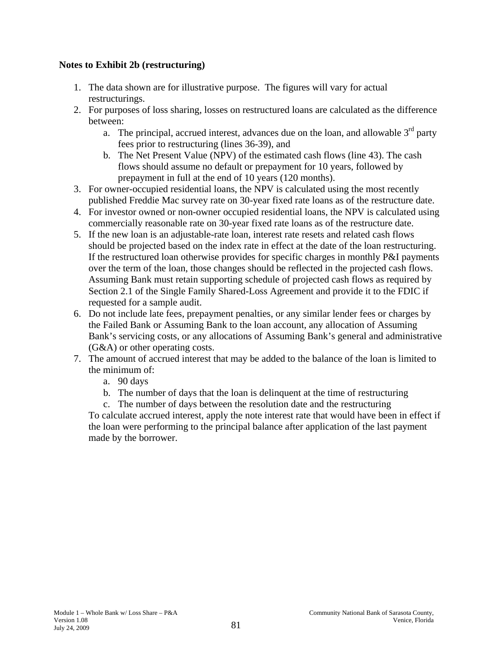## **Notes to Exhibit 2b (restructuring)**

- 1. The data shown are for illustrative purpose. The figures will vary for actual restructurings.
- 2. For purposes of loss sharing, losses on restructured loans are calculated as the difference between:
	- a. The principal, accrued interest, advances due on the loan, and allowable  $3<sup>rd</sup>$  party fees prior to restructuring (lines 36-39), and
	- b. The Net Present Value (NPV) of the estimated cash flows (line 43). The cash flows should assume no default or prepayment for 10 years, followed by prepayment in full at the end of 10 years (120 months).
- 3. For owner-occupied residential loans, the NPV is calculated using the most recently published Freddie Mac survey rate on 30-year fixed rate loans as of the restructure date.
- 4. For investor owned or non-owner occupied residential loans, the NPV is calculated using commercially reasonable rate on 30-year fixed rate loans as of the restructure date.
- 5. If the new loan is an adjustable-rate loan, interest rate resets and related cash flows should be projected based on the index rate in effect at the date of the loan restructuring. If the restructured loan otherwise provides for specific charges in monthly P&I payments over the term of the loan, those changes should be reflected in the projected cash flows. Assuming Bank must retain supporting schedule of projected cash flows as required by Section 2.1 of the Single Family Shared-Loss Agreement and provide it to the FDIC if requested for a sample audit.
- 6. Do not include late fees, prepayment penalties, or any similar lender fees or charges by the Failed Bank or Assuming Bank to the loan account, any allocation of Assuming Bank's servicing costs, or any allocations of Assuming Bank's general and administrative (G&A) or other operating costs.
- 7. The amount of accrued interest that may be added to the balance of the loan is limited to the minimum of:
	- a. 90 days
	- b. The number of days that the loan is delinquent at the time of restructuring

c. The number of days between the resolution date and the restructuring To calculate accrued interest, apply the note interest rate that would have been in effect if the loan were performing to the principal balance after application of the last payment made by the borrower.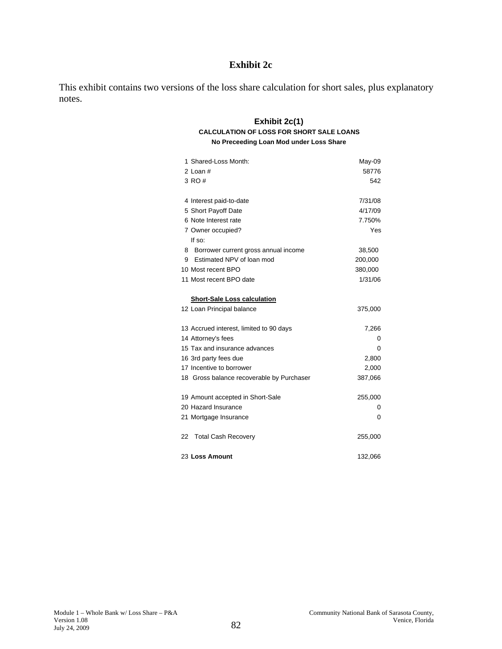### **Exhibit 2c**

This exhibit contains two versions of the loss share calculation for short sales, plus explanatory notes.

#### **Exhibit 2c(1) CALCULATION OF LOSS FOR SHORT SALE LOANS No Preceeding Loan Mod under Loss Share**

| 1 Shared-Loss Month:                      | May-09  |
|-------------------------------------------|---------|
| 2 Loan #                                  | 58776   |
| 3 RO #                                    | 542     |
|                                           |         |
| 4 Interest paid-to-date                   | 7/31/08 |
| 5 Short Payoff Date                       | 4/17/09 |
| 6 Note Interest rate                      | 7.750%  |
| 7 Owner occupied?                         | Yes     |
| If so:                                    |         |
| Borrower current gross annual income<br>8 | 38,500  |
| Estimated NPV of loan mod<br>9            | 200,000 |
| 10 Most recent BPO                        | 380,000 |
| 11 Most recent BPO date                   | 1/31/06 |
|                                           |         |
| <b>Short-Sale Loss calculation</b>        |         |
| 12 Loan Principal balance                 | 375,000 |
|                                           |         |
| 13 Accrued interest, limited to 90 days   | 7,266   |
| 14 Attorney's fees                        | 0       |
| 15 Tax and insurance advances             | 0       |
| 16 3rd party fees due                     | 2,800   |
| 17 Incentive to borrower                  | 2,000   |
| 18 Gross balance recoverable by Purchaser | 387,066 |
|                                           |         |
| 19 Amount accepted in Short-Sale          | 255,000 |
| 20 Hazard Insurance                       | 0       |
| 21 Mortgage Insurance                     | 0       |
|                                           |         |
| 22 Total Cash Recovery                    | 255,000 |
|                                           |         |
| 23 Loss Amount                            | 132,066 |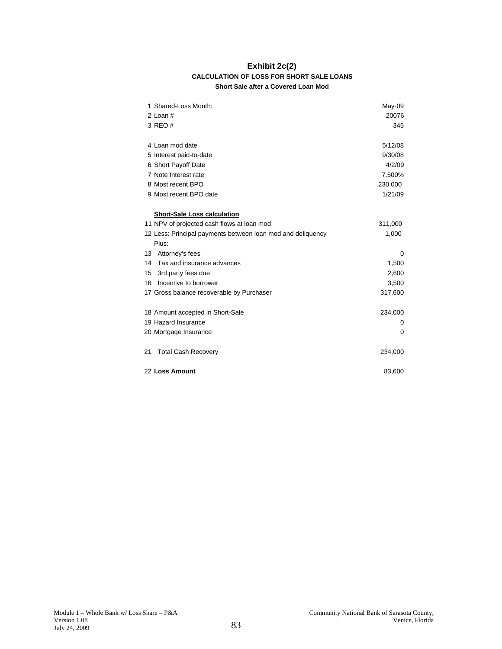#### **Exhibit 2c(2) CALCULATION OF LOSS FOR SHORT SALE LOANS Short Sale after a Covered Loan Mod**

| 1 Shared-Loss Month:                                        | May-09  |
|-------------------------------------------------------------|---------|
| 2 Loan $#$                                                  | 20076   |
| 3 REO #                                                     | 345     |
|                                                             |         |
| 4 Loan mod date                                             | 5/12/08 |
| 5 Interest paid-to-date                                     | 9/30/08 |
| 6 Short Payoff Date                                         | 4/2/09  |
| 7 Note Interest rate                                        | 7.500%  |
| 8 Most recent BPO                                           | 230,000 |
| 9 Most recent BPO date                                      | 1/21/09 |
|                                                             |         |
| <b>Short-Sale Loss calculation</b>                          |         |
| 11 NPV of projected cash flows at loan mod                  | 311,000 |
| 12 Less: Principal payments between loan mod and deliquency | 1,000   |
| Plus:                                                       |         |
| Attorney's fees<br>13                                       | 0       |
| Tax and insurance advances<br>14                            | 1,500   |
| 3rd party fees due<br>15                                    | 2,600   |
| Incentive to borrower<br>16                                 | 3,500   |
| 17 Gross balance recoverable by Purchaser                   | 317,600 |
|                                                             |         |
| 18 Amount accepted in Short-Sale                            | 234,000 |
| 19 Hazard Insurance                                         | 0       |
| 20 Mortgage Insurance                                       | 0       |
|                                                             |         |
| <b>Total Cash Recovery</b><br>21                            | 234,000 |
|                                                             |         |
| 22 Loss Amount                                              | 83,600  |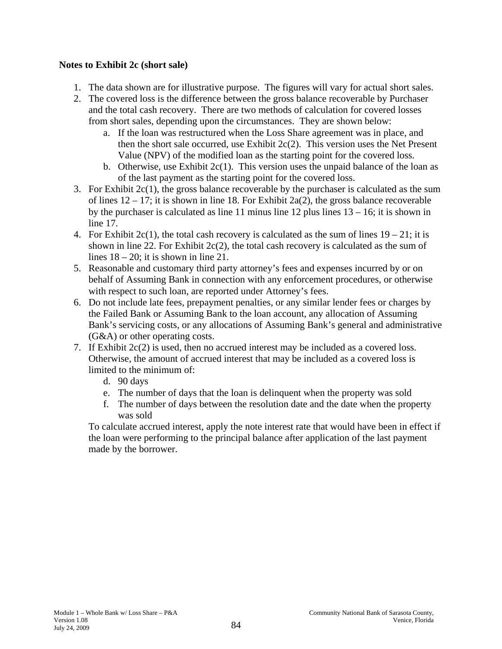## **Notes to Exhibit 2c (short sale)**

- 1. The data shown are for illustrative purpose. The figures will vary for actual short sales.
- 2. The covered loss is the difference between the gross balance recoverable by Purchaser and the total cash recovery. There are two methods of calculation for covered losses from short sales, depending upon the circumstances. They are shown below:
	- a. If the loan was restructured when the Loss Share agreement was in place, and then the short sale occurred, use Exhibit  $2c(2)$ . This version uses the Net Present Value (NPV) of the modified loan as the starting point for the covered loss.
	- b. Otherwise, use Exhibit  $2c(1)$ . This version uses the unpaid balance of the loan as of the last payment as the starting point for the covered loss.
- 3. For Exhibit  $2c(1)$ , the gross balance recoverable by the purchaser is calculated as the sum of lines  $12 - 17$ ; it is shown in line 18. For Exhibit 2a(2), the gross balance recoverable by the purchaser is calculated as line 11 minus line 12 plus lines 13 – 16; it is shown in line 17.
- 4. For Exhibit 2c(1), the total cash recovery is calculated as the sum of lines  $19 21$ ; it is shown in line 22. For Exhibit  $2c(2)$ , the total cash recovery is calculated as the sum of lines  $18 - 20$ ; it is shown in line 21.
- 5. Reasonable and customary third party attorney's fees and expenses incurred by or on behalf of Assuming Bank in connection with any enforcement procedures, or otherwise with respect to such loan, are reported under Attorney's fees.
- 6. Do not include late fees, prepayment penalties, or any similar lender fees or charges by the Failed Bank or Assuming Bank to the loan account, any allocation of Assuming Bank's servicing costs, or any allocations of Assuming Bank's general and administrative (G&A) or other operating costs.
- 7. If Exhibit  $2c(2)$  is used, then no accrued interest may be included as a covered loss. Otherwise, the amount of accrued interest that may be included as a covered loss is limited to the minimum of:
	- d. 90 days
	- e. The number of days that the loan is delinquent when the property was sold
	- f. The number of days between the resolution date and the date when the property was sold

To calculate accrued interest, apply the note interest rate that would have been in effect if the loan were performing to the principal balance after application of the last payment made by the borrower.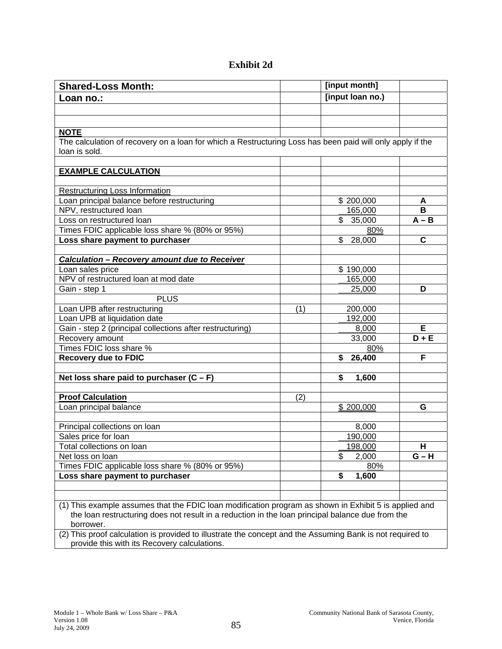# **Exhibit 2d**

| <b>Shared-Loss Month:</b>                                                                                              |     |                    |         |
|------------------------------------------------------------------------------------------------------------------------|-----|--------------------|---------|
| Loan no.:                                                                                                              |     | [input loan no.)   |         |
|                                                                                                                        |     |                    |         |
|                                                                                                                        |     |                    |         |
| <b>NOTE</b>                                                                                                            |     |                    |         |
| The calculation of recovery on a loan for which a Restructuring Loss has been paid will only apply if the              |     |                    |         |
| loan is sold.                                                                                                          |     |                    |         |
|                                                                                                                        |     |                    |         |
| <b>EXAMPLE CALCULATION</b>                                                                                             |     |                    |         |
|                                                                                                                        |     |                    |         |
| <b>Restructuring Loss Information</b>                                                                                  |     |                    |         |
| Loan principal balance before restructuring                                                                            |     | \$200,000          | A       |
| NPV, restructured loan                                                                                                 |     | 165,000            | в       |
| Loss on restructured loan                                                                                              |     | \$35,000           | $A - B$ |
| Times FDIC applicable loss share % (80% or 95%)                                                                        |     | 80%                |         |
| Loss share payment to purchaser                                                                                        |     | \$28,000           | C       |
|                                                                                                                        |     |                    |         |
| Calculation - Recovery amount due to Receiver                                                                          |     |                    |         |
| Loan sales price                                                                                                       |     | \$190,000          |         |
| NPV of restructured loan at mod date                                                                                   |     | 165,000            |         |
| Gain - step 1                                                                                                          |     | 25,000             | D       |
| <b>PLUS</b>                                                                                                            |     |                    |         |
| Loan UPB after restructuring                                                                                           | (1) | 200,000<br>192,000 |         |
| Loan UPB at liquidation date<br>Gain - step 2 (principal collections after restructuring)                              |     | 8,000              | Е       |
| Recovery amount                                                                                                        |     | 33,000             | $D + E$ |
| Times FDIC loss share %                                                                                                |     | 80%                |         |
| <b>Recovery due to FDIC</b>                                                                                            |     | 26,400<br>\$       | F       |
|                                                                                                                        |     |                    |         |
| Net loss share paid to purchaser $(C - F)$                                                                             |     | 1,600<br>\$        |         |
|                                                                                                                        |     |                    |         |
| <b>Proof Calculation</b>                                                                                               | (2) |                    |         |
| Loan principal balance                                                                                                 |     | \$200,000          | G       |
|                                                                                                                        |     |                    |         |
| Principal collections on loan                                                                                          |     | 8,000              |         |
| Sales price for loan                                                                                                   |     | 190,000            |         |
| Total collections on loan                                                                                              |     | 198,000            | H       |
| Net loss on loan                                                                                                       |     | \$<br>2,000        | $G - H$ |
| Times FDIC applicable loss share % (80% or 95%)                                                                        |     | 80%                |         |
| Loss share payment to purchaser                                                                                        |     | 1,600<br>\$        |         |
|                                                                                                                        |     |                    |         |
|                                                                                                                        |     |                    |         |
| (1) This example assumes that the FDIC loan modification program as shown in Exhibit 5 is applied and                  |     |                    |         |
| the loan restructuring does not result in a reduction in the loan principal balance due from the                       |     |                    |         |
| borrower.<br>(2) This proof calculation is provided to illustrate the concept and the Assuming Bank is not required to |     |                    |         |
| provide this with its Recovery calculations.                                                                           |     |                    |         |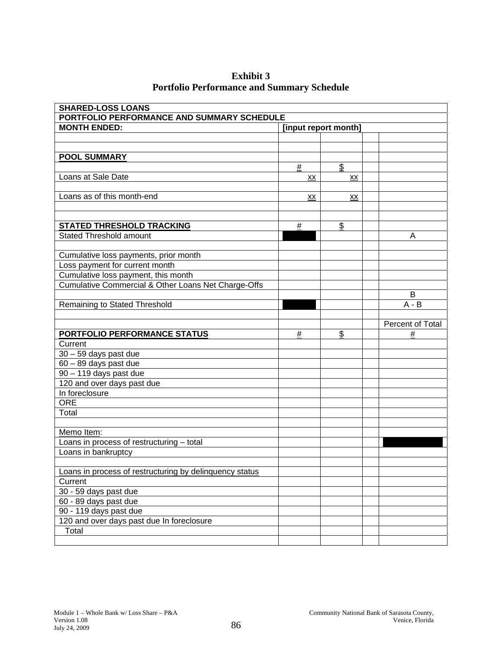| XX           | [input report month] |                                        |
|--------------|----------------------|----------------------------------------|
|              |                      |                                        |
|              |                      |                                        |
|              |                      |                                        |
|              |                      |                                        |
|              |                      |                                        |
|              | XX                   |                                        |
|              |                      |                                        |
|              |                      |                                        |
|              | \$                   |                                        |
|              |                      | A                                      |
|              |                      |                                        |
|              |                      |                                        |
|              |                      |                                        |
|              |                      |                                        |
|              |                      | B                                      |
|              |                      | $A - B$                                |
|              |                      |                                        |
|              |                      | Percent of Total                       |
|              | \$                   | #                                      |
|              |                      |                                        |
|              |                      |                                        |
|              |                      |                                        |
|              |                      |                                        |
|              |                      |                                        |
|              |                      |                                        |
|              |                      |                                        |
|              |                      |                                        |
|              |                      |                                        |
|              |                      |                                        |
|              |                      |                                        |
|              |                      |                                        |
|              |                      |                                        |
|              |                      |                                        |
|              |                      |                                        |
|              |                      |                                        |
|              |                      |                                        |
|              |                      |                                        |
|              |                      |                                        |
|              |                      |                                        |
| $\#$<br>$\#$ | XX                   | $\overline{\mathcal{G}}$<br>$\#$<br>XX |

## **Exhibit 3 Portfolio Performance and Summary Schedule**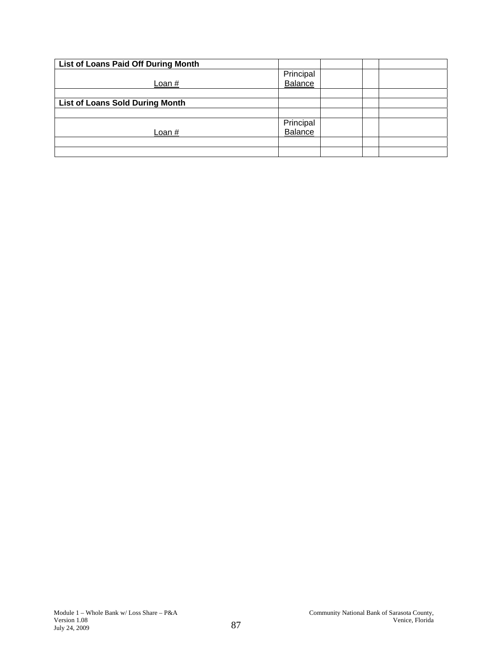| List of Loans Paid Off During Month    |                      |  |  |
|----------------------------------------|----------------------|--|--|
|                                        | Principal            |  |  |
| <u>Loan #</u>                          | Balance              |  |  |
|                                        |                      |  |  |
| <b>List of Loans Sold During Month</b> |                      |  |  |
|                                        |                      |  |  |
|                                        | Principal<br>Balance |  |  |
| Loan #                                 |                      |  |  |
|                                        |                      |  |  |
|                                        |                      |  |  |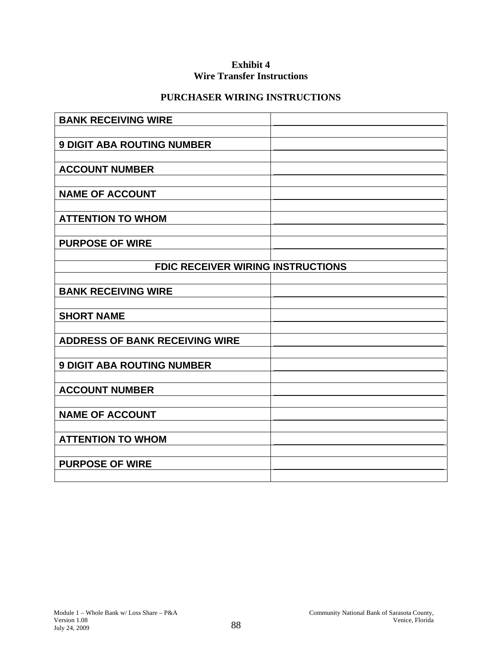## **Exhibit 4 Wire Transfer Instructions**

# **PURCHASER WIRING INSTRUCTIONS**

| <b>BANK RECEIVING WIRE</b>            |  |
|---------------------------------------|--|
|                                       |  |
| <b>9 DIGIT ABA ROUTING NUMBER</b>     |  |
|                                       |  |
| <b>ACCOUNT NUMBER</b>                 |  |
|                                       |  |
| <b>NAME OF ACCOUNT</b>                |  |
|                                       |  |
| <b>ATTENTION TO WHOM</b>              |  |
| <b>PURPOSE OF WIRE</b>                |  |
|                                       |  |
| FDIC RECEIVER WIRING INSTRUCTIONS     |  |
|                                       |  |
| <b>BANK RECEIVING WIRE</b>            |  |
|                                       |  |
| <b>SHORT NAME</b>                     |  |
|                                       |  |
| <b>ADDRESS OF BANK RECEIVING WIRE</b> |  |
|                                       |  |
| <b>9 DIGIT ABA ROUTING NUMBER</b>     |  |
|                                       |  |
| <b>ACCOUNT NUMBER</b>                 |  |
|                                       |  |
| <b>NAME OF ACCOUNT</b>                |  |
| <b>ATTENTION TO WHOM</b>              |  |
|                                       |  |
| <b>PURPOSE OF WIRE</b>                |  |
|                                       |  |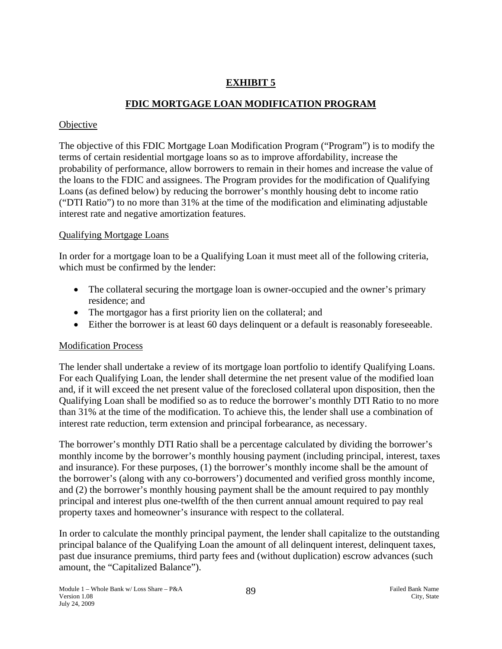# **EXHIBIT 5**

# **FDIC MORTGAGE LOAN MODIFICATION PROGRAM**

## **Objective**

The objective of this FDIC Mortgage Loan Modification Program ("Program") is to modify the terms of certain residential mortgage loans so as to improve affordability, increase the probability of performance, allow borrowers to remain in their homes and increase the value of the loans to the FDIC and assignees. The Program provides for the modification of Qualifying Loans (as defined below) by reducing the borrower's monthly housing debt to income ratio ("DTI Ratio") to no more than 31% at the time of the modification and eliminating adjustable interest rate and negative amortization features.

## Qualifying Mortgage Loans

In order for a mortgage loan to be a Qualifying Loan it must meet all of the following criteria, which must be confirmed by the lender:

- The collateral securing the mortgage loan is owner-occupied and the owner's primary residence; and
- The mortgagor has a first priority lien on the collateral; and
- Either the borrower is at least 60 days delinquent or a default is reasonably foreseeable.

## Modification Process

The lender shall undertake a review of its mortgage loan portfolio to identify Qualifying Loans. For each Qualifying Loan, the lender shall determine the net present value of the modified loan and, if it will exceed the net present value of the foreclosed collateral upon disposition, then the Qualifying Loan shall be modified so as to reduce the borrower's monthly DTI Ratio to no more than 31% at the time of the modification. To achieve this, the lender shall use a combination of interest rate reduction, term extension and principal forbearance, as necessary.

The borrower's monthly DTI Ratio shall be a percentage calculated by dividing the borrower's monthly income by the borrower's monthly housing payment (including principal, interest, taxes and insurance). For these purposes, (1) the borrower's monthly income shall be the amount of the borrower's (along with any co-borrowers') documented and verified gross monthly income, and (2) the borrower's monthly housing payment shall be the amount required to pay monthly principal and interest plus one-twelfth of the then current annual amount required to pay real property taxes and homeowner's insurance with respect to the collateral.

In order to calculate the monthly principal payment, the lender shall capitalize to the outstanding principal balance of the Qualifying Loan the amount of all delinquent interest, delinquent taxes, past due insurance premiums, third party fees and (without duplication) escrow advances (such amount, the "Capitalized Balance").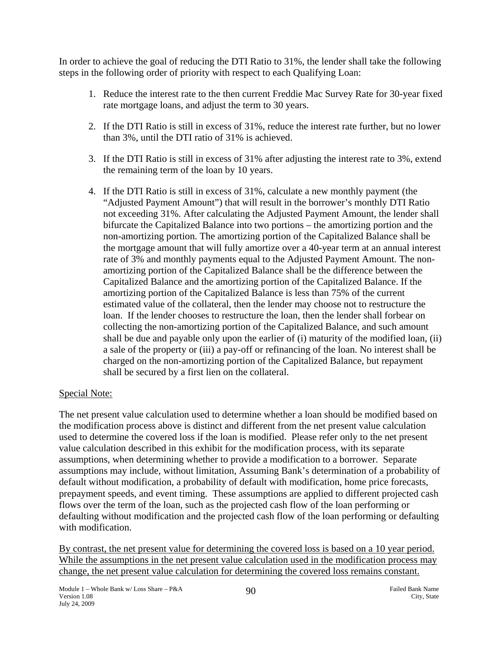In order to achieve the goal of reducing the DTI Ratio to 31%, the lender shall take the following steps in the following order of priority with respect to each Qualifying Loan:

- 1. Reduce the interest rate to the then current Freddie Mac Survey Rate for 30-year fixed rate mortgage loans, and adjust the term to 30 years.
- 2. If the DTI Ratio is still in excess of 31%, reduce the interest rate further, but no lower than 3%, until the DTI ratio of 31% is achieved.
- 3. If the DTI Ratio is still in excess of 31% after adjusting the interest rate to 3%, extend the remaining term of the loan by 10 years.
- 4. If the DTI Ratio is still in excess of 31%, calculate a new monthly payment (the "Adjusted Payment Amount") that will result in the borrower's monthly DTI Ratio not exceeding 31%. After calculating the Adjusted Payment Amount, the lender shall bifurcate the Capitalized Balance into two portions – the amortizing portion and the non-amortizing portion. The amortizing portion of the Capitalized Balance shall be the mortgage amount that will fully amortize over a 40-year term at an annual interest rate of 3% and monthly payments equal to the Adjusted Payment Amount. The nonamortizing portion of the Capitalized Balance shall be the difference between the Capitalized Balance and the amortizing portion of the Capitalized Balance. If the amortizing portion of the Capitalized Balance is less than 75% of the current estimated value of the collateral, then the lender may choose not to restructure the loan. If the lender chooses to restructure the loan, then the lender shall forbear on collecting the non-amortizing portion of the Capitalized Balance, and such amount shall be due and payable only upon the earlier of (i) maturity of the modified loan, (ii) a sale of the property or (iii) a pay-off or refinancing of the loan. No interest shall be charged on the non-amortizing portion of the Capitalized Balance, but repayment shall be secured by a first lien on the collateral.

## Special Note:

The net present value calculation used to determine whether a loan should be modified based on the modification process above is distinct and different from the net present value calculation used to determine the covered loss if the loan is modified. Please refer only to the net present value calculation described in this exhibit for the modification process, with its separate assumptions, when determining whether to provide a modification to a borrower. Separate assumptions may include, without limitation, Assuming Bank's determination of a probability of default without modification, a probability of default with modification, home price forecasts, prepayment speeds, and event timing. These assumptions are applied to different projected cash flows over the term of the loan, such as the projected cash flow of the loan performing or defaulting without modification and the projected cash flow of the loan performing or defaulting with modification.

change, the net present value calculation for determining the covered loss remains constant.<br>
Module 1 – Whole Bank w/ Loss Share – P&A 90 Failed Bank Name City, State City, State By contrast, the net present value for determining the covered loss is based on a 10 year period. While the assumptions in the net present value calculation used in the modification process may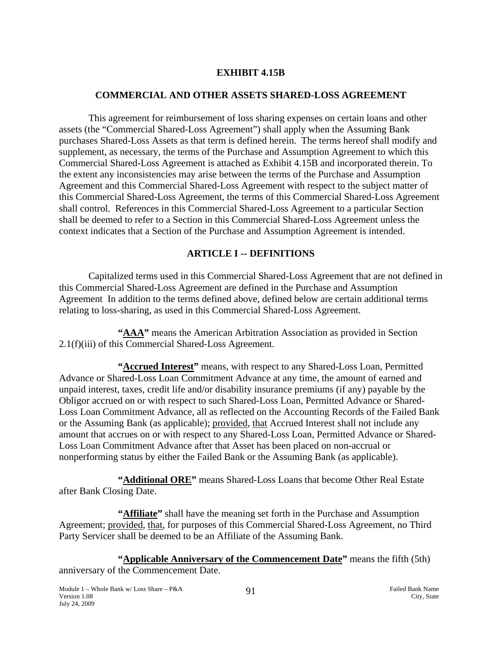### **EXHIBIT 4.15B**

### **COMMERCIAL AND OTHER ASSETS SHARED-LOSS AGREEMENT**

This agreement for reimbursement of loss sharing expenses on certain loans and other assets (the "Commercial Shared-Loss Agreement") shall apply when the Assuming Bank purchases Shared-Loss Assets as that term is defined herein. The terms hereof shall modify and supplement, as necessary, the terms of the Purchase and Assumption Agreement to which this Commercial Shared-Loss Agreement is attached as Exhibit 4.15B and incorporated therein. To the extent any inconsistencies may arise between the terms of the Purchase and Assumption Agreement and this Commercial Shared-Loss Agreement with respect to the subject matter of this Commercial Shared-Loss Agreement, the terms of this Commercial Shared-Loss Agreement shall control. References in this Commercial Shared-Loss Agreement to a particular Section shall be deemed to refer to a Section in this Commercial Shared-Loss Agreement unless the context indicates that a Section of the Purchase and Assumption Agreement is intended.

### **ARTICLE I -- DEFINITIONS**

Capitalized terms used in this Commercial Shared-Loss Agreement that are not defined in this Commercial Shared-Loss Agreement are defined in the Purchase and Assumption Agreement In addition to the terms defined above, defined below are certain additional terms relating to loss-sharing, as used in this Commercial Shared-Loss Agreement.

**"AAA"** means the American Arbitration Association as provided in Section 2.1(f)(iii) of this Commercial Shared-Loss Agreement.

**"Accrued Interest"** means, with respect to any Shared-Loss Loan, Permitted Advance or Shared-Loss Loan Commitment Advance at any time, the amount of earned and unpaid interest, taxes, credit life and/or disability insurance premiums (if any) payable by the Obligor accrued on or with respect to such Shared-Loss Loan, Permitted Advance or Shared-Loss Loan Commitment Advance, all as reflected on the Accounting Records of the Failed Bank or the Assuming Bank (as applicable); provided, that Accrued Interest shall not include any amount that accrues on or with respect to any Shared-Loss Loan, Permitted Advance or Shared-Loss Loan Commitment Advance after that Asset has been placed on non-accrual or nonperforming status by either the Failed Bank or the Assuming Bank (as applicable).

"**Additional ORE**" means Shared-Loss Loans that become Other Real Estate after Bank Closing Date.

"**Affiliate**" shall have the meaning set forth in the Purchase and Assumption Agreement; provided, that, for purposes of this Commercial Shared-Loss Agreement, no Third Party Servicer shall be deemed to be an Affiliate of the Assuming Bank.

**Examplicable Anniversary of the Commencement Date"** means the fifth (5th) anniversary of the Commencement Date.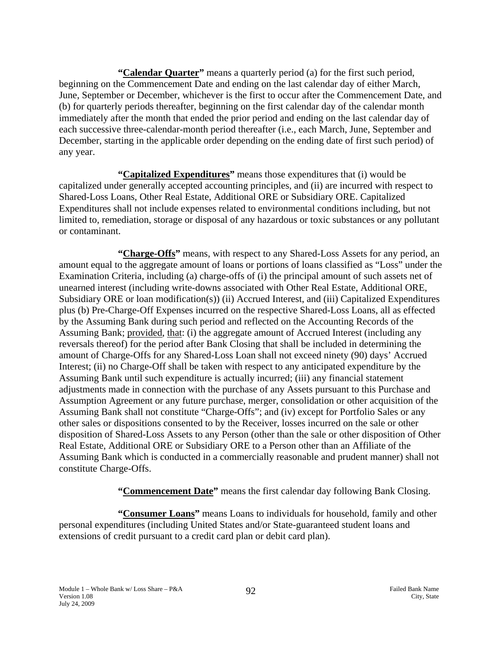**"Calendar Quarter"** means a quarterly period (a) for the first such period, beginning on the Commencement Date and ending on the last calendar day of either March, June, September or December, whichever is the first to occur after the Commencement Date, and (b) for quarterly periods thereafter, beginning on the first calendar day of the calendar month immediately after the month that ended the prior period and ending on the last calendar day of each successive three-calendar-month period thereafter (i.e., each March, June, September and December, starting in the applicable order depending on the ending date of first such period) of any year.

**"Capitalized Expenditures"** means those expenditures that (i) would be capitalized under generally accepted accounting principles, and (ii) are incurred with respect to Shared-Loss Loans, Other Real Estate, Additional ORE or Subsidiary ORE. Capitalized Expenditures shall not include expenses related to environmental conditions including, but not limited to, remediation, storage or disposal of any hazardous or toxic substances or any pollutant or contaminant.

**"Charge-Offs"** means, with respect to any Shared-Loss Assets for any period, an amount equal to the aggregate amount of loans or portions of loans classified as "Loss" under the Examination Criteria, including (a) charge-offs of (i) the principal amount of such assets net of unearned interest (including write-downs associated with Other Real Estate, Additional ORE, Subsidiary ORE or loan modification(s)) (ii) Accrued Interest, and (iii) Capitalized Expenditures plus (b) Pre-Charge-Off Expenses incurred on the respective Shared-Loss Loans, all as effected by the Assuming Bank during such period and reflected on the Accounting Records of the Assuming Bank; provided, that: (i) the aggregate amount of Accrued Interest (including any reversals thereof) for the period after Bank Closing that shall be included in determining the amount of Charge-Offs for any Shared-Loss Loan shall not exceed ninety (90) days' Accrued Interest; (ii) no Charge-Off shall be taken with respect to any anticipated expenditure by the Assuming Bank until such expenditure is actually incurred; (iii) any financial statement adjustments made in connection with the purchase of any Assets pursuant to this Purchase and Assumption Agreement or any future purchase, merger, consolidation or other acquisition of the Assuming Bank shall not constitute "Charge-Offs"; and (iv) except for Portfolio Sales or any other sales or dispositions consented to by the Receiver, losses incurred on the sale or other disposition of Shared-Loss Assets to any Person (other than the sale or other disposition of Other Real Estate, Additional ORE or Subsidiary ORE to a Person other than an Affiliate of the Assuming Bank which is conducted in a commercially reasonable and prudent manner) shall not constitute Charge-Offs.

**"Commencement Date"** means the first calendar day following Bank Closing.

**"Consumer Loans"** means Loans to individuals for household, family and other personal expenditures (including United States and/or State-guaranteed student loans and extensions of credit pursuant to a credit card plan or debit card plan).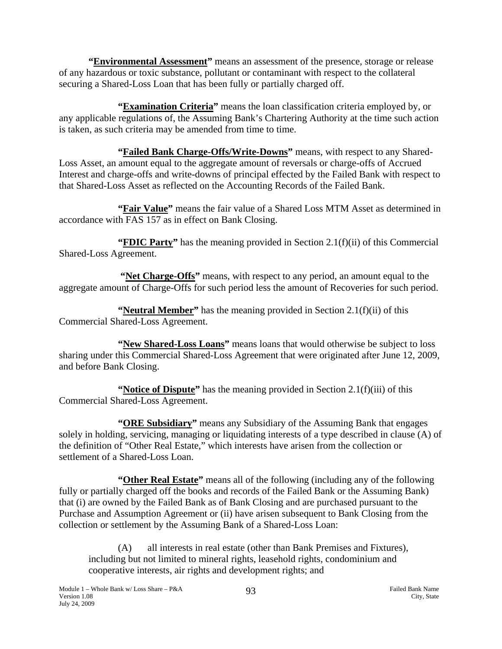**"Environmental Assessment"** means an assessment of the presence, storage or release of any hazardous or toxic substance, pollutant or contaminant with respect to the collateral securing a Shared-Loss Loan that has been fully or partially charged off.

**"Examination Criteria"** means the loan classification criteria employed by, or any applicable regulations of, the Assuming Bank's Chartering Authority at the time such action is taken, as such criteria may be amended from time to time.

**"Failed Bank Charge-Offs/Write-Downs"** means, with respect to any Shared-Loss Asset, an amount equal to the aggregate amount of reversals or charge-offs of Accrued Interest and charge-offs and write-downs of principal effected by the Failed Bank with respect to that Shared-Loss Asset as reflected on the Accounting Records of the Failed Bank.

**"Fair Value"** means the fair value of a Shared Loss MTM Asset as determined in accordance with FAS 157 as in effect on Bank Closing.

**"FDIC Party"** has the meaning provided in Section 2.1(f)(ii) of this Commercial Shared-Loss Agreement.

**"Net Charge-Offs"** means, with respect to any period, an amount equal to the aggregate amount of Charge-Offs for such period less the amount of Recoveries for such period.

 Commercial Shared-Loss Agreement. **"Neutral Member"** has the meaning provided in Section 2.1(f)(ii) of this

**"New Shared-Loss Loans"** means loans that would otherwise be subject to loss sharing under this Commercial Shared-Loss Agreement that were originated after June 12, 2009, and before Bank Closing.

**"Notice of Dispute"** has the meaning provided in Section 2.1(f)(iii) of this Commercial Shared-Loss Agreement.

**"ORE Subsidiary"** means any Subsidiary of the Assuming Bank that engages solely in holding, servicing, managing or liquidating interests of a type described in clause (A) of the definition of "Other Real Estate," which interests have arisen from the collection or settlement of a Shared-Loss Loan.

**"Other Real Estate"** means all of the following (including any of the following fully or partially charged off the books and records of the Failed Bank or the Assuming Bank) that (i) are owned by the Failed Bank as of Bank Closing and are purchased pursuant to the Purchase and Assumption Agreement or (ii) have arisen subsequent to Bank Closing from the collection or settlement by the Assuming Bank of a Shared-Loss Loan:

(A) all interests in real estate (other than Bank Premises and Fixtures), including but not limited to mineral rights, leasehold rights, condominium and cooperative interests, air rights and development rights; and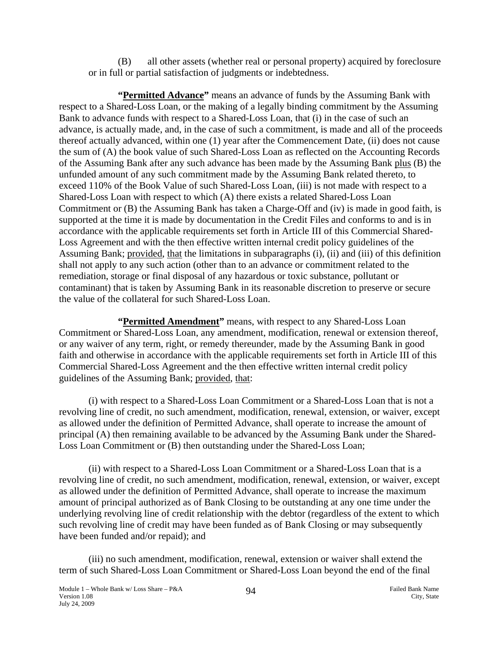(B) all other assets (whether real or personal property) acquired by foreclosure or in full or partial satisfaction of judgments or indebtedness.

**"Permitted Advance"** means an advance of funds by the Assuming Bank with respect to a Shared-Loss Loan, or the making of a legally binding commitment by the Assuming Bank to advance funds with respect to a Shared-Loss Loan, that (i) in the case of such an advance, is actually made, and, in the case of such a commitment, is made and all of the proceeds thereof actually advanced, within one (1) year after the Commencement Date, (ii) does not cause the sum of (A) the book value of such Shared-Loss Loan as reflected on the Accounting Records of the Assuming Bank after any such advance has been made by the Assuming Bank plus (B) the unfunded amount of any such commitment made by the Assuming Bank related thereto, to exceed 110% of the Book Value of such Shared-Loss Loan, (iii) is not made with respect to a Shared-Loss Loan with respect to which (A) there exists a related Shared-Loss Loan Commitment or (B) the Assuming Bank has taken a Charge-Off and (iv) is made in good faith, is supported at the time it is made by documentation in the Credit Files and conforms to and is in accordance with the applicable requirements set forth in Article III of this Commercial Shared-Loss Agreement and with the then effective written internal credit policy guidelines of the Assuming Bank; provided, that the limitations in subparagraphs (i), (ii) and (iii) of this definition shall not apply to any such action (other than to an advance or commitment related to the remediation, storage or final disposal of any hazardous or toxic substance, pollutant or contaminant) that is taken by Assuming Bank in its reasonable discretion to preserve or secure the value of the collateral for such Shared-Loss Loan.

**"Permitted Amendment"** means, with respect to any Shared-Loss Loan Commitment or Shared-Loss Loan, any amendment, modification, renewal or extension thereof, or any waiver of any term, right, or remedy thereunder, made by the Assuming Bank in good faith and otherwise in accordance with the applicable requirements set forth in Article III of this Commercial Shared-Loss Agreement and the then effective written internal credit policy guidelines of the Assuming Bank; provided, that:

(i) with respect to a Shared-Loss Loan Commitment or a Shared-Loss Loan that is not a revolving line of credit, no such amendment, modification, renewal, extension, or waiver, except as allowed under the definition of Permitted Advance, shall operate to increase the amount of principal (A) then remaining available to be advanced by the Assuming Bank under the Shared-Loss Loan Commitment or (B) then outstanding under the Shared-Loss Loan;

(ii) with respect to a Shared-Loss Loan Commitment or a Shared-Loss Loan that is a revolving line of credit, no such amendment, modification, renewal, extension, or waiver, except as allowed under the definition of Permitted Advance, shall operate to increase the maximum amount of principal authorized as of Bank Closing to be outstanding at any one time under the underlying revolving line of credit relationship with the debtor (regardless of the extent to which such revolving line of credit may have been funded as of Bank Closing or may subsequently have been funded and/or repaid); and

(iii) no such amendment, modification, renewal, extension or waiver shall extend the term of such Shared-Loss Loan Commitment or Shared-Loss Loan beyond the end of the final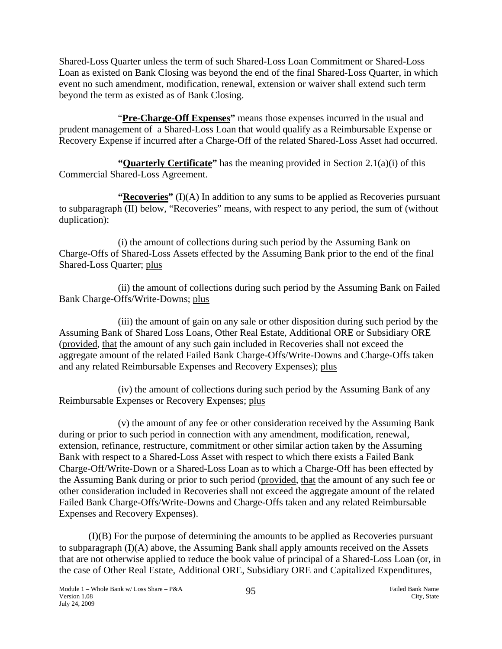Shared-Loss Quarter unless the term of such Shared-Loss Loan Commitment or Shared-Loss Loan as existed on Bank Closing was beyond the end of the final Shared-Loss Quarter, in which event no such amendment, modification, renewal, extension or waiver shall extend such term beyond the term as existed as of Bank Closing.

"**Pre-Charge-Off Expenses"** means those expenses incurred in the usual and prudent management of a Shared-Loss Loan that would qualify as a Reimbursable Expense or Recovery Expense if incurred after a Charge-Off of the related Shared-Loss Asset had occurred.

**"Quarterly Certificate"** has the meaning provided in Section 2.1(a)(i) of this Commercial Shared-Loss Agreement.

**"Recoveries"** (I)(A) In addition to any sums to be applied as Recoveries pursuant to subparagraph (II) below, "Recoveries" means, with respect to any period, the sum of (without duplication):

Shared-Loss Quarter; plus (i) the amount of collections during such period by the Assuming Bank on Charge-Offs of Shared-Loss Assets effected by the Assuming Bank prior to the end of the final

(ii) the amount of collections during such period by the Assuming Bank on Failed Bank Charge-Offs/Write-Downs; plus

(iii) the amount of gain on any sale or other disposition during such period by the Assuming Bank of Shared Loss Loans, Other Real Estate, Additional ORE or Subsidiary ORE (provided, that the amount of any such gain included in Recoveries shall not exceed the aggregate amount of the related Failed Bank Charge-Offs/Write-Downs and Charge-Offs taken and any related Reimbursable Expenses and Recovery Expenses); plus

(iv) the amount of collections during such period by the Assuming Bank of any Reimbursable Expenses or Recovery Expenses; plus

(v) the amount of any fee or other consideration received by the Assuming Bank during or prior to such period in connection with any amendment, modification, renewal, extension, refinance, restructure, commitment or other similar action taken by the Assuming Bank with respect to a Shared-Loss Asset with respect to which there exists a Failed Bank Charge-Off/Write-Down or a Shared-Loss Loan as to which a Charge-Off has been effected by the Assuming Bank during or prior to such period (provided, that the amount of any such fee or other consideration included in Recoveries shall not exceed the aggregate amount of the related Failed Bank Charge-Offs/Write-Downs and Charge-Offs taken and any related Reimbursable Expenses and Recovery Expenses).

(I)(B) For the purpose of determining the amounts to be applied as Recoveries pursuant to subparagraph (I)(A) above, the Assuming Bank shall apply amounts received on the Assets that are not otherwise applied to reduce the book value of principal of a Shared-Loss Loan (or, in the case of Other Real Estate, Additional ORE, Subsidiary ORE and Capitalized Expenditures,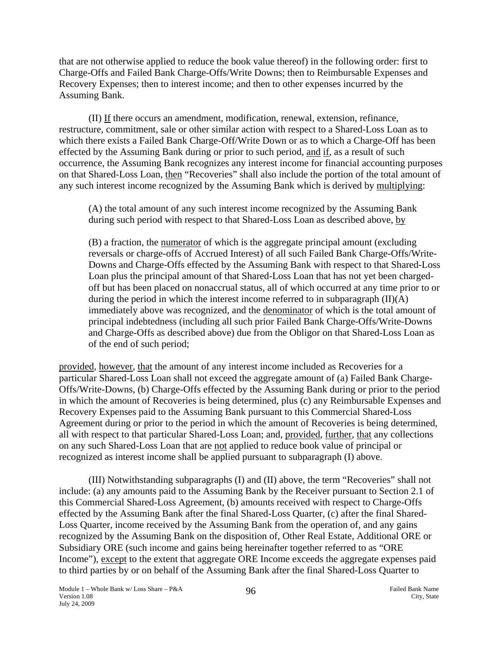that are not otherwise applied to reduce the book value thereof) in the following order: first to Charge-Offs and Failed Bank Charge-Offs/Write Downs; then to Reimbursable Expenses and Recovery Expenses; then to interest income; and then to other expenses incurred by the Assuming Bank.

(II) If there occurs an amendment, modification, renewal, extension, refinance, restructure, commitment, sale or other similar action with respect to a Shared-Loss Loan as to which there exists a Failed Bank Charge-Off/Write Down or as to which a Charge-Off has been effected by the Assuming Bank during or prior to such period, and if, as a result of such occurrence, the Assuming Bank recognizes any interest income for financial accounting purposes on that Shared-Loss Loan, then "Recoveries" shall also include the portion of the total amount of any such interest income recognized by the Assuming Bank which is derived by multiplying:

(A) the total amount of any such interest income recognized by the Assuming Bank during such period with respect to that Shared-Loss Loan as described above, by

(B) a fraction, the numerator of which is the aggregate principal amount (excluding reversals or charge-offs of Accrued Interest) of all such Failed Bank Charge-Offs/Write-Downs and Charge-Offs effected by the Assuming Bank with respect to that Shared-Loss Loan plus the principal amount of that Shared-Loss Loan that has not yet been chargedoff but has been placed on nonaccrual status, all of which occurred at any time prior to or during the period in which the interest income referred to in subparagraph  $(II)(A)$ immediately above was recognized, and the denominator of which is the total amount of principal indebtedness (including all such prior Failed Bank Charge-Offs/Write-Downs and Charge-Offs as described above) due from the Obligor on that Shared-Loss Loan as of the end of such period;

provided, however, that the amount of any interest income included as Recoveries for a particular Shared-Loss Loan shall not exceed the aggregate amount of (a) Failed Bank Charge-Offs/Write-Downs, (b) Charge-Offs effected by the Assuming Bank during or prior to the period in which the amount of Recoveries is being determined, plus (c) any Reimbursable Expenses and Recovery Expenses paid to the Assuming Bank pursuant to this Commercial Shared-Loss Agreement during or prior to the period in which the amount of Recoveries is being determined, all with respect to that particular Shared-Loss Loan; and, provided, further, that any collections on any such Shared-Loss Loan that are not applied to reduce book value of principal or recognized as interest income shall be applied pursuant to subparagraph (I) above.

(III) Notwithstanding subparagraphs (I) and (II) above, the term "Recoveries" shall not include: (a) any amounts paid to the Assuming Bank by the Receiver pursuant to Section 2.1 of this Commercial Shared-Loss Agreement, (b) amounts received with respect to Charge-Offs effected by the Assuming Bank after the final Shared-Loss Quarter, (c) after the final Shared-Loss Quarter, income received by the Assuming Bank from the operation of, and any gains recognized by the Assuming Bank on the disposition of, Other Real Estate, Additional ORE or Subsidiary ORE (such income and gains being hereinafter together referred to as "ORE Income"), except to the extent that aggregate ORE Income exceeds the aggregate expenses paid to third parties by or on behalf of the Assuming Bank after the final Shared-Loss Quarter to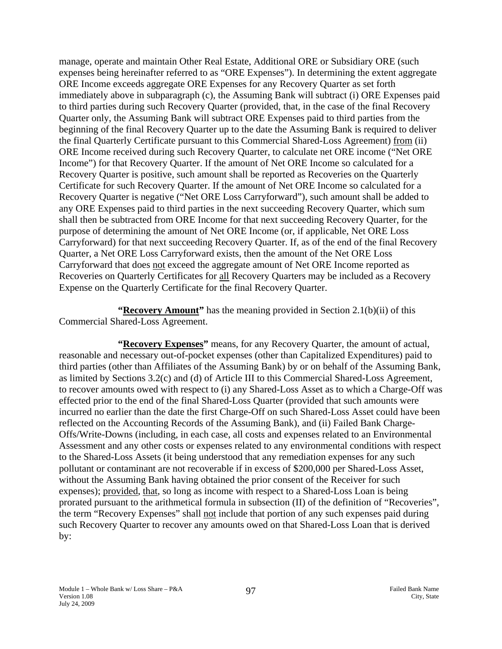manage, operate and maintain Other Real Estate, Additional ORE or Subsidiary ORE (such expenses being hereinafter referred to as "ORE Expenses"). In determining the extent aggregate ORE Income exceeds aggregate ORE Expenses for any Recovery Quarter as set forth immediately above in subparagraph (c), the Assuming Bank will subtract (i) ORE Expenses paid to third parties during such Recovery Quarter (provided, that, in the case of the final Recovery Quarter only, the Assuming Bank will subtract ORE Expenses paid to third parties from the beginning of the final Recovery Quarter up to the date the Assuming Bank is required to deliver the final Quarterly Certificate pursuant to this Commercial Shared-Loss Agreement) from (ii) ORE Income received during such Recovery Quarter, to calculate net ORE income ("Net ORE Income") for that Recovery Quarter. If the amount of Net ORE Income so calculated for a Recovery Quarter is positive, such amount shall be reported as Recoveries on the Quarterly Certificate for such Recovery Quarter. If the amount of Net ORE Income so calculated for a Recovery Quarter is negative ("Net ORE Loss Carryforward"), such amount shall be added to any ORE Expenses paid to third parties in the next succeeding Recovery Quarter, which sum shall then be subtracted from ORE Income for that next succeeding Recovery Quarter, for the purpose of determining the amount of Net ORE Income (or, if applicable, Net ORE Loss Carryforward) for that next succeeding Recovery Quarter. If, as of the end of the final Recovery Quarter, a Net ORE Loss Carryforward exists, then the amount of the Net ORE Loss Carryforward that does not exceed the aggregate amount of Net ORE Income reported as Recoveries on Quarterly Certificates for all Recovery Quarters may be included as a Recovery Expense on the Quarterly Certificate for the final Recovery Quarter.

**"Recovery Amount"** has the meaning provided in Section 2.1(b)(ii) of this Commercial Shared-Loss Agreement.

**"Recovery Expenses"** means, for any Recovery Quarter, the amount of actual, reasonable and necessary out-of-pocket expenses (other than Capitalized Expenditures) paid to third parties (other than Affiliates of the Assuming Bank) by or on behalf of the Assuming Bank, as limited by Sections 3.2(c) and (d) of Article III to this Commercial Shared-Loss Agreement, to recover amounts owed with respect to (i) any Shared-Loss Asset as to which a Charge-Off was effected prior to the end of the final Shared-Loss Quarter (provided that such amounts were incurred no earlier than the date the first Charge-Off on such Shared-Loss Asset could have been reflected on the Accounting Records of the Assuming Bank), and (ii) Failed Bank Charge-Offs/Write-Downs (including, in each case, all costs and expenses related to an Environmental Assessment and any other costs or expenses related to any environmental conditions with respect to the Shared-Loss Assets (it being understood that any remediation expenses for any such pollutant or contaminant are not recoverable if in excess of \$200,000 per Shared-Loss Asset, without the Assuming Bank having obtained the prior consent of the Receiver for such expenses); provided, that, so long as income with respect to a Shared-Loss Loan is being prorated pursuant to the arithmetical formula in subsection (II) of the definition of "Recoveries", the term "Recovery Expenses" shall not include that portion of any such expenses paid during such Recovery Quarter to recover any amounts owed on that Shared-Loss Loan that is derived by: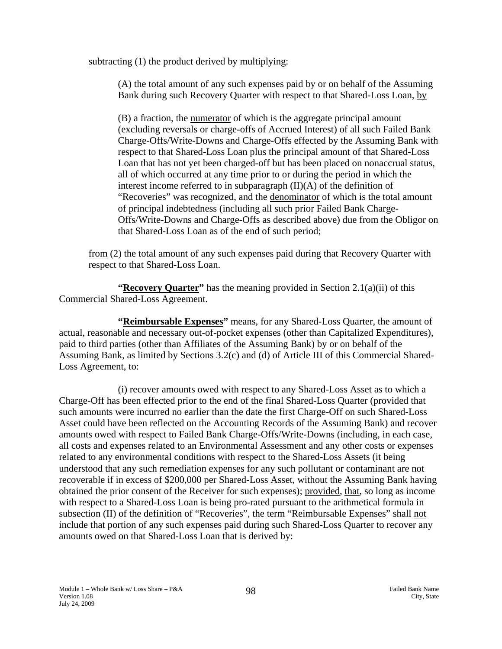subtracting (1) the product derived by multiplying:

(A) the total amount of any such expenses paid by or on behalf of the Assuming Bank during such Recovery Quarter with respect to that Shared-Loss Loan, by

(B) a fraction, the numerator of which is the aggregate principal amount (excluding reversals or charge-offs of Accrued Interest) of all such Failed Bank Charge-Offs/Write-Downs and Charge-Offs effected by the Assuming Bank with respect to that Shared-Loss Loan plus the principal amount of that Shared-Loss Loan that has not yet been charged-off but has been placed on nonaccrual status, all of which occurred at any time prior to or during the period in which the interest income referred to in subparagraph  $(II)(A)$  of the definition of "Recoveries" was recognized, and the denominator of which is the total amount of principal indebtedness (including all such prior Failed Bank Charge-Offs/Write-Downs and Charge-Offs as described above) due from the Obligor on that Shared-Loss Loan as of the end of such period;

from (2) the total amount of any such expenses paid during that Recovery Quarter with respect to that Shared-Loss Loan.

**"Recovery Quarter"** has the meaning provided in Section 2.1(a)(ii) of this Commercial Shared-Loss Agreement.

**"Reimbursable Expenses"** means, for any Shared-Loss Quarter, the amount of actual, reasonable and necessary out-of-pocket expenses (other than Capitalized Expenditures), paid to third parties (other than Affiliates of the Assuming Bank) by or on behalf of the Assuming Bank, as limited by Sections 3.2(c) and (d) of Article III of this Commercial Shared-Loss Agreement, to:

(i) recover amounts owed with respect to any Shared-Loss Asset as to which a Charge-Off has been effected prior to the end of the final Shared-Loss Quarter (provided that such amounts were incurred no earlier than the date the first Charge-Off on such Shared-Loss Asset could have been reflected on the Accounting Records of the Assuming Bank) and recover amounts owed with respect to Failed Bank Charge-Offs/Write-Downs (including, in each case, all costs and expenses related to an Environmental Assessment and any other costs or expenses related to any environmental conditions with respect to the Shared-Loss Assets (it being understood that any such remediation expenses for any such pollutant or contaminant are not recoverable if in excess of \$200,000 per Shared-Loss Asset, without the Assuming Bank having obtained the prior consent of the Receiver for such expenses); provided, that, so long as income with respect to a Shared-Loss Loan is being pro-rated pursuant to the arithmetical formula in subsection (II) of the definition of "Recoveries", the term "Reimbursable Expenses" shall not include that portion of any such expenses paid during such Shared-Loss Quarter to recover any amounts owed on that Shared-Loss Loan that is derived by: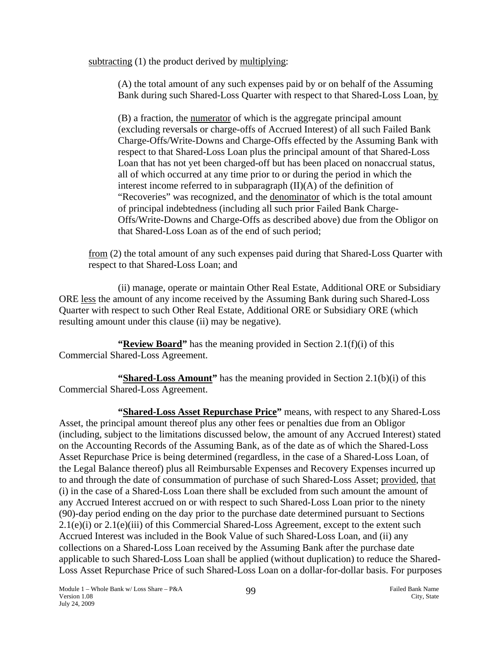subtracting (1) the product derived by multiplying:

(A) the total amount of any such expenses paid by or on behalf of the Assuming Bank during such Shared-Loss Quarter with respect to that Shared-Loss Loan, by

(B) a fraction, the numerator of which is the aggregate principal amount (excluding reversals or charge-offs of Accrued Interest) of all such Failed Bank Charge-Offs/Write-Downs and Charge-Offs effected by the Assuming Bank with respect to that Shared-Loss Loan plus the principal amount of that Shared-Loss Loan that has not yet been charged-off but has been placed on nonaccrual status, all of which occurred at any time prior to or during the period in which the interest income referred to in subparagraph (II)(A) of the definition of "Recoveries" was recognized, and the denominator of which is the total amount of principal indebtedness (including all such prior Failed Bank Charge-Offs/Write-Downs and Charge-Offs as described above) due from the Obligor on that Shared-Loss Loan as of the end of such period;

from (2) the total amount of any such expenses paid during that Shared-Loss Quarter with respect to that Shared-Loss Loan; and

(ii) manage, operate or maintain Other Real Estate, Additional ORE or Subsidiary ORE less the amount of any income received by the Assuming Bank during such Shared-Loss Quarter with respect to such Other Real Estate, Additional ORE or Subsidiary ORE (which resulting amount under this clause (ii) may be negative).

**"Review Board"** has the meaning provided in Section 2.1(f)(i) of this Commercial Shared-Loss Agreement.

**"Shared-Loss Amount"** has the meaning provided in Section 2.1(b)(i) of this Commercial Shared-Loss Agreement.

**"Shared-Loss Asset Repurchase Price"** means, with respect to any Shared-Loss Asset, the principal amount thereof plus any other fees or penalties due from an Obligor (including, subject to the limitations discussed below, the amount of any Accrued Interest) stated on the Accounting Records of the Assuming Bank, as of the date as of which the Shared-Loss Asset Repurchase Price is being determined (regardless, in the case of a Shared-Loss Loan, of the Legal Balance thereof) plus all Reimbursable Expenses and Recovery Expenses incurred up to and through the date of consummation of purchase of such Shared-Loss Asset; provided, that (i) in the case of a Shared-Loss Loan there shall be excluded from such amount the amount of any Accrued Interest accrued on or with respect to such Shared-Loss Loan prior to the ninety (90)-day period ending on the day prior to the purchase date determined pursuant to Sections 2.1(e)(i) or 2.1(e)(iii) of this Commercial Shared-Loss Agreement, except to the extent such Accrued Interest was included in the Book Value of such Shared-Loss Loan, and (ii) any collections on a Shared-Loss Loan received by the Assuming Bank after the purchase date applicable to such Shared-Loss Loan shall be applied (without duplication) to reduce the Shared-Loss Asset Repurchase Price of such Shared-Loss Loan on a dollar-for-dollar basis. For purposes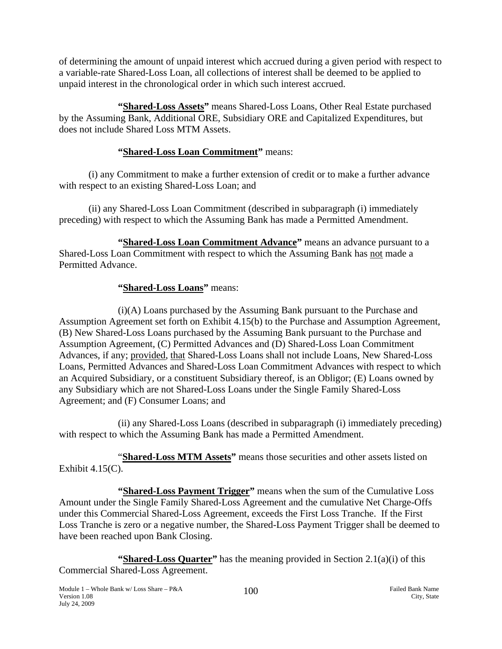of determining the amount of unpaid interest which accrued during a given period with respect to a variable-rate Shared-Loss Loan, all collections of interest shall be deemed to be applied to unpaid interest in the chronological order in which such interest accrued.

**"Shared-Loss Assets"** means Shared-Loss Loans, Other Real Estate purchased by the Assuming Bank, Additional ORE, Subsidiary ORE and Capitalized Expenditures, but does not include Shared Loss MTM Assets.

## **"Shared-Loss Loan Commitment"** means:

(i) any Commitment to make a further extension of credit or to make a further advance with respect to an existing Shared-Loss Loan; and

(ii) any Shared-Loss Loan Commitment (described in subparagraph (i) immediately preceding) with respect to which the Assuming Bank has made a Permitted Amendment.

**"Shared-Loss Loan Commitment Advance"** means an advance pursuant to a Shared-Loss Loan Commitment with respect to which the Assuming Bank has not made a Permitted Advance.

# **"Shared-Loss Loans"** means:

(i)(A) Loans purchased by the Assuming Bank pursuant to the Purchase and Assumption Agreement set forth on Exhibit 4.15(b) to the Purchase and Assumption Agreement, (B) New Shared-Loss Loans purchased by the Assuming Bank pursuant to the Purchase and Assumption Agreement, (C) Permitted Advances and (D) Shared-Loss Loan Commitment Advances, if any; provided, that Shared-Loss Loans shall not include Loans, New Shared-Loss Loans, Permitted Advances and Shared-Loss Loan Commitment Advances with respect to which an Acquired Subsidiary, or a constituent Subsidiary thereof, is an Obligor; (E) Loans owned by any Subsidiary which are not Shared-Loss Loans under the Single Family Shared-Loss Agreement; and (F) Consumer Loans; and

(ii) any Shared-Loss Loans (described in subparagraph (i) immediately preceding) with respect to which the Assuming Bank has made a Permitted Amendment.

"**Shared-Loss MTM Assets"** means those securities and other assets listed on Exhibit  $4.15(C)$ .

**"Shared-Loss Payment Trigger"** means when the sum of the Cumulative Loss Amount under the Single Family Shared-Loss Agreement and the cumulative Net Charge-Offs under this Commercial Shared-Loss Agreement, exceeds the First Loss Tranche. If the First Loss Tranche is zero or a negative number, the Shared-Loss Payment Trigger shall be deemed to have been reached upon Bank Closing.

**"Shared-Loss Quarter"** has the meaning provided in Section 2.1(a)(i) of this Commercial Shared-Loss Agreement.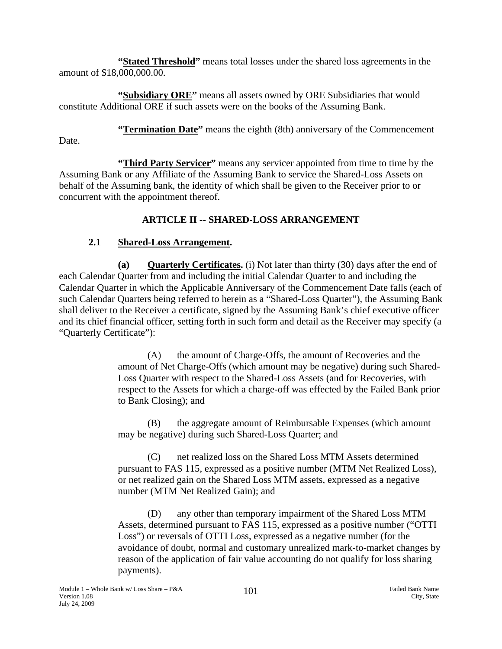**"Stated Threshold"** means total losses under the shared loss agreements in the amount of \$18,000,000.00.

"Subsidiary ORE" means all assets owned by ORE Subsidiaries that would constitute Additional ORE if such assets were on the books of the Assuming Bank.

**"Termination Date"** means the eighth (8th) anniversary of the Commencement

**"Third Party Servicer"** means any servicer appointed from time to time by the Assuming Bank or any Affiliate of the Assuming Bank to service the Shared-Loss Assets on behalf of the Assuming bank, the identity of which shall be given to the Receiver prior to or concurrent with the appointment thereof.

## **ARTICLE II** -- **SHARED-LOSS ARRANGEMENT**

## **2.1 Shared-Loss Arrangement.**

Date.

**(a) Quarterly Certificates.** (i) Not later than thirty (30) days after the end of each Calendar Quarter from and including the initial Calendar Quarter to and including the Calendar Quarter in which the Applicable Anniversary of the Commencement Date falls (each of such Calendar Quarters being referred to herein as a "Shared-Loss Quarter"), the Assuming Bank shall deliver to the Receiver a certificate, signed by the Assuming Bank's chief executive officer and its chief financial officer, setting forth in such form and detail as the Receiver may specify (a "Quarterly Certificate"):

> (A) the amount of Charge-Offs, the amount of Recoveries and the amount of Net Charge-Offs (which amount may be negative) during such Shared-Loss Quarter with respect to the Shared-Loss Assets (and for Recoveries, with respect to the Assets for which a charge-off was effected by the Failed Bank prior to Bank Closing); and

(B) the aggregate amount of Reimbursable Expenses (which amount may be negative) during such Shared-Loss Quarter; and

(C) net realized loss on the Shared Loss MTM Assets determined pursuant to FAS 115, expressed as a positive number (MTM Net Realized Loss), or net realized gain on the Shared Loss MTM assets, expressed as a negative number (MTM Net Realized Gain); and

(D) any other than temporary impairment of the Shared Loss MTM Assets, determined pursuant to FAS 115, expressed as a positive number ("OTTI Loss") or reversals of OTTI Loss, expressed as a negative number (for the avoidance of doubt, normal and customary unrealized mark-to-market changes by reason of the application of fair value accounting do not qualify for loss sharing payments).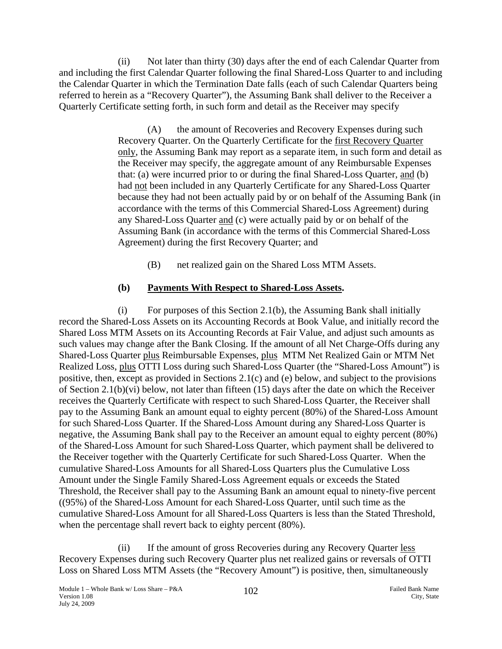(ii) Not later than thirty (30) days after the end of each Calendar Quarter from and including the first Calendar Quarter following the final Shared-Loss Quarter to and including the Calendar Quarter in which the Termination Date falls (each of such Calendar Quarters being referred to herein as a "Recovery Quarter"), the Assuming Bank shall deliver to the Receiver a Quarterly Certificate setting forth, in such form and detail as the Receiver may specify

> (A) the amount of Recoveries and Recovery Expenses during such Recovery Quarter. On the Quarterly Certificate for the first Recovery Quarter only, the Assuming Bank may report as a separate item, in such form and detail as the Receiver may specify, the aggregate amount of any Reimbursable Expenses that: (a) were incurred prior to or during the final Shared-Loss Quarter, and (b) had not been included in any Quarterly Certificate for any Shared-Loss Quarter because they had not been actually paid by or on behalf of the Assuming Bank (in accordance with the terms of this Commercial Shared-Loss Agreement) during any Shared-Loss Quarter and (c) were actually paid by or on behalf of the Assuming Bank (in accordance with the terms of this Commercial Shared-Loss Agreement) during the first Recovery Quarter; and

(B) net realized gain on the Shared Loss MTM Assets.

## **(b) Payments With Respect to Shared-Loss Assets.**

(i) For purposes of this Section 2.1(b), the Assuming Bank shall initially record the Shared-Loss Assets on its Accounting Records at Book Value, and initially record the Shared Loss MTM Assets on its Accounting Records at Fair Value, and adjust such amounts as such values may change after the Bank Closing. If the amount of all Net Charge-Offs during any Shared-Loss Quarter plus Reimbursable Expenses, plus MTM Net Realized Gain or MTM Net Realized Loss, plus OTTI Loss during such Shared-Loss Quarter (the "Shared-Loss Amount") is positive, then, except as provided in Sections 2.1(c) and (e) below, and subject to the provisions of Section 2.1(b)(vi) below, not later than fifteen (15) days after the date on which the Receiver receives the Quarterly Certificate with respect to such Shared-Loss Quarter, the Receiver shall pay to the Assuming Bank an amount equal to eighty percent (80%) of the Shared-Loss Amount for such Shared-Loss Quarter. If the Shared-Loss Amount during any Shared-Loss Quarter is negative, the Assuming Bank shall pay to the Receiver an amount equal to eighty percent (80%) of the Shared-Loss Amount for such Shared-Loss Quarter, which payment shall be delivered to the Receiver together with the Quarterly Certificate for such Shared-Loss Quarter. When the cumulative Shared-Loss Amounts for all Shared-Loss Quarters plus the Cumulative Loss Amount under the Single Family Shared-Loss Agreement equals or exceeds the Stated Threshold, the Receiver shall pay to the Assuming Bank an amount equal to ninety-five percent ((95%) of the Shared-Loss Amount for each Shared-Loss Quarter, until such time as the cumulative Shared-Loss Amount for all Shared-Loss Quarters is less than the Stated Threshold, when the percentage shall revert back to eighty percent (80%).

(ii) If the amount of gross Recoveries during any Recovery Quarter less Recovery Expenses during such Recovery Quarter plus net realized gains or reversals of OTTI Loss on Shared Loss MTM Assets (the "Recovery Amount") is positive, then, simultaneously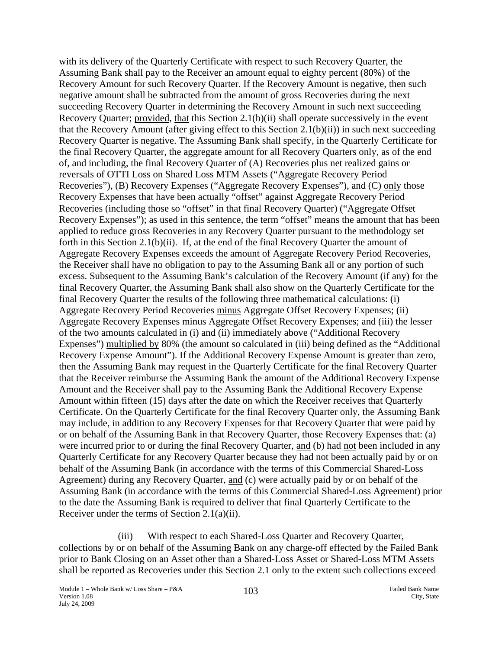with its delivery of the Quarterly Certificate with respect to such Recovery Quarter, the Assuming Bank shall pay to the Receiver an amount equal to eighty percent (80%) of the Recovery Amount for such Recovery Quarter. If the Recovery Amount is negative, then such negative amount shall be subtracted from the amount of gross Recoveries during the next succeeding Recovery Quarter in determining the Recovery Amount in such next succeeding Recovery Quarter; provided, that this Section 2.1(b)(ii) shall operate successively in the event that the Recovery Amount (after giving effect to this Section 2.1(b)(ii)) in such next succeeding Recovery Quarter is negative. The Assuming Bank shall specify, in the Quarterly Certificate for the final Recovery Quarter, the aggregate amount for all Recovery Quarters only, as of the end of, and including, the final Recovery Quarter of (A) Recoveries plus net realized gains or reversals of OTTI Loss on Shared Loss MTM Assets ("Aggregate Recovery Period Recoveries"), (B) Recovery Expenses ("Aggregate Recovery Expenses"), and (C) only those Recovery Expenses that have been actually "offset" against Aggregate Recovery Period Recoveries (including those so "offset" in that final Recovery Quarter) ("Aggregate Offset Recovery Expenses"); as used in this sentence, the term "offset" means the amount that has been applied to reduce gross Recoveries in any Recovery Quarter pursuant to the methodology set forth in this Section 2.1(b)(ii). If, at the end of the final Recovery Quarter the amount of Aggregate Recovery Expenses exceeds the amount of Aggregate Recovery Period Recoveries, the Receiver shall have no obligation to pay to the Assuming Bank all or any portion of such excess. Subsequent to the Assuming Bank's calculation of the Recovery Amount (if any) for the final Recovery Quarter, the Assuming Bank shall also show on the Quarterly Certificate for the final Recovery Quarter the results of the following three mathematical calculations: (i) Aggregate Recovery Period Recoveries minus Aggregate Offset Recovery Expenses; (ii) Aggregate Recovery Expenses minus Aggregate Offset Recovery Expenses; and (iii) the lesser of the two amounts calculated in (i) and (ii) immediately above ("Additional Recovery Expenses") multiplied by 80% (the amount so calculated in (iii) being defined as the "Additional Recovery Expense Amount"). If the Additional Recovery Expense Amount is greater than zero, then the Assuming Bank may request in the Quarterly Certificate for the final Recovery Quarter that the Receiver reimburse the Assuming Bank the amount of the Additional Recovery Expense Amount and the Receiver shall pay to the Assuming Bank the Additional Recovery Expense Amount within fifteen (15) days after the date on which the Receiver receives that Quarterly Certificate. On the Quarterly Certificate for the final Recovery Quarter only, the Assuming Bank may include, in addition to any Recovery Expenses for that Recovery Quarter that were paid by or on behalf of the Assuming Bank in that Recovery Quarter, those Recovery Expenses that: (a) were incurred prior to or during the final Recovery Quarter, and (b) had not been included in any Quarterly Certificate for any Recovery Quarter because they had not been actually paid by or on behalf of the Assuming Bank (in accordance with the terms of this Commercial Shared-Loss Agreement) during any Recovery Quarter, and (c) were actually paid by or on behalf of the Assuming Bank (in accordance with the terms of this Commercial Shared-Loss Agreement) prior to the date the Assuming Bank is required to deliver that final Quarterly Certificate to the Receiver under the terms of Section 2.1(a)(ii).

(iii) With respect to each Shared-Loss Quarter and Recovery Quarter, collections by or on behalf of the Assuming Bank on any charge-off effected by the Failed Bank prior to Bank Closing on an Asset other than a Shared-Loss Asset or Shared-Loss MTM Assets shall be reported as Recoveries under this Section 2.1 only to the extent such collections exceed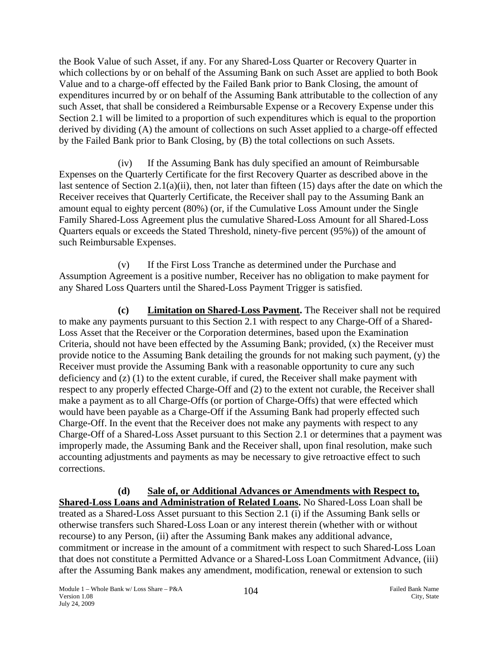the Book Value of such Asset, if any. For any Shared-Loss Quarter or Recovery Quarter in which collections by or on behalf of the Assuming Bank on such Asset are applied to both Book Value and to a charge-off effected by the Failed Bank prior to Bank Closing, the amount of expenditures incurred by or on behalf of the Assuming Bank attributable to the collection of any such Asset, that shall be considered a Reimbursable Expense or a Recovery Expense under this Section 2.1 will be limited to a proportion of such expenditures which is equal to the proportion derived by dividing (A) the amount of collections on such Asset applied to a charge-off effected by the Failed Bank prior to Bank Closing, by (B) the total collections on such Assets.

(iv) If the Assuming Bank has duly specified an amount of Reimbursable Expenses on the Quarterly Certificate for the first Recovery Quarter as described above in the last sentence of Section 2.1(a)(ii), then, not later than fifteen (15) days after the date on which the Receiver receives that Quarterly Certificate, the Receiver shall pay to the Assuming Bank an amount equal to eighty percent (80%) (or, if the Cumulative Loss Amount under the Single Family Shared-Loss Agreement plus the cumulative Shared-Loss Amount for all Shared-Loss Quarters equals or exceeds the Stated Threshold, ninety-five percent (95%)) of the amount of such Reimbursable Expenses.

(v) If the First Loss Tranche as determined under the Purchase and Assumption Agreement is a positive number, Receiver has no obligation to make payment for any Shared Loss Quarters until the Shared-Loss Payment Trigger is satisfied.

**(c) Limitation on Shared-Loss Payment.** The Receiver shall not be required to make any payments pursuant to this Section 2.1 with respect to any Charge-Off of a Shared-Loss Asset that the Receiver or the Corporation determines, based upon the Examination Criteria, should not have been effected by the Assuming Bank; provided, (x) the Receiver must provide notice to the Assuming Bank detailing the grounds for not making such payment, (y) the Receiver must provide the Assuming Bank with a reasonable opportunity to cure any such deficiency and (z) (1) to the extent curable, if cured, the Receiver shall make payment with respect to any properly effected Charge-Off and (2) to the extent not curable, the Receiver shall make a payment as to all Charge-Offs (or portion of Charge-Offs) that were effected which would have been payable as a Charge-Off if the Assuming Bank had properly effected such Charge-Off. In the event that the Receiver does not make any payments with respect to any Charge-Off of a Shared-Loss Asset pursuant to this Section 2.1 or determines that a payment was improperly made, the Assuming Bank and the Receiver shall, upon final resolution, make such accounting adjustments and payments as may be necessary to give retroactive effect to such corrections.

**(d) Sale of, or Additional Advances or Amendments with Respect to, Shared-Loss Loans and Administration of Related Loans.** No Shared-Loss Loan shall be treated as a Shared-Loss Asset pursuant to this Section 2.1 (i) if the Assuming Bank sells or otherwise transfers such Shared-Loss Loan or any interest therein (whether with or without recourse) to any Person, (ii) after the Assuming Bank makes any additional advance, commitment or increase in the amount of a commitment with respect to such Shared-Loss Loan that does not constitute a Permitted Advance or a Shared-Loss Loan Commitment Advance, (iii) after the Assuming Bank makes any amendment, modification, renewal or extension to such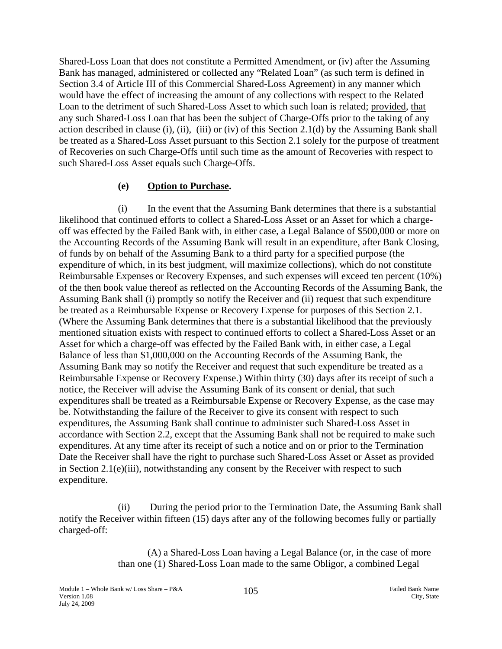Loan to the detriment of such Shared-Loss Asset to which such loan is related; provided, that Shared-Loss Loan that does not constitute a Permitted Amendment, or (iv) after the Assuming Bank has managed, administered or collected any "Related Loan" (as such term is defined in Section 3.4 of Article III of this Commercial Shared-Loss Agreement) in any manner which would have the effect of increasing the amount of any collections with respect to the Related any such Shared-Loss Loan that has been the subject of Charge-Offs prior to the taking of any action described in clause (i), (ii), (iii) or (iv) of this Section 2.1(d) by the Assuming Bank shall be treated as a Shared-Loss Asset pursuant to this Section 2.1 solely for the purpose of treatment of Recoveries on such Charge-Offs until such time as the amount of Recoveries with respect to such Shared-Loss Asset equals such Charge-Offs.

#### **(e) Option to Purchase.**

(i) In the event that the Assuming Bank determines that there is a substantial likelihood that continued efforts to collect a Shared-Loss Asset or an Asset for which a chargeoff was effected by the Failed Bank with, in either case, a Legal Balance of \$500,000 or more on the Accounting Records of the Assuming Bank will result in an expenditure, after Bank Closing, of funds by on behalf of the Assuming Bank to a third party for a specified purpose (the expenditure of which, in its best judgment, will maximize collections), which do not constitute Reimbursable Expenses or Recovery Expenses, and such expenses will exceed ten percent (10%) of the then book value thereof as reflected on the Accounting Records of the Assuming Bank, the Assuming Bank shall (i) promptly so notify the Receiver and (ii) request that such expenditure be treated as a Reimbursable Expense or Recovery Expense for purposes of this Section 2.1. (Where the Assuming Bank determines that there is a substantial likelihood that the previously mentioned situation exists with respect to continued efforts to collect a Shared-Loss Asset or an Asset for which a charge-off was effected by the Failed Bank with, in either case, a Legal Balance of less than \$1,000,000 on the Accounting Records of the Assuming Bank, the Assuming Bank may so notify the Receiver and request that such expenditure be treated as a Reimbursable Expense or Recovery Expense.) Within thirty (30) days after its receipt of such a notice, the Receiver will advise the Assuming Bank of its consent or denial, that such expenditures shall be treated as a Reimbursable Expense or Recovery Expense, as the case may be. Notwithstanding the failure of the Receiver to give its consent with respect to such expenditures, the Assuming Bank shall continue to administer such Shared-Loss Asset in accordance with Section 2.2, except that the Assuming Bank shall not be required to make such expenditures. At any time after its receipt of such a notice and on or prior to the Termination Date the Receiver shall have the right to purchase such Shared-Loss Asset or Asset as provided in Section 2.1(e)(iii), notwithstanding any consent by the Receiver with respect to such expenditure.

(ii) During the period prior to the Termination Date, the Assuming Bank shall notify the Receiver within fifteen (15) days after any of the following becomes fully or partially charged-off:

> (A) a Shared-Loss Loan having a Legal Balance (or, in the case of more than one (1) Shared-Loss Loan made to the same Obligor, a combined Legal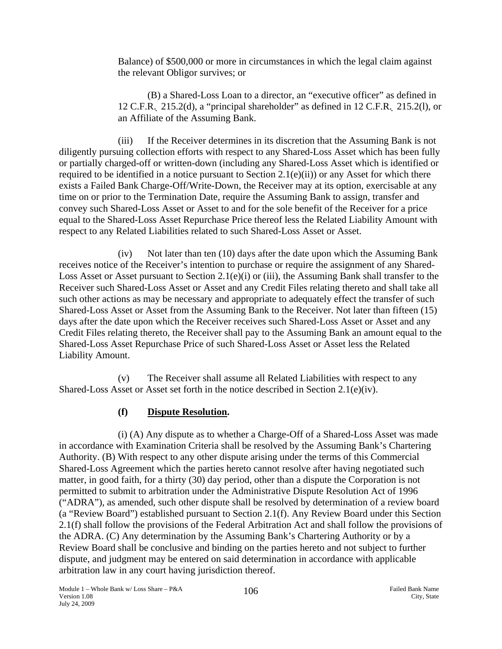Balance) of \$500,000 or more in circumstances in which the legal claim against the relevant Obligor survives; or

(B) a Shared-Loss Loan to a director, an "executive officer" as defined in 12 C.F.R. 215.2(d), a "principal shareholder" as defined in 12 C.F.R. 215.2(l), or an Affiliate of the Assuming Bank.

(iii) If the Receiver determines in its discretion that the Assuming Bank is not diligently pursuing collection efforts with respect to any Shared-Loss Asset which has been fully or partially charged-off or written-down (including any Shared-Loss Asset which is identified or required to be identified in a notice pursuant to Section 2.1(e)(ii)) or any Asset for which there exists a Failed Bank Charge-Off/Write-Down, the Receiver may at its option, exercisable at any time on or prior to the Termination Date, require the Assuming Bank to assign, transfer and convey such Shared-Loss Asset or Asset to and for the sole benefit of the Receiver for a price equal to the Shared-Loss Asset Repurchase Price thereof less the Related Liability Amount with respect to any Related Liabilities related to such Shared-Loss Asset or Asset.

(iv) Not later than ten (10) days after the date upon which the Assuming Bank receives notice of the Receiver's intention to purchase or require the assignment of any Shared-Loss Asset or Asset pursuant to Section 2.1(e)(i) or (iii), the Assuming Bank shall transfer to the Receiver such Shared-Loss Asset or Asset and any Credit Files relating thereto and shall take all such other actions as may be necessary and appropriate to adequately effect the transfer of such Shared-Loss Asset or Asset from the Assuming Bank to the Receiver. Not later than fifteen (15) days after the date upon which the Receiver receives such Shared-Loss Asset or Asset and any Credit Files relating thereto, the Receiver shall pay to the Assuming Bank an amount equal to the Shared-Loss Asset Repurchase Price of such Shared-Loss Asset or Asset less the Related Liability Amount.

(v) The Receiver shall assume all Related Liabilities with respect to any Shared-Loss Asset or Asset set forth in the notice described in Section 2.1(e)(iv).

### **(f) Dispute Resolution.**

(i) (A) Any dispute as to whether a Charge-Off of a Shared-Loss Asset was made in accordance with Examination Criteria shall be resolved by the Assuming Bank's Chartering Authority. (B) With respect to any other dispute arising under the terms of this Commercial Shared-Loss Agreement which the parties hereto cannot resolve after having negotiated such matter, in good faith, for a thirty (30) day period, other than a dispute the Corporation is not permitted to submit to arbitration under the Administrative Dispute Resolution Act of 1996 ("ADRA"), as amended, such other dispute shall be resolved by determination of a review board (a "Review Board") established pursuant to Section 2.1(f). Any Review Board under this Section 2.1(f) shall follow the provisions of the Federal Arbitration Act and shall follow the provisions of the ADRA. (C) Any determination by the Assuming Bank's Chartering Authority or by a Review Board shall be conclusive and binding on the parties hereto and not subject to further dispute, and judgment may be entered on said determination in accordance with applicable arbitration law in any court having jurisdiction thereof.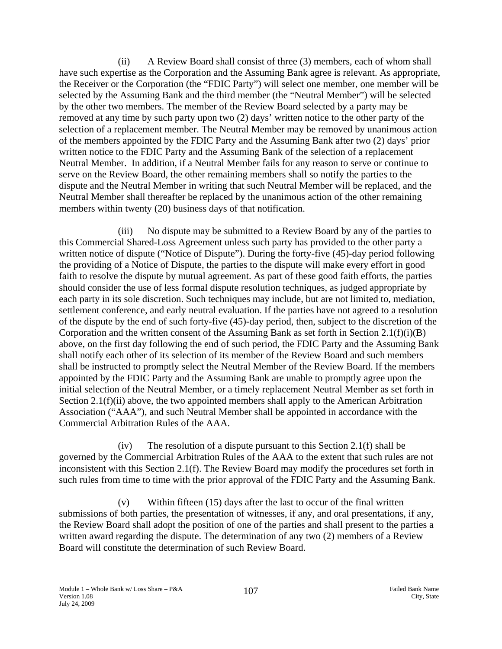(ii) A Review Board shall consist of three (3) members, each of whom shall have such expertise as the Corporation and the Assuming Bank agree is relevant. As appropriate, the Receiver or the Corporation (the "FDIC Party") will select one member, one member will be selected by the Assuming Bank and the third member (the "Neutral Member") will be selected by the other two members. The member of the Review Board selected by a party may be removed at any time by such party upon two (2) days' written notice to the other party of the selection of a replacement member. The Neutral Member may be removed by unanimous action of the members appointed by the FDIC Party and the Assuming Bank after two (2) days' prior written notice to the FDIC Party and the Assuming Bank of the selection of a replacement Neutral Member. In addition, if a Neutral Member fails for any reason to serve or continue to serve on the Review Board, the other remaining members shall so notify the parties to the dispute and the Neutral Member in writing that such Neutral Member will be replaced, and the Neutral Member shall thereafter be replaced by the unanimous action of the other remaining members within twenty (20) business days of that notification.

(iii) No dispute may be submitted to a Review Board by any of the parties to this Commercial Shared-Loss Agreement unless such party has provided to the other party a written notice of dispute ("Notice of Dispute"). During the forty-five (45)-day period following the providing of a Notice of Dispute, the parties to the dispute will make every effort in good faith to resolve the dispute by mutual agreement. As part of these good faith efforts, the parties should consider the use of less formal dispute resolution techniques, as judged appropriate by each party in its sole discretion. Such techniques may include, but are not limited to, mediation, settlement conference, and early neutral evaluation. If the parties have not agreed to a resolution of the dispute by the end of such forty-five (45)-day period, then, subject to the discretion of the Corporation and the written consent of the Assuming Bank as set forth in Section 2.1(f)(i)(B) above, on the first day following the end of such period, the FDIC Party and the Assuming Bank shall notify each other of its selection of its member of the Review Board and such members shall be instructed to promptly select the Neutral Member of the Review Board. If the members appointed by the FDIC Party and the Assuming Bank are unable to promptly agree upon the initial selection of the Neutral Member, or a timely replacement Neutral Member as set forth in Section 2.1(f)(ii) above, the two appointed members shall apply to the American Arbitration Association ("AAA"), and such Neutral Member shall be appointed in accordance with the Commercial Arbitration Rules of the AAA.

(iv) The resolution of a dispute pursuant to this Section 2.1(f) shall be governed by the Commercial Arbitration Rules of the AAA to the extent that such rules are not inconsistent with this Section 2.1(f). The Review Board may modify the procedures set forth in such rules from time to time with the prior approval of the FDIC Party and the Assuming Bank.

(v) Within fifteen (15) days after the last to occur of the final written submissions of both parties, the presentation of witnesses, if any, and oral presentations, if any, the Review Board shall adopt the position of one of the parties and shall present to the parties a written award regarding the dispute. The determination of any two (2) members of a Review Board will constitute the determination of such Review Board.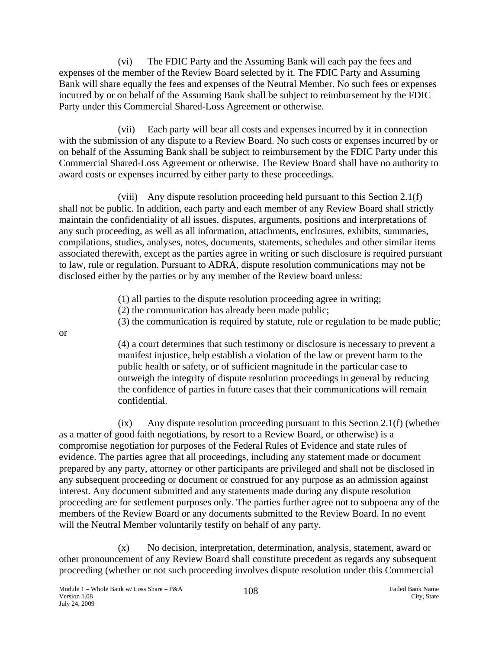(vi) The FDIC Party and the Assuming Bank will each pay the fees and expenses of the member of the Review Board selected by it. The FDIC Party and Assuming Bank will share equally the fees and expenses of the Neutral Member. No such fees or expenses incurred by or on behalf of the Assuming Bank shall be subject to reimbursement by the FDIC Party under this Commercial Shared-Loss Agreement or otherwise.

(vii) Each party will bear all costs and expenses incurred by it in connection with the submission of any dispute to a Review Board. No such costs or expenses incurred by or on behalf of the Assuming Bank shall be subject to reimbursement by the FDIC Party under this Commercial Shared-Loss Agreement or otherwise. The Review Board shall have no authority to award costs or expenses incurred by either party to these proceedings.

(viii) Any dispute resolution proceeding held pursuant to this Section 2.1(f) shall not be public. In addition, each party and each member of any Review Board shall strictly maintain the confidentiality of all issues, disputes, arguments, positions and interpretations of any such proceeding, as well as all information, attachments, enclosures, exhibits, summaries, compilations, studies, analyses, notes, documents, statements, schedules and other similar items associated therewith, except as the parties agree in writing or such disclosure is required pursuant to law, rule or regulation. Pursuant to ADRA, dispute resolution communications may not be disclosed either by the parties or by any member of the Review board unless:

(1) all parties to the dispute resolution proceeding agree in writing;

(2) the communication has already been made public;

(3) the communication is required by statute, rule or regulation to be made public;

(4) a court determines that such testimony or disclosure is necessary to prevent a manifest injustice, help establish a violation of the law or prevent harm to the public health or safety, or of sufficient magnitude in the particular case to outweigh the integrity of dispute resolution proceedings in general by reducing the confidence of parties in future cases that their communications will remain confidential.

(ix) Any dispute resolution proceeding pursuant to this Section 2.1(f) (whether as a matter of good faith negotiations, by resort to a Review Board, or otherwise) is a compromise negotiation for purposes of the Federal Rules of Evidence and state rules of evidence. The parties agree that all proceedings, including any statement made or document prepared by any party, attorney or other participants are privileged and shall not be disclosed in any subsequent proceeding or document or construed for any purpose as an admission against interest. Any document submitted and any statements made during any dispute resolution proceeding are for settlement purposes only. The parties further agree not to subpoena any of the members of the Review Board or any documents submitted to the Review Board. In no event will the Neutral Member voluntarily testify on behalf of any party.

(x) No decision, interpretation, determination, analysis, statement, award or other pronouncement of any Review Board shall constitute precedent as regards any subsequent proceeding (whether or not such proceeding involves dispute resolution under this Commercial

or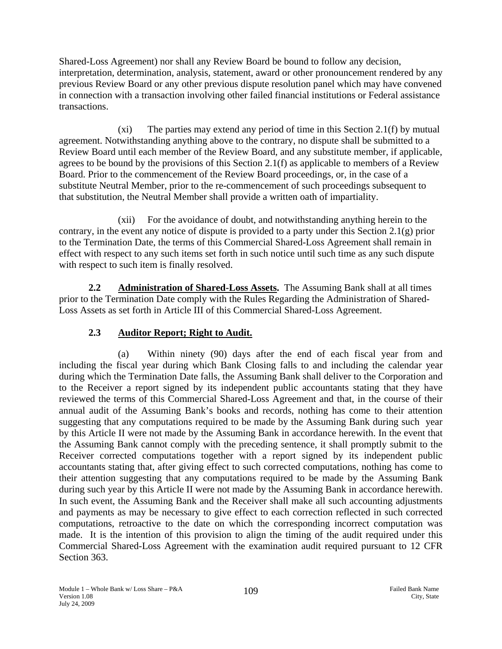Shared-Loss Agreement) nor shall any Review Board be bound to follow any decision, interpretation, determination, analysis, statement, award or other pronouncement rendered by any previous Review Board or any other previous dispute resolution panel which may have convened in connection with a transaction involving other failed financial institutions or Federal assistance transactions.

(xi) The parties may extend any period of time in this Section 2.1(f) by mutual agreement. Notwithstanding anything above to the contrary, no dispute shall be submitted to a Review Board until each member of the Review Board, and any substitute member, if applicable, agrees to be bound by the provisions of this Section 2.1(f) as applicable to members of a Review Board. Prior to the commencement of the Review Board proceedings, or, in the case of a substitute Neutral Member, prior to the re-commencement of such proceedings subsequent to that substitution, the Neutral Member shall provide a written oath of impartiality.

(xii) For the avoidance of doubt, and notwithstanding anything herein to the contrary, in the event any notice of dispute is provided to a party under this Section 2.1(g) prior to the Termination Date, the terms of this Commercial Shared-Loss Agreement shall remain in effect with respect to any such items set forth in such notice until such time as any such dispute with respect to such item is finally resolved.

**2.2 Administration of Shared-Loss Assets.** The Assuming Bank shall at all times prior to the Termination Date comply with the Rules Regarding the Administration of Shared-Loss Assets as set forth in Article III of this Commercial Shared-Loss Agreement.

# **2.3 Auditor Report; Right to Audit.**

(a) Within ninety (90) days after the end of each fiscal year from and including the fiscal year during which Bank Closing falls to and including the calendar year during which the Termination Date falls, the Assuming Bank shall deliver to the Corporation and to the Receiver a report signed by its independent public accountants stating that they have reviewed the terms of this Commercial Shared-Loss Agreement and that, in the course of their annual audit of the Assuming Bank's books and records, nothing has come to their attention suggesting that any computations required to be made by the Assuming Bank during such year by this Article II were not made by the Assuming Bank in accordance herewith. In the event that the Assuming Bank cannot comply with the preceding sentence, it shall promptly submit to the Receiver corrected computations together with a report signed by its independent public accountants stating that, after giving effect to such corrected computations, nothing has come to their attention suggesting that any computations required to be made by the Assuming Bank during such year by this Article II were not made by the Assuming Bank in accordance herewith. In such event, the Assuming Bank and the Receiver shall make all such accounting adjustments and payments as may be necessary to give effect to each correction reflected in such corrected computations, retroactive to the date on which the corresponding incorrect computation was made. It is the intention of this provision to align the timing of the audit required under this Commercial Shared-Loss Agreement with the examination audit required pursuant to 12 CFR Section 363.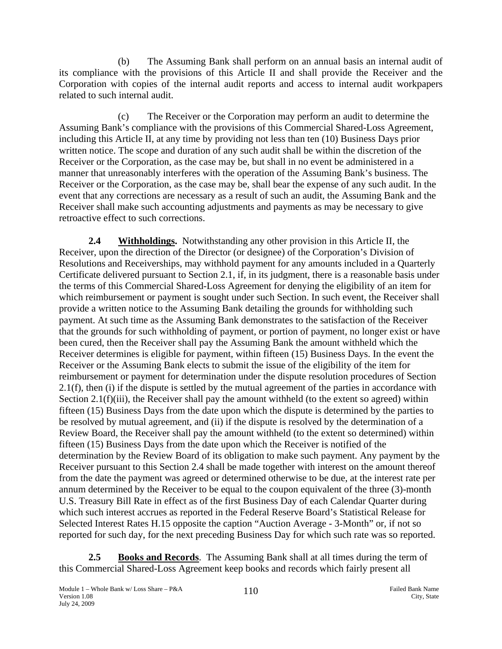(b) The Assuming Bank shall perform on an annual basis an internal audit of its compliance with the provisions of this Article II and shall provide the Receiver and the Corporation with copies of the internal audit reports and access to internal audit workpapers related to such internal audit.

(c) The Receiver or the Corporation may perform an audit to determine the Assuming Bank's compliance with the provisions of this Commercial Shared-Loss Agreement, including this Article II, at any time by providing not less than ten (10) Business Days prior written notice. The scope and duration of any such audit shall be within the discretion of the Receiver or the Corporation, as the case may be, but shall in no event be administered in a manner that unreasonably interferes with the operation of the Assuming Bank's business. The Receiver or the Corporation, as the case may be, shall bear the expense of any such audit. In the event that any corrections are necessary as a result of such an audit, the Assuming Bank and the Receiver shall make such accounting adjustments and payments as may be necessary to give retroactive effect to such corrections.

**2.4 Withholdings.** Notwithstanding any other provision in this Article II, the Receiver, upon the direction of the Director (or designee) of the Corporation's Division of Resolutions and Receiverships, may withhold payment for any amounts included in a Quarterly Certificate delivered pursuant to Section 2.1, if, in its judgment, there is a reasonable basis under the terms of this Commercial Shared-Loss Agreement for denying the eligibility of an item for which reimbursement or payment is sought under such Section. In such event, the Receiver shall provide a written notice to the Assuming Bank detailing the grounds for withholding such payment. At such time as the Assuming Bank demonstrates to the satisfaction of the Receiver that the grounds for such withholding of payment, or portion of payment, no longer exist or have been cured, then the Receiver shall pay the Assuming Bank the amount withheld which the Receiver determines is eligible for payment, within fifteen (15) Business Days. In the event the Receiver or the Assuming Bank elects to submit the issue of the eligibility of the item for reimbursement or payment for determination under the dispute resolution procedures of Section 2.1(f), then (i) if the dispute is settled by the mutual agreement of the parties in accordance with Section 2.1(f)(iii), the Receiver shall pay the amount withheld (to the extent so agreed) within fifteen (15) Business Days from the date upon which the dispute is determined by the parties to be resolved by mutual agreement, and (ii) if the dispute is resolved by the determination of a Review Board, the Receiver shall pay the amount withheld (to the extent so determined) within fifteen (15) Business Days from the date upon which the Receiver is notified of the determination by the Review Board of its obligation to make such payment. Any payment by the Receiver pursuant to this Section 2.4 shall be made together with interest on the amount thereof from the date the payment was agreed or determined otherwise to be due, at the interest rate per annum determined by the Receiver to be equal to the coupon equivalent of the three (3)-month U.S. Treasury Bill Rate in effect as of the first Business Day of each Calendar Quarter during which such interest accrues as reported in the Federal Reserve Board's Statistical Release for Selected Interest Rates H.15 opposite the caption "Auction Average - 3-Month" or, if not so reported for such day, for the next preceding Business Day for which such rate was so reported.

**2.5 Books and Records**. The Assuming Bank shall at all times during the term of this Commercial Shared-Loss Agreement keep books and records which fairly present all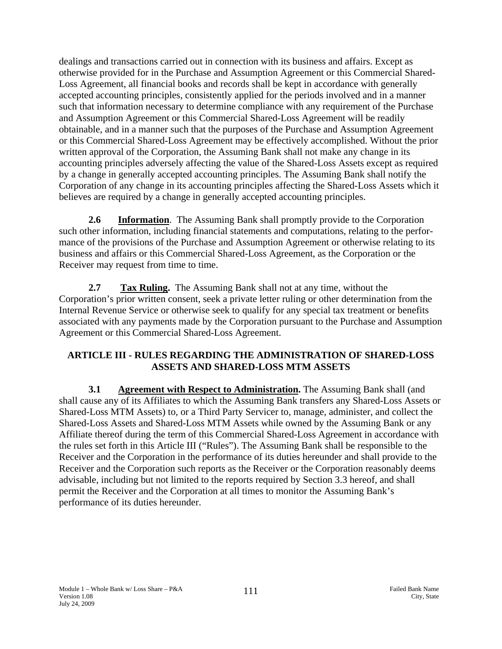dealings and transactions carried out in connection with its business and affairs. Except as otherwise provided for in the Purchase and Assumption Agreement or this Commercial Shared-Loss Agreement, all financial books and records shall be kept in accordance with generally accepted accounting principles, consistently applied for the periods involved and in a manner such that information necessary to determine compliance with any requirement of the Purchase and Assumption Agreement or this Commercial Shared-Loss Agreement will be readily obtainable, and in a manner such that the purposes of the Purchase and Assumption Agreement or this Commercial Shared-Loss Agreement may be effectively accomplished. Without the prior written approval of the Corporation, the Assuming Bank shall not make any change in its accounting principles adversely affecting the value of the Shared-Loss Assets except as required by a change in generally accepted accounting principles. The Assuming Bank shall notify the Corporation of any change in its accounting principles affecting the Shared-Loss Assets which it believes are required by a change in generally accepted accounting principles.

**2.6 Information.** The Assuming Bank shall promptly provide to the Corporation such other information, including financial statements and computations, relating to the performance of the provisions of the Purchase and Assumption Agreement or otherwise relating to its business and affairs or this Commercial Shared-Loss Agreement, as the Corporation or the Receiver may request from time to time.

**2.7 Tax Ruling.** The Assuming Bank shall not at any time, without the Corporation's prior written consent, seek a private letter ruling or other determination from the Internal Revenue Service or otherwise seek to qualify for any special tax treatment or benefits associated with any payments made by the Corporation pursuant to the Purchase and Assumption Agreement or this Commercial Shared-Loss Agreement.

#### **ARTICLE III - RULES REGARDING THE ADMINISTRATION OF SHARED-LOSS ASSETS AND SHARED-LOSS MTM ASSETS**

**3.1** Agreement with Respect to Administration. The Assuming Bank shall (and shall cause any of its Affiliates to which the Assuming Bank transfers any Shared-Loss Assets or Shared-Loss MTM Assets) to, or a Third Party Servicer to, manage, administer, and collect the Shared-Loss Assets and Shared-Loss MTM Assets while owned by the Assuming Bank or any Affiliate thereof during the term of this Commercial Shared-Loss Agreement in accordance with the rules set forth in this Article III ("Rules"). The Assuming Bank shall be responsible to the Receiver and the Corporation in the performance of its duties hereunder and shall provide to the Receiver and the Corporation such reports as the Receiver or the Corporation reasonably deems advisable, including but not limited to the reports required by Section 3.3 hereof, and shall permit the Receiver and the Corporation at all times to monitor the Assuming Bank's performance of its duties hereunder.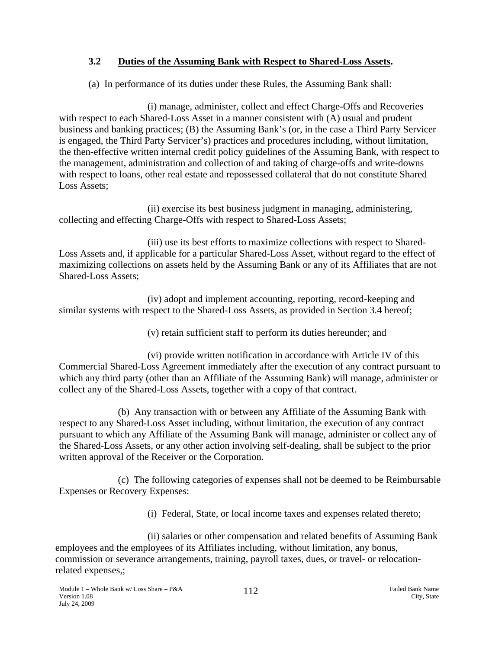### **3.2 Duties of the Assuming Bank with Respect to Shared-Loss Assets.**

(a) In performance of its duties under these Rules, the Assuming Bank shall:

(i) manage, administer, collect and effect Charge-Offs and Recoveries with respect to each Shared-Loss Asset in a manner consistent with (A) usual and prudent business and banking practices; (B) the Assuming Bank's (or, in the case a Third Party Servicer is engaged, the Third Party Servicer's) practices and procedures including, without limitation, the then-effective written internal credit policy guidelines of the Assuming Bank, with respect to the management, administration and collection of and taking of charge-offs and write-downs with respect to loans, other real estate and repossessed collateral that do not constitute Shared Loss Assets;

(ii) exercise its best business judgment in managing, administering, collecting and effecting Charge-Offs with respect to Shared-Loss Assets;

(iii) use its best efforts to maximize collections with respect to Shared-Loss Assets and, if applicable for a particular Shared-Loss Asset, without regard to the effect of maximizing collections on assets held by the Assuming Bank or any of its Affiliates that are not Shared-Loss Assets;

(iv) adopt and implement accounting, reporting, record-keeping and similar systems with respect to the Shared-Loss Assets, as provided in Section 3.4 hereof;

(v) retain sufficient staff to perform its duties hereunder; and

(vi) provide written notification in accordance with Article IV of this Commercial Shared-Loss Agreement immediately after the execution of any contract pursuant to which any third party (other than an Affiliate of the Assuming Bank) will manage, administer or collect any of the Shared-Loss Assets, together with a copy of that contract.

(b) Any transaction with or between any Affiliate of the Assuming Bank with respect to any Shared-Loss Asset including, without limitation, the execution of any contract pursuant to which any Affiliate of the Assuming Bank will manage, administer or collect any of the Shared-Loss Assets, or any other action involving self-dealing, shall be subject to the prior written approval of the Receiver or the Corporation.

(c) The following categories of expenses shall not be deemed to be Reimbursable Expenses or Recovery Expenses:

(i) Federal, State, or local income taxes and expenses related thereto;

(ii) salaries or other compensation and related benefits of Assuming Bank employees and the employees of its Affiliates including, without limitation, any bonus, commission or severance arrangements, training, payroll taxes, dues, or travel- or relocationrelated expenses,;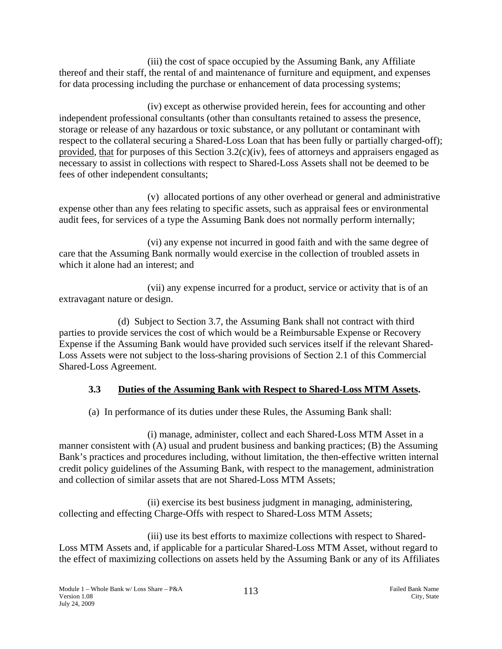(iii) the cost of space occupied by the Assuming Bank, any Affiliate thereof and their staff, the rental of and maintenance of furniture and equipment, and expenses for data processing including the purchase or enhancement of data processing systems;

(iv) except as otherwise provided herein, fees for accounting and other independent professional consultants (other than consultants retained to assess the presence, storage or release of any hazardous or toxic substance, or any pollutant or contaminant with respect to the collateral securing a Shared-Loss Loan that has been fully or partially charged-off); provided, that for purposes of this Section 3.2(c)(iv), fees of attorneys and appraisers engaged as necessary to assist in collections with respect to Shared-Loss Assets shall not be deemed to be fees of other independent consultants;

(v) allocated portions of any other overhead or general and administrative expense other than any fees relating to specific assets, such as appraisal fees or environmental audit fees, for services of a type the Assuming Bank does not normally perform internally;

(vi) any expense not incurred in good faith and with the same degree of care that the Assuming Bank normally would exercise in the collection of troubled assets in which it alone had an interest; and

(vii) any expense incurred for a product, service or activity that is of an extravagant nature or design.

(d) Subject to Section 3.7, the Assuming Bank shall not contract with third parties to provide services the cost of which would be a Reimbursable Expense or Recovery Expense if the Assuming Bank would have provided such services itself if the relevant Shared-Loss Assets were not subject to the loss-sharing provisions of Section 2.1 of this Commercial Shared-Loss Agreement.

# **3.3 Duties of the Assuming Bank with Respect to Shared-Loss MTM Assets.**

(a) In performance of its duties under these Rules, the Assuming Bank shall:

(i) manage, administer, collect and each Shared-Loss MTM Asset in a manner consistent with (A) usual and prudent business and banking practices; (B) the Assuming Bank's practices and procedures including, without limitation, the then-effective written internal credit policy guidelines of the Assuming Bank, with respect to the management, administration and collection of similar assets that are not Shared-Loss MTM Assets;

(ii) exercise its best business judgment in managing, administering, collecting and effecting Charge-Offs with respect to Shared-Loss MTM Assets;

(iii) use its best efforts to maximize collections with respect to Shared-Loss MTM Assets and, if applicable for a particular Shared-Loss MTM Asset, without regard to the effect of maximizing collections on assets held by the Assuming Bank or any of its Affiliates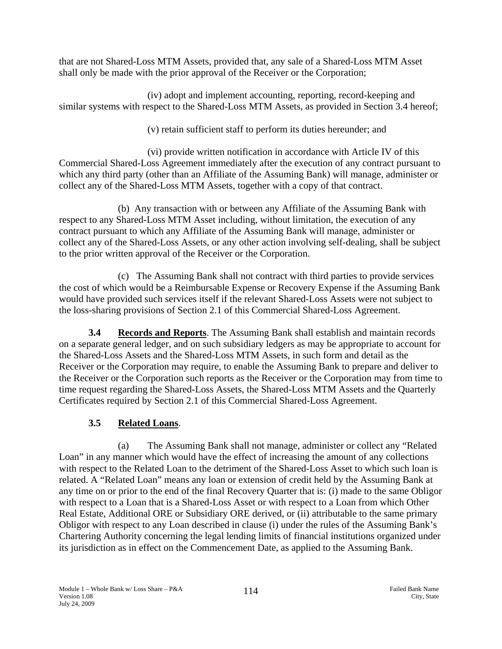that are not Shared-Loss MTM Assets, provided that, any sale of a Shared-Loss MTM Asset shall only be made with the prior approval of the Receiver or the Corporation;

(iv) adopt and implement accounting, reporting, record-keeping and similar systems with respect to the Shared-Loss MTM Assets, as provided in Section 3.4 hereof;

(v) retain sufficient staff to perform its duties hereunder; and

(vi) provide written notification in accordance with Article IV of this Commercial Shared-Loss Agreement immediately after the execution of any contract pursuant to which any third party (other than an Affiliate of the Assuming Bank) will manage, administer or collect any of the Shared-Loss MTM Assets, together with a copy of that contract.

(b) Any transaction with or between any Affiliate of the Assuming Bank with respect to any Shared-Loss MTM Asset including, without limitation, the execution of any contract pursuant to which any Affiliate of the Assuming Bank will manage, administer or collect any of the Shared-Loss Assets, or any other action involving self-dealing, shall be subject to the prior written approval of the Receiver or the Corporation.

(c) The Assuming Bank shall not contract with third parties to provide services the cost of which would be a Reimbursable Expense or Recovery Expense if the Assuming Bank would have provided such services itself if the relevant Shared-Loss Assets were not subject to the loss-sharing provisions of Section 2.1 of this Commercial Shared-Loss Agreement.

**3.4 Records and Reports**. The Assuming Bank shall establish and maintain records on a separate general ledger, and on such subsidiary ledgers as may be appropriate to account for the Shared-Loss Assets and the Shared-Loss MTM Assets, in such form and detail as the Receiver or the Corporation may require, to enable the Assuming Bank to prepare and deliver to the Receiver or the Corporation such reports as the Receiver or the Corporation may from time to time request regarding the Shared-Loss Assets, the Shared-Loss MTM Assets and the Quarterly Certificates required by Section 2.1 of this Commercial Shared-Loss Agreement.

# **3.5 Related Loans**.

(a) The Assuming Bank shall not manage, administer or collect any "Related Loan" in any manner which would have the effect of increasing the amount of any collections with respect to the Related Loan to the detriment of the Shared-Loss Asset to which such loan is related. A "Related Loan" means any loan or extension of credit held by the Assuming Bank at any time on or prior to the end of the final Recovery Quarter that is: (i) made to the same Obligor with respect to a Loan that is a Shared-Loss Asset or with respect to a Loan from which Other Real Estate, Additional ORE or Subsidiary ORE derived, or (ii) attributable to the same primary Obligor with respect to any Loan described in clause (i) under the rules of the Assuming Bank's Chartering Authority concerning the legal lending limits of financial institutions organized under its jurisdiction as in effect on the Commencement Date, as applied to the Assuming Bank.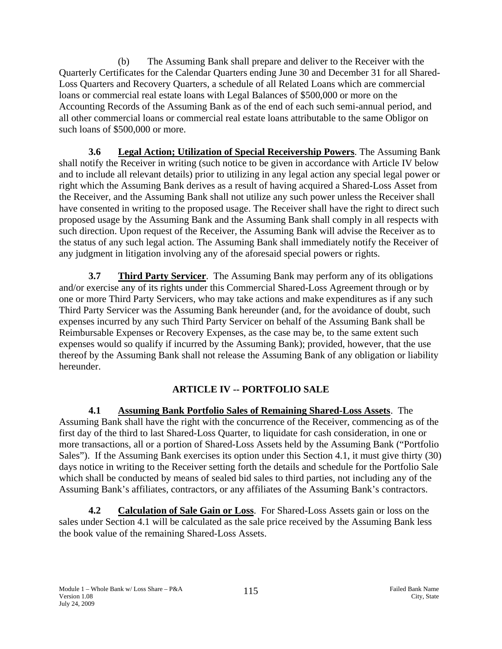(b) The Assuming Bank shall prepare and deliver to the Receiver with the Quarterly Certificates for the Calendar Quarters ending June 30 and December 31 for all Shared-Loss Quarters and Recovery Quarters, a schedule of all Related Loans which are commercial loans or commercial real estate loans with Legal Balances of \$500,000 or more on the Accounting Records of the Assuming Bank as of the end of each such semi-annual period, and all other commercial loans or commercial real estate loans attributable to the same Obligor on such loans of \$500,000 or more.

**3.6 Legal Action; Utilization of Special Receivership Powers**. The Assuming Bank shall notify the Receiver in writing (such notice to be given in accordance with Article IV below and to include all relevant details) prior to utilizing in any legal action any special legal power or right which the Assuming Bank derives as a result of having acquired a Shared-Loss Asset from the Receiver, and the Assuming Bank shall not utilize any such power unless the Receiver shall have consented in writing to the proposed usage. The Receiver shall have the right to direct such proposed usage by the Assuming Bank and the Assuming Bank shall comply in all respects with such direction. Upon request of the Receiver, the Assuming Bank will advise the Receiver as to the status of any such legal action. The Assuming Bank shall immediately notify the Receiver of any judgment in litigation involving any of the aforesaid special powers or rights.

**3.7** Third Party Servicer. The Assuming Bank may perform any of its obligations and/or exercise any of its rights under this Commercial Shared-Loss Agreement through or by one or more Third Party Servicers, who may take actions and make expenditures as if any such Third Party Servicer was the Assuming Bank hereunder (and, for the avoidance of doubt, such expenses incurred by any such Third Party Servicer on behalf of the Assuming Bank shall be Reimbursable Expenses or Recovery Expenses, as the case may be, to the same extent such expenses would so qualify if incurred by the Assuming Bank); provided, however, that the use thereof by the Assuming Bank shall not release the Assuming Bank of any obligation or liability hereunder.

### **ARTICLE IV -- PORTFOLIO SALE**

**4.1 Assuming Bank Portfolio Sales of Remaining Shared-Loss Assets**. The Assuming Bank shall have the right with the concurrence of the Receiver, commencing as of the first day of the third to last Shared-Loss Quarter, to liquidate for cash consideration, in one or more transactions, all or a portion of Shared-Loss Assets held by the Assuming Bank ("Portfolio Sales"). If the Assuming Bank exercises its option under this Section 4.1, it must give thirty (30) days notice in writing to the Receiver setting forth the details and schedule for the Portfolio Sale which shall be conducted by means of sealed bid sales to third parties, not including any of the Assuming Bank's affiliates, contractors, or any affiliates of the Assuming Bank's contractors.

**4.2 Calculation of Sale Gain or Loss**. For Shared-Loss Assets gain or loss on the sales under Section 4.1 will be calculated as the sale price received by the Assuming Bank less the book value of the remaining Shared-Loss Assets.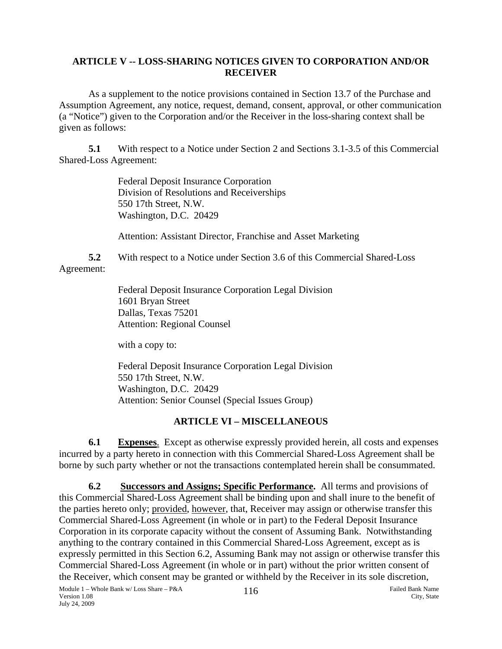#### **ARTICLE V -- LOSS-SHARING NOTICES GIVEN TO CORPORATION AND/OR RECEIVER**

As a supplement to the notice provisions contained in Section 13.7 of the Purchase and Assumption Agreement, any notice, request, demand, consent, approval, or other communication (a "Notice") given to the Corporation and/or the Receiver in the loss-sharing context shall be given as follows:

**5.1** With respect to a Notice under Section 2 and Sections 3.1-3.5 of this Commercial Shared-Loss Agreement:

> Federal Deposit Insurance Corporation Division of Resolutions and Receiverships 550 17th Street, N.W. Washington, D.C. 20429

Attention: Assistant Director, Franchise and Asset Marketing

**5.2** With respect to a Notice under Section 3.6 of this Commercial Shared-Loss Agreement:

> Federal Deposit Insurance Corporation Legal Division 1601 Bryan Street Dallas, Texas 75201 Attention: Regional Counsel

with a copy to:

Federal Deposit Insurance Corporation Legal Division 550 17th Street, N.W. Washington, D.C. 20429 Attention: Senior Counsel (Special Issues Group)

# **ARTICLE VI – MISCELLANEOUS**

 **6.1 Expenses**. Except as otherwise expressly provided herein, all costs and expenses incurred by a party hereto in connection with this Commercial Shared-Loss Agreement shall be borne by such party whether or not the transactions contemplated herein shall be consummated.

**6.2 Successors and Assigns; Specific Performance.** All terms and provisions of this Commercial Shared-Loss Agreement shall be binding upon and shall inure to the benefit of the parties hereto only; provided, however, that, Receiver may assign or otherwise transfer this Commercial Shared-Loss Agreement (in whole or in part) to the Federal Deposit Insurance Corporation in its corporate capacity without the consent of Assuming Bank. Notwithstanding anything to the contrary contained in this Commercial Shared-Loss Agreement, except as is expressly permitted in this Section 6.2, Assuming Bank may not assign or otherwise transfer this Commercial Shared-Loss Agreement (in whole or in part) without the prior written consent of the Receiver, which consent may be granted or withheld by the Receiver in its sole discretion,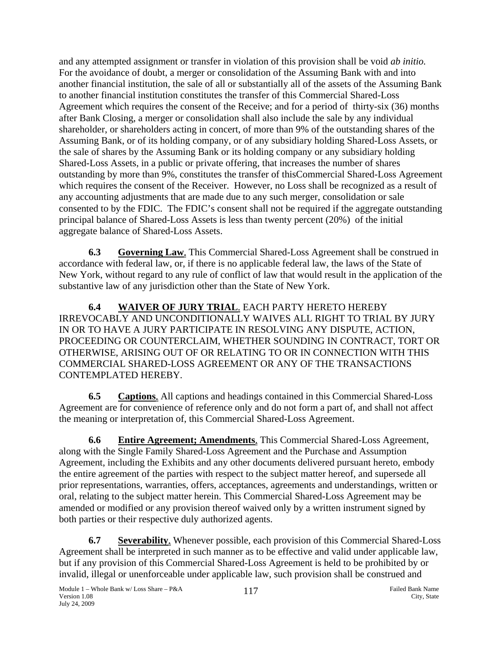and any attempted assignment or transfer in violation of this provision shall be void *ab initio.*  For the avoidance of doubt, a merger or consolidation of the Assuming Bank with and into another financial institution, the sale of all or substantially all of the assets of the Assuming Bank to another financial institution constitutes the transfer of this Commercial Shared-Loss Agreement which requires the consent of the Receive; and for a period of thirty-six (36) months after Bank Closing, a merger or consolidation shall also include the sale by any individual shareholder, or shareholders acting in concert, of more than 9% of the outstanding shares of the Assuming Bank, or of its holding company, or of any subsidiary holding Shared-Loss Assets, or the sale of shares by the Assuming Bank or its holding company or any subsidiary holding Shared-Loss Assets, in a public or private offering, that increases the number of shares outstanding by more than 9%, constitutes the transfer of thisCommercial Shared-Loss Agreement which requires the consent of the Receiver. However, no Loss shall be recognized as a result of any accounting adjustments that are made due to any such merger, consolidation or sale consented to by the FDIC. The FDIC's consent shall not be required if the aggregate outstanding principal balance of Shared-Loss Assets is less than twenty percent (20%) of the initial aggregate balance of Shared-Loss Assets.

**6.3** Governing Law. This Commercial Shared-Loss Agreement shall be construed in accordance with federal law, or, if there is no applicable federal law, the laws of the State of New York, without regard to any rule of conflict of law that would result in the application of the substantive law of any jurisdiction other than the State of New York.

**6.4 WAIVER OF JURY TRIAL**. EACH PARTY HERETO HEREBY IRREVOCABLY AND UNCONDITIONALLY WAIVES ALL RIGHT TO TRIAL BY JURY IN OR TO HAVE A JURY PARTICIPATE IN RESOLVING ANY DISPUTE, ACTION, PROCEEDING OR COUNTERCLAIM, WHETHER SOUNDING IN CONTRACT, TORT OR OTHERWISE, ARISING OUT OF OR RELATING TO OR IN CONNECTION WITH THIS COMMERCIAL SHARED-LOSS AGREEMENT OR ANY OF THE TRANSACTIONS CONTEMPLATED HEREBY.

**6.5 Captions**. All captions and headings contained in this Commercial Shared-Loss Agreement are for convenience of reference only and do not form a part of, and shall not affect the meaning or interpretation of, this Commercial Shared-Loss Agreement.

**6.6 Entire Agreement; Amendments**. This Commercial Shared-Loss Agreement, along with the Single Family Shared-Loss Agreement and the Purchase and Assumption Agreement, including the Exhibits and any other documents delivered pursuant hereto, embody the entire agreement of the parties with respect to the subject matter hereof, and supersede all prior representations, warranties, offers, acceptances, agreements and understandings, written or oral, relating to the subject matter herein. This Commercial Shared-Loss Agreement may be amended or modified or any provision thereof waived only by a written instrument signed by both parties or their respective duly authorized agents.

**6.7 Severability**. Whenever possible, each provision of this Commercial Shared-Loss Agreement shall be interpreted in such manner as to be effective and valid under applicable law, but if any provision of this Commercial Shared-Loss Agreement is held to be prohibited by or invalid, illegal or unenforceable under applicable law, such provision shall be construed and